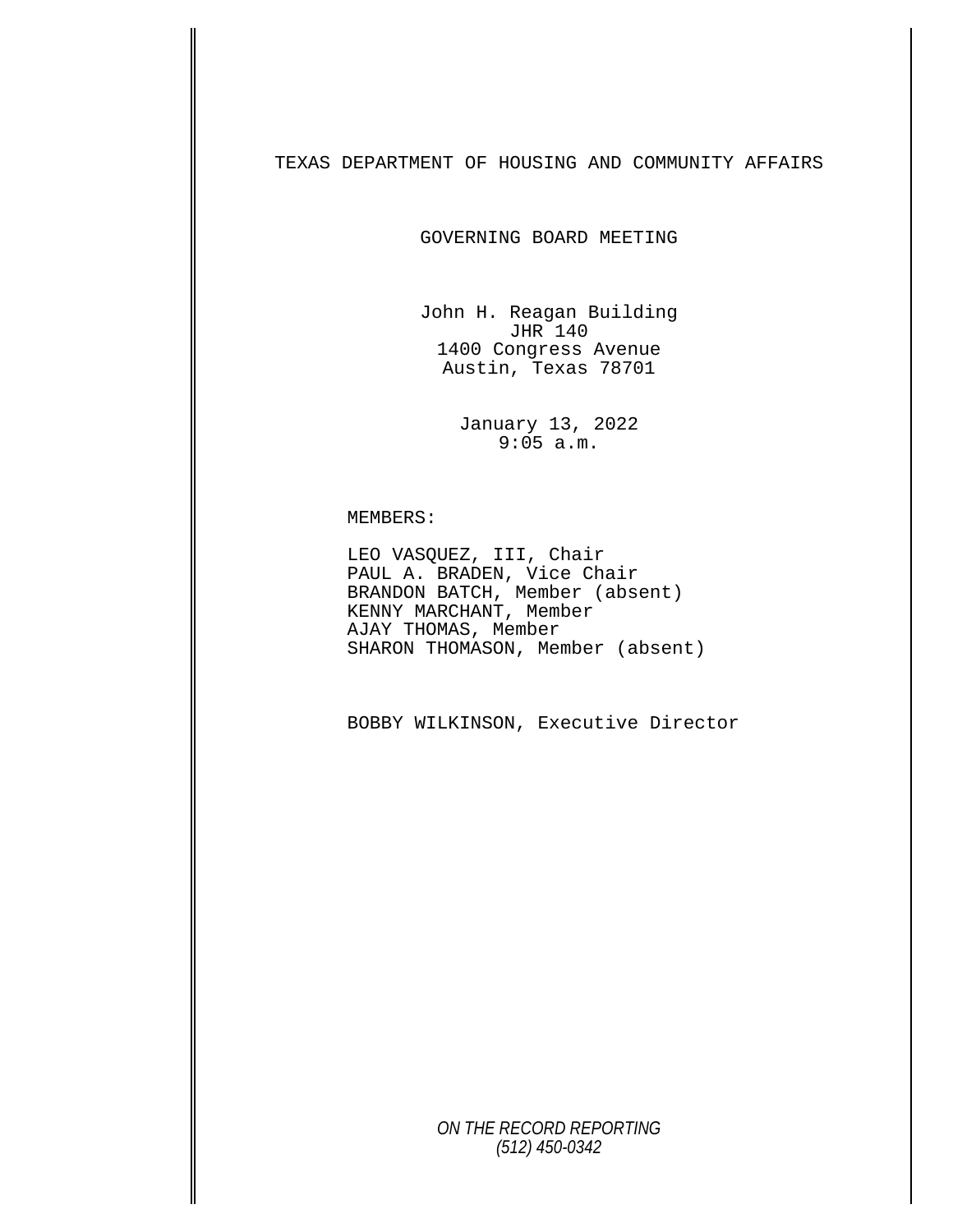TEXAS DEPARTMENT OF HOUSING AND COMMUNITY AFFAIRS

GOVERNING BOARD MEETING

John H. Reagan Building JHR 140 1400 Congress Avenue Austin, Texas 78701

> January 13, 2022 9:05 a.m.

MEMBERS:<br>LEO VASQUEZ, III, Chair<br>PAUL A. BRADEN, Vice Chair BRANDON BATCH, Member (absent) KENNY MARCHANT, Member AJAY THOMAS, Member SHARON THOMASON, Member (absent)

BOBBY WILKINSON, Executive Director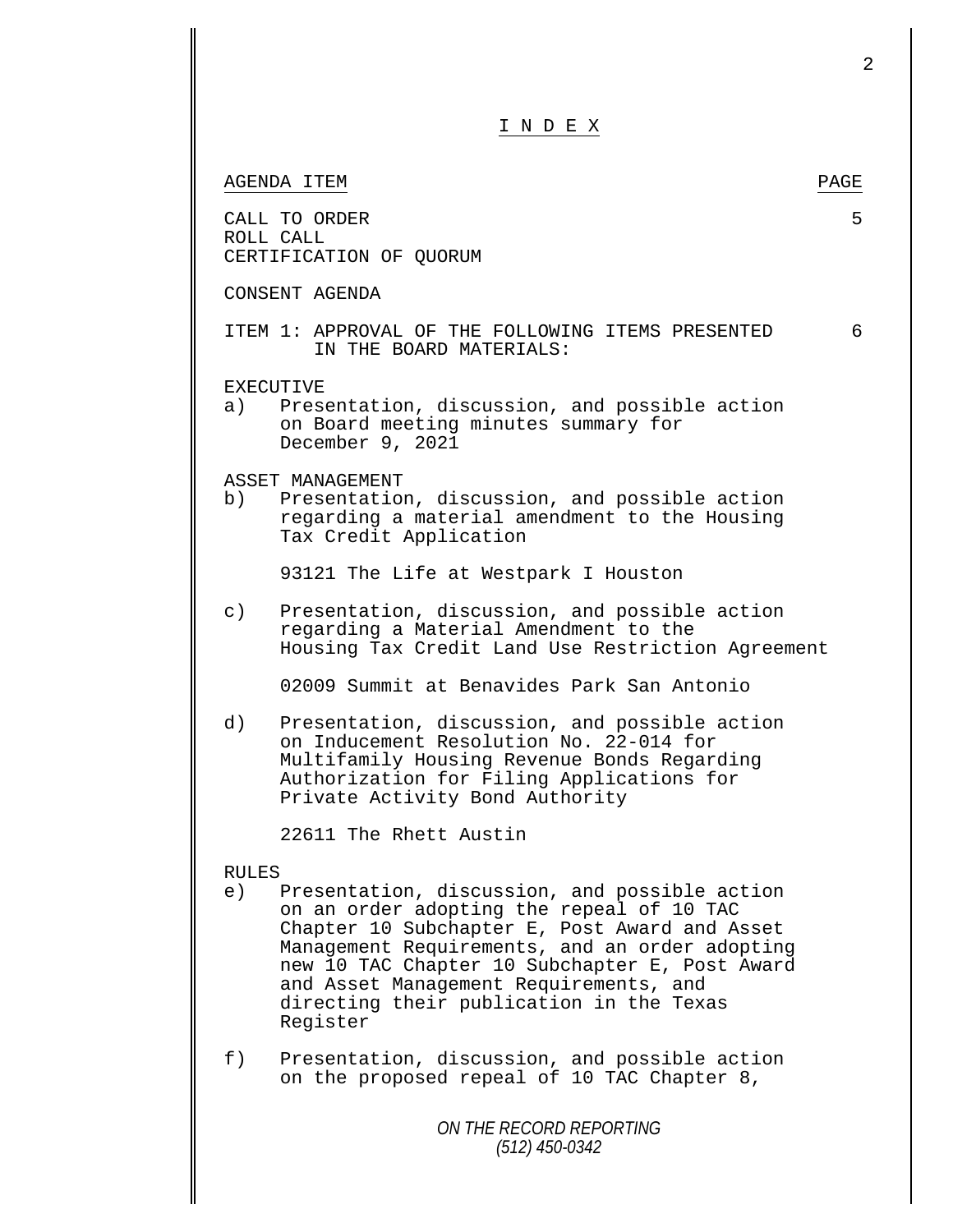|              | I N D E X                                                                                                                                                                                                                                                                                                                                         |      |
|--------------|---------------------------------------------------------------------------------------------------------------------------------------------------------------------------------------------------------------------------------------------------------------------------------------------------------------------------------------------------|------|
|              | AGENDA ITEM                                                                                                                                                                                                                                                                                                                                       | PAGE |
|              | CALL TO ORDER<br>ROLL CALL<br>CERTIFICATION OF QUORUM                                                                                                                                                                                                                                                                                             | 5    |
|              | CONSENT AGENDA                                                                                                                                                                                                                                                                                                                                    |      |
|              | ITEM 1: APPROVAL OF THE FOLLOWING ITEMS PRESENTED<br>IN THE BOARD MATERIALS:                                                                                                                                                                                                                                                                      | 6    |
|              | <b>EXECUTIVE</b><br>a) Presentation, discussion, and possible action<br>on Board meeting minutes summary for<br>December 9, 2021                                                                                                                                                                                                                  |      |
|              | ASSET MANAGEMENT<br>b) Presentation, discussion, and possible action<br>regarding a material amendment to the Housing<br>Tax Credit Application                                                                                                                                                                                                   |      |
|              | 93121 The Life at Westpark I Houston                                                                                                                                                                                                                                                                                                              |      |
| $\circ$ )    | Presentation, discussion, and possible action<br>regarding a Material Amendment to the<br>Housing Tax Credit Land Use Restriction Agreement                                                                                                                                                                                                       |      |
|              | 02009 Summit at Benavides Park San Antonio                                                                                                                                                                                                                                                                                                        |      |
| d)           | Presentation, discussion, and possible action<br>on Inducement Resolution No. 22-014 for<br>Multifamily Housing Revenue Bonds Regarding<br>Authorization for Filing Applications for<br>Private Activity Bond Authority                                                                                                                           |      |
|              | 22611 The Rhett Austin                                                                                                                                                                                                                                                                                                                            |      |
| <b>RULES</b> |                                                                                                                                                                                                                                                                                                                                                   |      |
| e)           | Presentation, discussion, and possible action<br>on an order adopting the repeal of 10 TAC<br>Chapter 10 Subchapter E, Post Award and Asset<br>Management Requirements, and an order adopting<br>new 10 TAC Chapter 10 Subchapter E, Post Award<br>and Asset Management Requirements, and<br>directing their publication in the Texas<br>Register |      |
| f)           | Presentation, discussion, and possible action<br>on the proposed repeal of 10 TAC Chapter 8,                                                                                                                                                                                                                                                      |      |
|              | ON THE RECORD REPORTING                                                                                                                                                                                                                                                                                                                           |      |

2

*(512) 450-0342*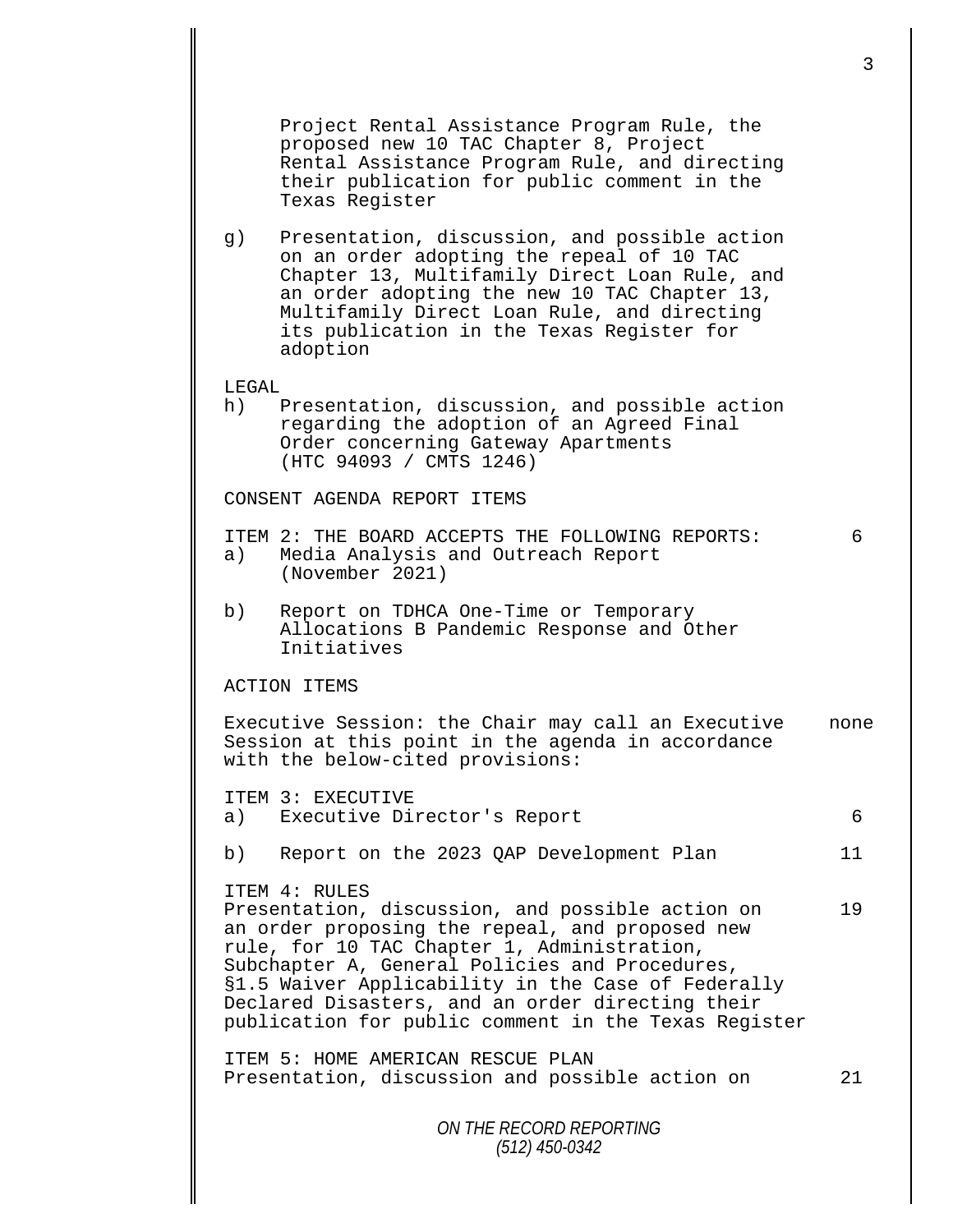*ON THE RECORD REPORTING (512) 450-0342* 3 Project Rental Assistance Program Rule, the proposed new 10 TAC Chapter 8, Project Rental Assistance Program Rule, and directing their publication for public comment in the Texas Register g) Presentation, discussion, and possible action on an order adopting the repeal of 10 TAC Chapter 13, Multifamily Direct Loan Rule, and an order adopting the new 10 TAC Chapter 13, Multifamily Direct Loan Rule, and directing its publication in the Texas Register for adoption LEGAL<br>h) l Presentation, discussion, and possible action regarding the adoption of an Agreed Final Order concerning Gateway Apartments (HTC 94093 / CMTS 1246) CONSENT AGENDA REPORT ITEMS ITEM 2: THE BOARD ACCEPTS THE FOLLOWING REPORTS: 6<br>a) Media Analysis and Outreach Report Media Analysis and Outreach Report (November 2021) b) Report on TDHCA One-Time or Temporary Allocations B Pandemic Response and Other Initiatives ACTION ITEMS Executive Session: the Chair may call an Executive none Session at this point in the agenda in accordance with the below-cited provisions: ITEM 3: EXECUTIVE a) Executive Director's Report 6 b) Report on the 2023 QAP Development Plan 11 ITEM 4: RULES Presentation, discussion, and possible action on 19 an order proposing the repeal, and proposed new rule, for 10 TAC Chapter 1, Administration, Subchapter A, General Policies and Procedures, §1.5 Waiver Applicability in the Case of Federally Declared Disasters, and an order directing their publication for public comment in the Texas Register ITEM 5: HOME AMERICAN RESCUE PLAN Presentation, discussion and possible action on 21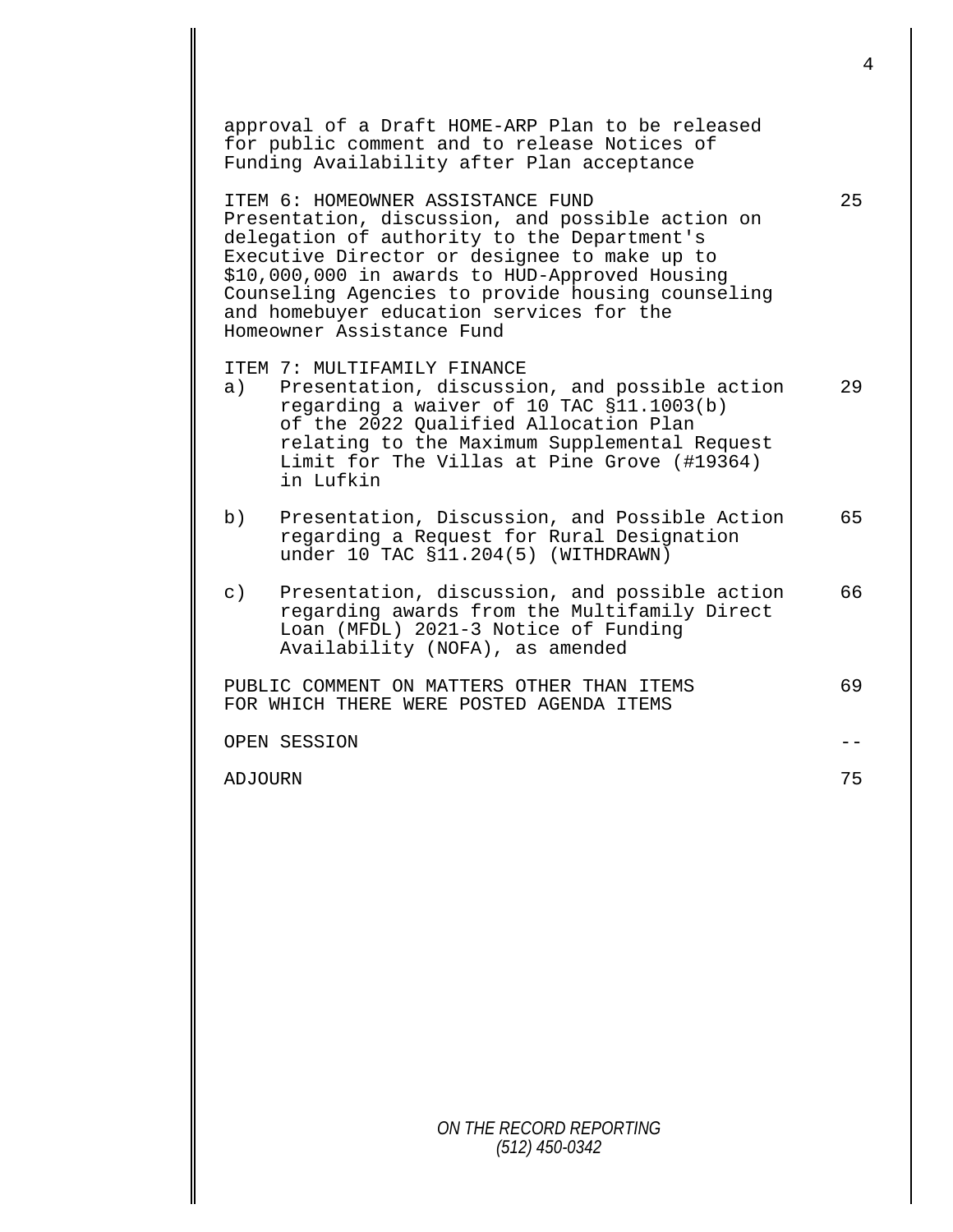approval of a Draft HOME-ARP Plan to be released for public comment and to release Notices of Funding Availability after Plan acceptance ITEM 6: HOMEOWNER ASSISTANCE FUND 25 Presentation, discussion, and possible action on delegation of authority to the Department's Executive Director or designee to make up to \$10,000,000 in awards to HUD-Approved Housing Counseling Agencies to provide housing counseling and homebuyer education services for the Homeowner Assistance Fund ITEM 7: MULTIFAMILY FINANCE<br>a) Presentation, discussi Presentation, discussion, and possible action 29 regarding a waiver of 10 TAC §11.1003(b) of the 2022 Qualified Allocation Plan relating to the Maximum Supplemental Request Limit for The Villas at Pine Grove (#19364) in Lufkin b) Presentation, Discussion, and Possible Action 65 regarding a Request for Rural Designation under 10 TAC §11.204(5) (WITHDRAWN) c) Presentation, discussion, and possible action 66 regarding awards from the Multifamily Direct Loan (MFDL) 2021-3 Notice of Funding Availability (NOFA), as amended PUBLIC COMMENT ON MATTERS OTHER THAN ITEMS 69 FOR WHICH THERE WERE POSTED AGENDA ITEMS OPEN SESSION -- ADJOURN 75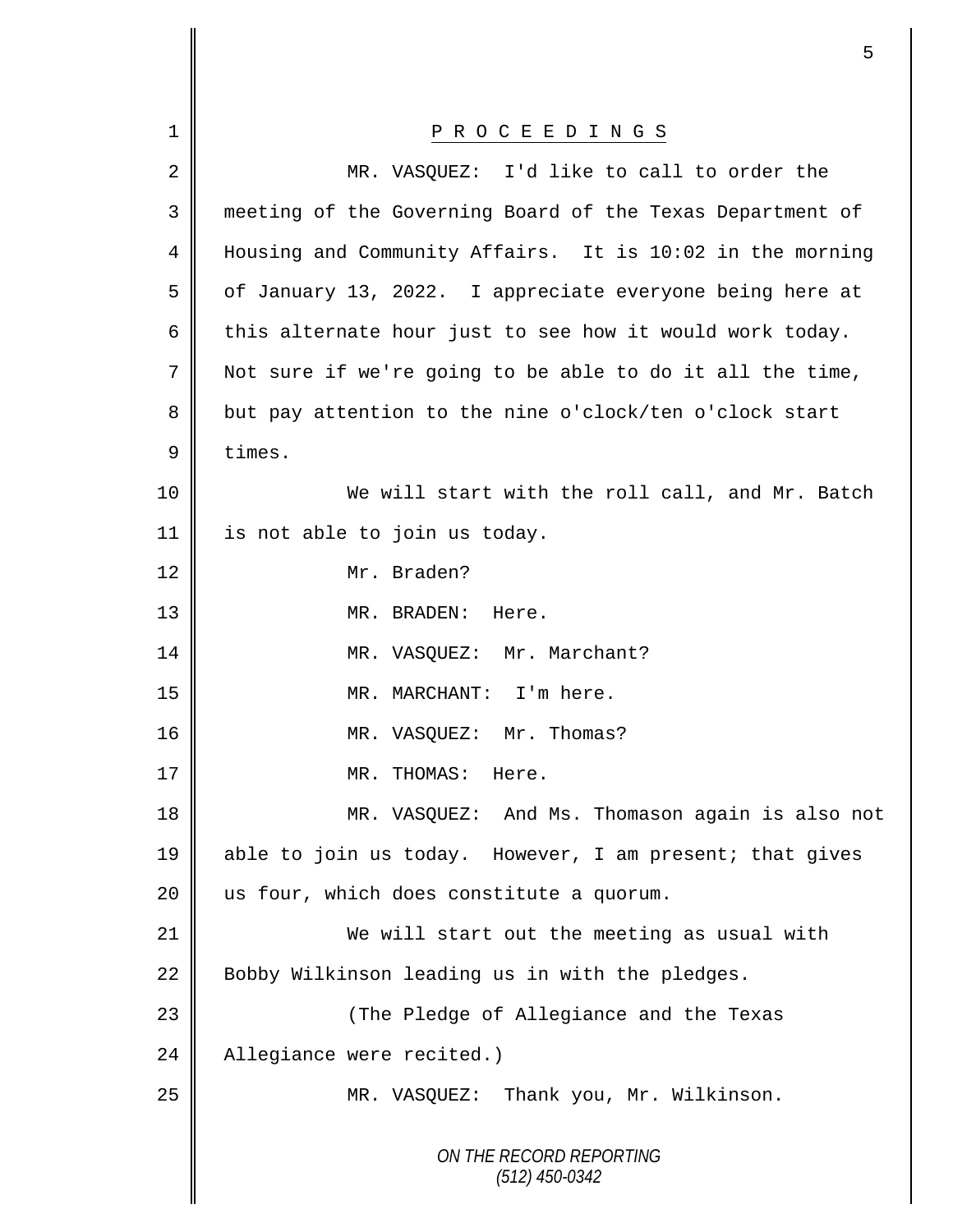|                | 5                                                         |
|----------------|-----------------------------------------------------------|
|                |                                                           |
| 1              | P R O C E E D I N G S                                     |
| 2              | MR. VASQUEZ: I'd like to call to order the                |
| 3              | meeting of the Governing Board of the Texas Department of |
| 4              | Housing and Community Affairs. It is 10:02 in the morning |
| 5              | of January 13, 2022. I appreciate everyone being here at  |
| 6              | this alternate hour just to see how it would work today.  |
| $\overline{7}$ | Not sure if we're going to be able to do it all the time, |
| 8              | but pay attention to the nine o'clock/ten o'clock start   |
| $\mathsf 9$    | times.                                                    |
| 10             | We will start with the roll call, and Mr. Batch           |
| 11             | is not able to join us today.                             |
| 12             | Mr. Braden?                                               |
| 13             | MR. BRADEN:<br>Here.                                      |
| 14             | Mr. Marchant?<br>MR. VASQUEZ:                             |
| 15             | MR. MARCHANT: I'm here.                                   |
| 16             | MR. VASQUEZ: Mr. Thomas?                                  |
| 17             | MR. THOMAS: Here.                                         |
| 18             | MR. VASQUEZ: And Ms. Thomason again is also not           |
| 19             | able to join us today. However, I am present; that gives  |
| 20             | us four, which does constitute a quorum.                  |
| 21             | We will start out the meeting as usual with               |
| 22             | Bobby Wilkinson leading us in with the pledges.           |
| 23             | (The Pledge of Allegiance and the Texas                   |
| 24             | Allegiance were recited.)                                 |
| 25             | MR. VASQUEZ: Thank you, Mr. Wilkinson.                    |
|                | ON THE RECORD REPORTING<br>$(512)$ 450-0342               |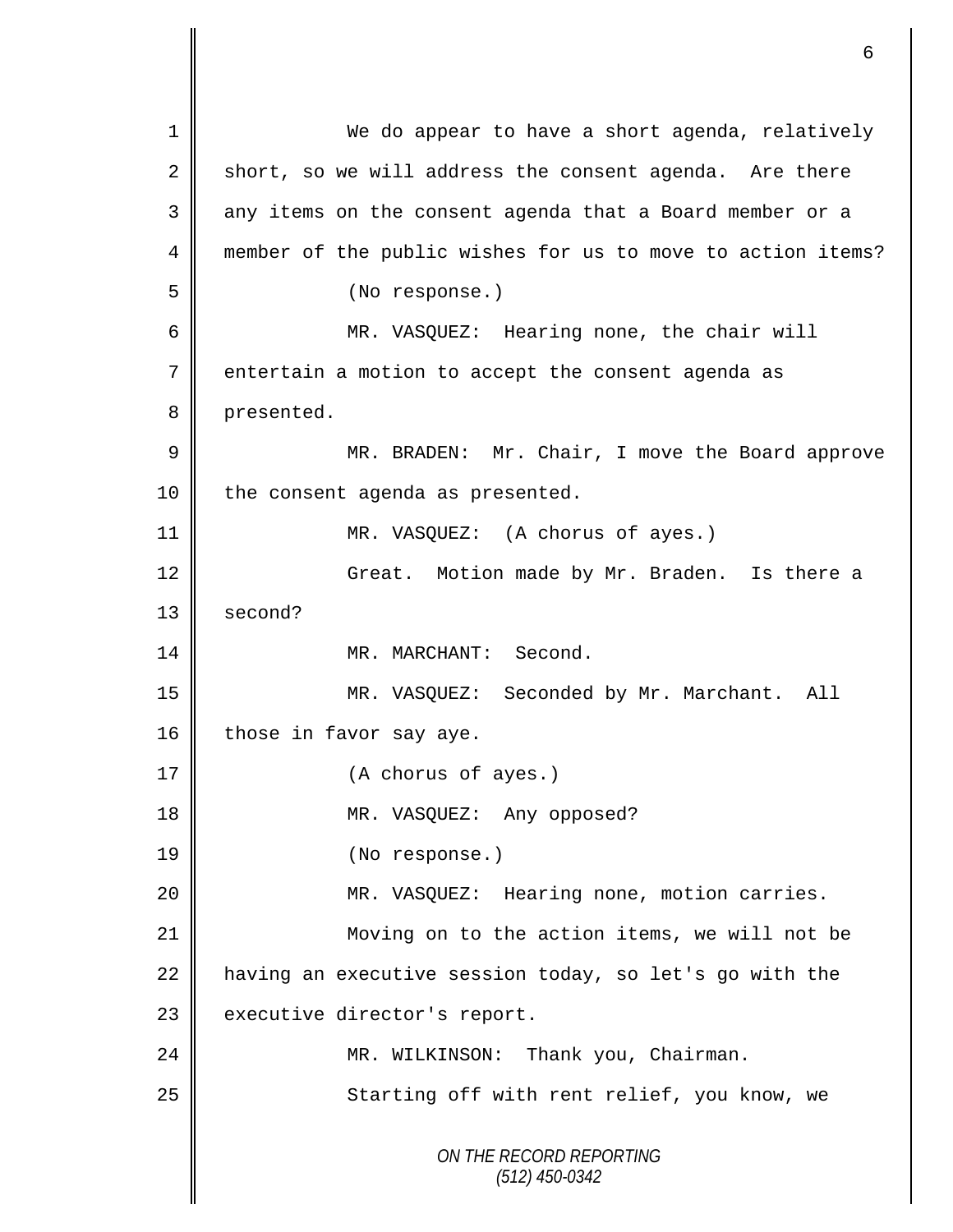*ON THE RECORD REPORTING (512) 450-0342* 1 We do appear to have a short agenda, relatively 2 short, so we will address the consent agenda. Are there 3 || any items on the consent agenda that a Board member or a 4 member of the public wishes for us to move to action items? 5 (No response.) 6 MR. VASQUEZ: Hearing none, the chair will 7 entertain a motion to accept the consent agenda as 8 presented. 9 || MR. BRADEN: Mr. Chair, I move the Board approve 10 | the consent agenda as presented. 11 || MR. VASQUEZ: (A chorus of ayes.) 12 Great. Motion made by Mr. Braden. Is there a 13 || second? 14 MR. MARCHANT: Second. 15 MR. VASQUEZ: Seconded by Mr. Marchant. All 16 those in favor say aye. 17 || (A chorus of ayes.) 18 || MR. VASQUEZ: Any opposed? 19 || (No response.) 20 || MR. VASQUEZ: Hearing none, motion carries. 21 Moving on to the action items, we will not be 22  $\parallel$  having an executive session today, so let's go with the 23 executive director's report. 24 MR. WILKINSON: Thank you, Chairman. 25 | Starting off with rent relief, you know, we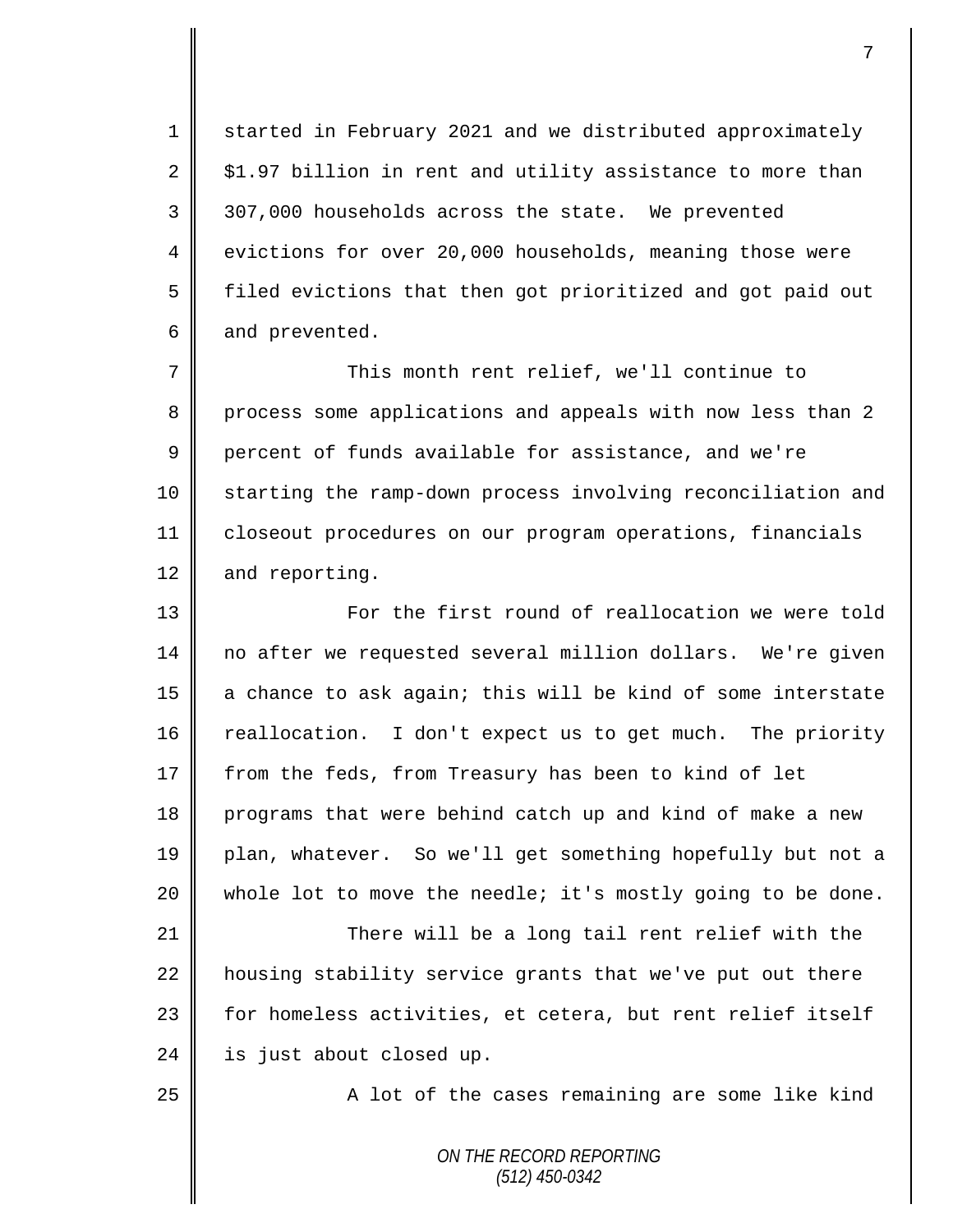1 started in February 2021 and we distributed approximately  $2 \parallel$  \$1.97 billion in rent and utility assistance to more than 3 307,000 households across the state. We prevented 4 evictions for over 20,000 households, meaning those were 5 | filed evictions that then got prioritized and got paid out  $6 \parallel$  and prevented.

7 This month rent relief, we'll continue to 8 process some applications and appeals with now less than 2 9 percent of funds available for assistance, and we're 10 | starting the ramp-down process involving reconciliation and 11 closeout procedures on our program operations, financials 12 and reporting.

13 || For the first round of reallocation we were told 14 no after we requested several million dollars. We're given 15  $\parallel$  a chance to ask again; this will be kind of some interstate 16 reallocation. I don't expect us to get much. The priority 17 from the feds, from Treasury has been to kind of let 18 programs that were behind catch up and kind of make a new 19 plan, whatever. So we'll get something hopefully but not a 20  $\parallel$  whole lot to move the needle; it's mostly going to be done. 21 | There will be a long tail rent relief with the  $22$  housing stability service grants that we've put out there 23 | for homeless activities, et cetera, but rent relief itself  $24$  | is just about closed up.

25 | A lot of the cases remaining are some like kind

*ON THE RECORD REPORTING (512) 450-0342*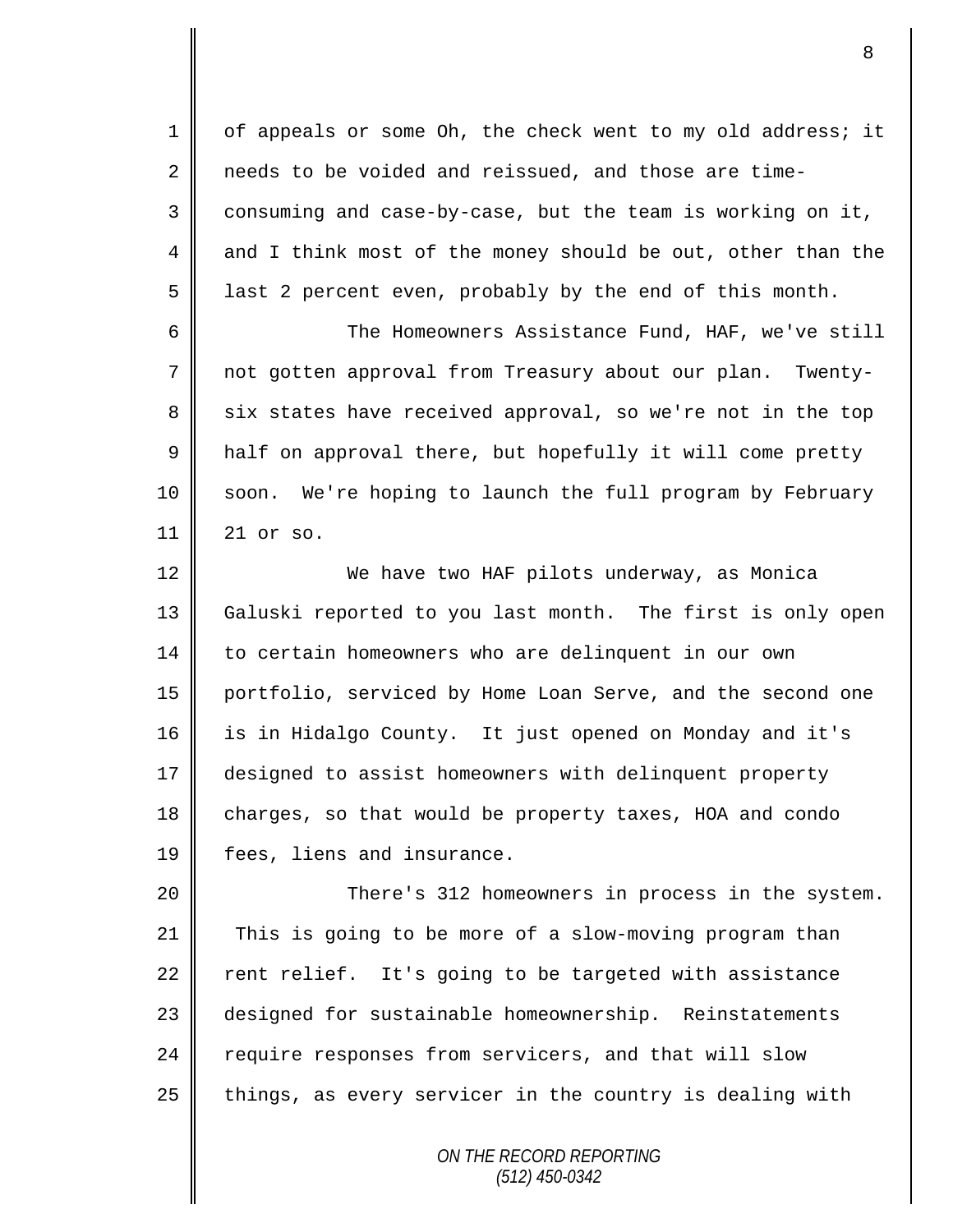1 | of appeals or some Oh, the check went to my old address; it 2 needs to be voided and reissued, and those are time- $3 \parallel$  consuming and case-by-case, but the team is working on it, 4 and I think most of the money should be out, other than the  $5 \parallel$  last 2 percent even, probably by the end of this month. 6 The Homeowners Assistance Fund, HAF, we've still 7 not gotten approval from Treasury about our plan. Twenty-8 six states have received approval, so we're not in the top  $9 \parallel$  half on approval there, but hopefully it will come pretty 10 | soon. We're hoping to launch the full program by February 11 21 or so. 12 We have two HAF pilots underway, as Monica 13 Galuski reported to you last month. The first is only open 14 to certain homeowners who are delinquent in our own

15 portfolio, serviced by Home Loan Serve, and the second one 16 is in Hidalgo County. It just opened on Monday and it's 17 designed to assist homeowners with delinquent property 18 charges, so that would be property taxes, HOA and condo 19 | fees, liens and insurance.

 There's 312 homeowners in process in the system. This is going to be more of a slow-moving program than  $\parallel$  rent relief. It's going to be targeted with assistance 23 designed for sustainable homeownership. Reinstatements 24 require responses from servicers, and that will slow things, as every servicer in the country is dealing with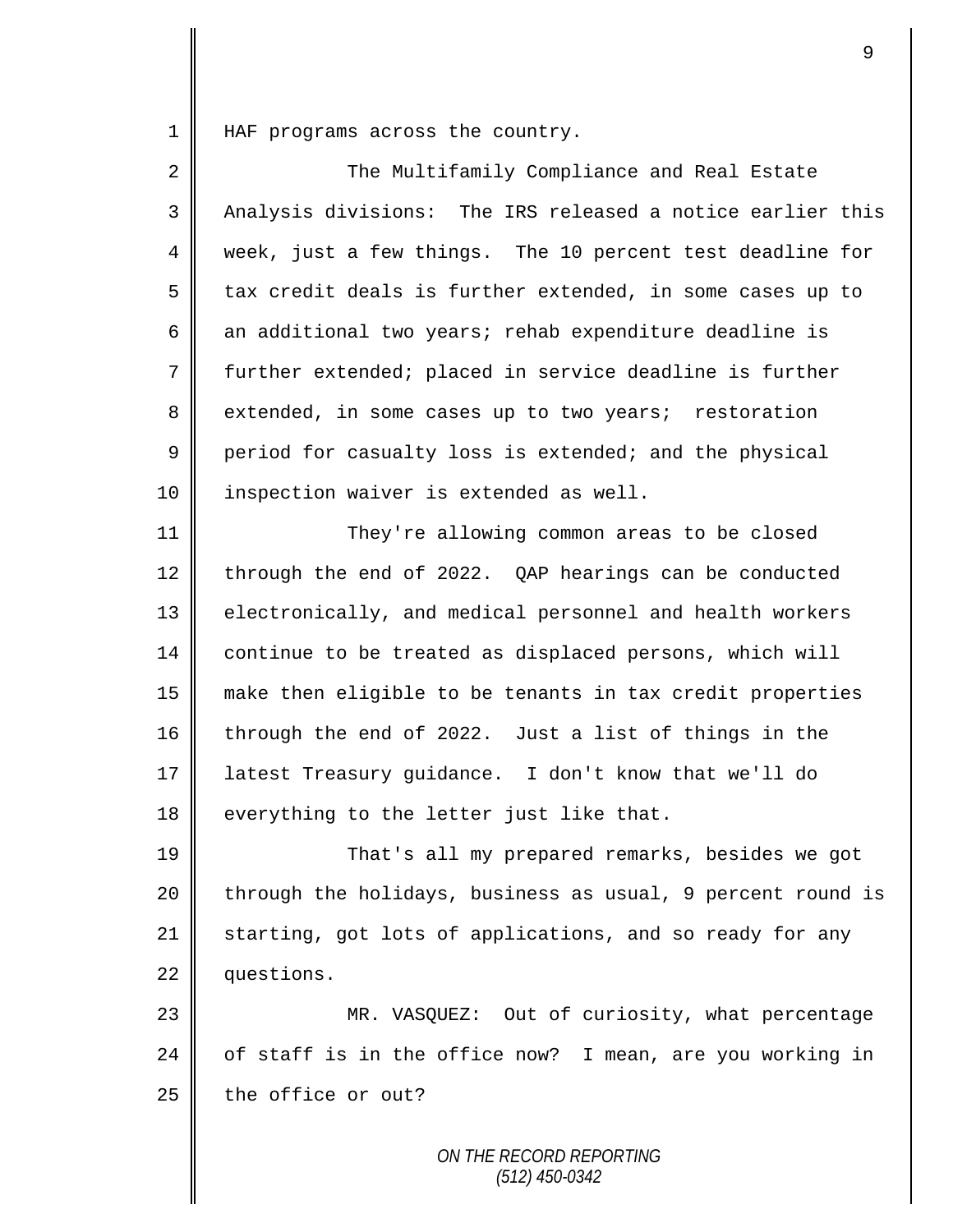1 | HAF programs across the country.

| $\overline{2}$ | The Multifamily Compliance and Real Estate                  |
|----------------|-------------------------------------------------------------|
| $\mathsf{3}$   | Analysis divisions: The IRS released a notice earlier this  |
| 4              | week, just a few things. The 10 percent test deadline for   |
| 5              | tax credit deals is further extended, in some cases up to   |
| 6              | an additional two years; rehab expenditure deadline is      |
| 7              | further extended; placed in service deadline is further     |
| 8              | extended, in some cases up to two years; restoration        |
| 9              | period for casualty loss is extended; and the physical      |
| 10             | inspection waiver is extended as well.                      |
| 11             | They're allowing common areas to be closed                  |
| 12             | through the end of 2022. QAP hearings can be conducted      |
| 13             | electronically, and medical personnel and health workers    |
| 14             | continue to be treated as displaced persons, which will     |
| 15             | make then eligible to be tenants in tax credit properties   |
| 16             | through the end of 2022. Just a list of things in the       |
| 17             | latest Treasury guidance. I don't know that we'll do        |
| 18             | everything to the letter just like that.                    |
| 19             | That's all my prepared remarks, besides we got              |
| 20             | through the holidays, business as usual, 9 percent round is |
| 21             | starting, got lots of applications, and so ready for any    |
| 22             | questions.                                                  |
| 23             | MR. VASQUEZ: Out of curiosity, what percentage              |
| 24             | of staff is in the office now? I mean, are you working in   |
| 25             | the office or out?                                          |
|                | ON THE RECORD REPORTING                                     |

*(512) 450-0342*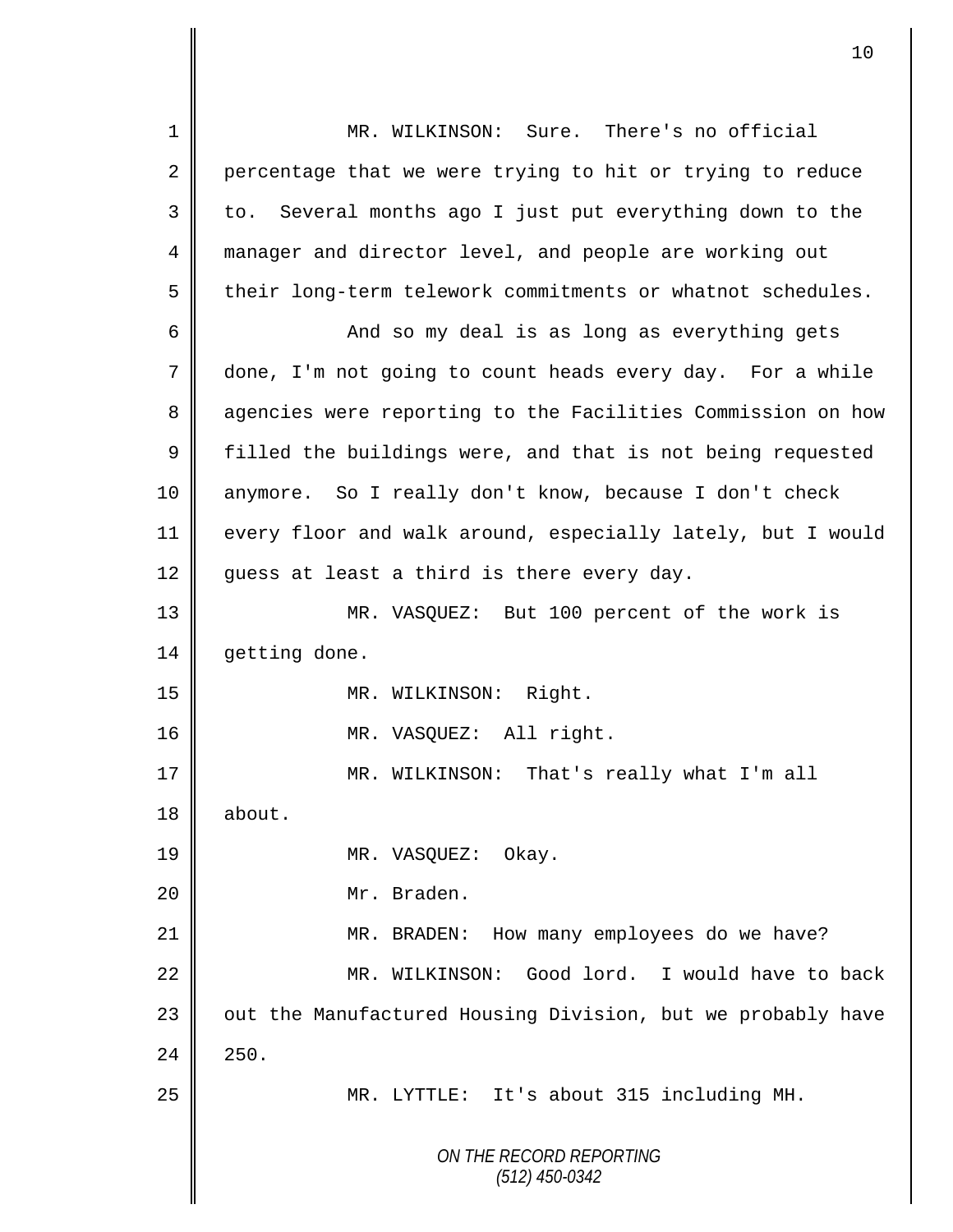*ON THE RECORD REPORTING (512) 450-0342* 1 MR. WILKINSON: Sure. There's no official 2 percentage that we were trying to hit or trying to reduce 3 || to. Several months ago I just put everything down to the 4 manager and director level, and people are working out 5 | their long-term telework commitments or whatnot schedules. 6 And so my deal is as long as everything gets 7 done, I'm not going to count heads every day. For a while 8 | agencies were reporting to the Facilities Commission on how  $9 \parallel$  filled the buildings were, and that is not being requested 10 anymore. So I really don't know, because I don't check 11 every floor and walk around, especially lately, but I would  $12$  guess at least a third is there every day. 13 MR. VASQUEZ: But 100 percent of the work is 14 getting done. 15 || MR. WILKINSON: Right. 16 || MR. VASQUEZ: All right. 17 || MR. WILKINSON: That's really what I'm all 18 about. 19 NR. VASQUEZ: Okay. 20 || Mr. Braden. 21 **MR. BRADEN:** How many employees do we have? 22 MR. WILKINSON: Good lord. I would have to back 23 || out the Manufactured Housing Division, but we probably have  $24 \parallel 250.$ 25 MR. LYTTLE: It's about 315 including MH.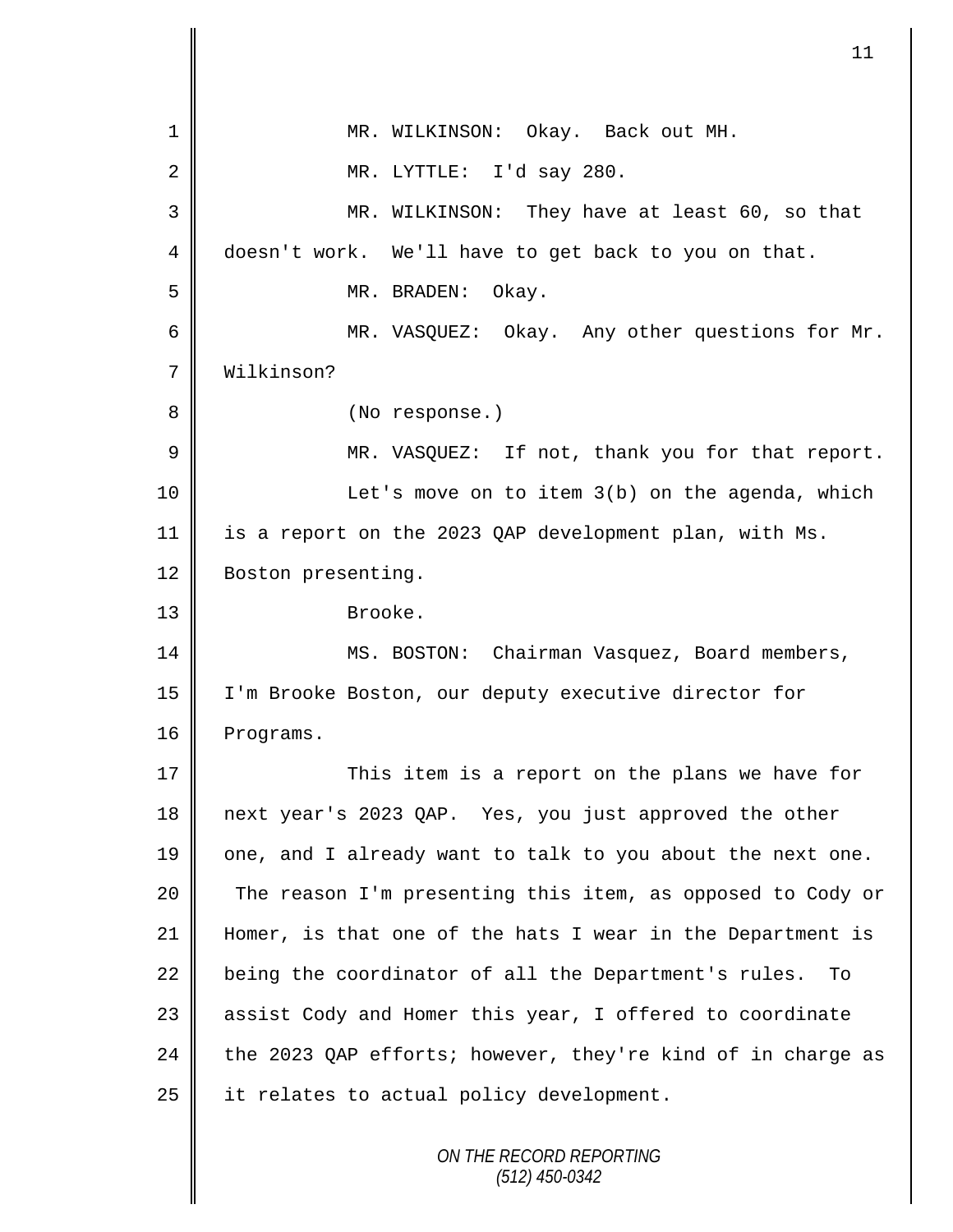1 || MR. WILKINSON: Okay. Back out MH.  $2 \parallel$  MR. LYTTLE: I'd say 280. 3 MR. WILKINSON: They have at least 60, so that 4 doesn't work. We'll have to get back to you on that. 5 || MR. BRADEN: Okay. 6 MR. VASQUEZ: Okay. Any other questions for Mr. 7 Wilkinson? 8 || (No response.) 9 MR. VASQUEZ: If not, thank you for that report. 10 | Let's move on to item 3(b) on the agenda, which 11 is a report on the 2023 QAP development plan, with Ms. 12 | Boston presenting. 13 Brooke. 14 || MS. BOSTON: Chairman Vasquez, Board members, 15 I'm Brooke Boston, our deputy executive director for 16 | Programs. 17 || This item is a report on the plans we have for 18 next year's 2023 QAP. Yes, you just approved the other 19  $\parallel$  one, and I already want to talk to you about the next one. 20 The reason I'm presenting this item, as opposed to Cody or 21 Homer, is that one of the hats I wear in the Department is  $22$  being the coordinator of all the Department's rules. To 23 || assist Cody and Homer this year, I offered to coordinate 24 the 2023 QAP efforts; however, they're kind of in charge as 25 | it relates to actual policy development.

11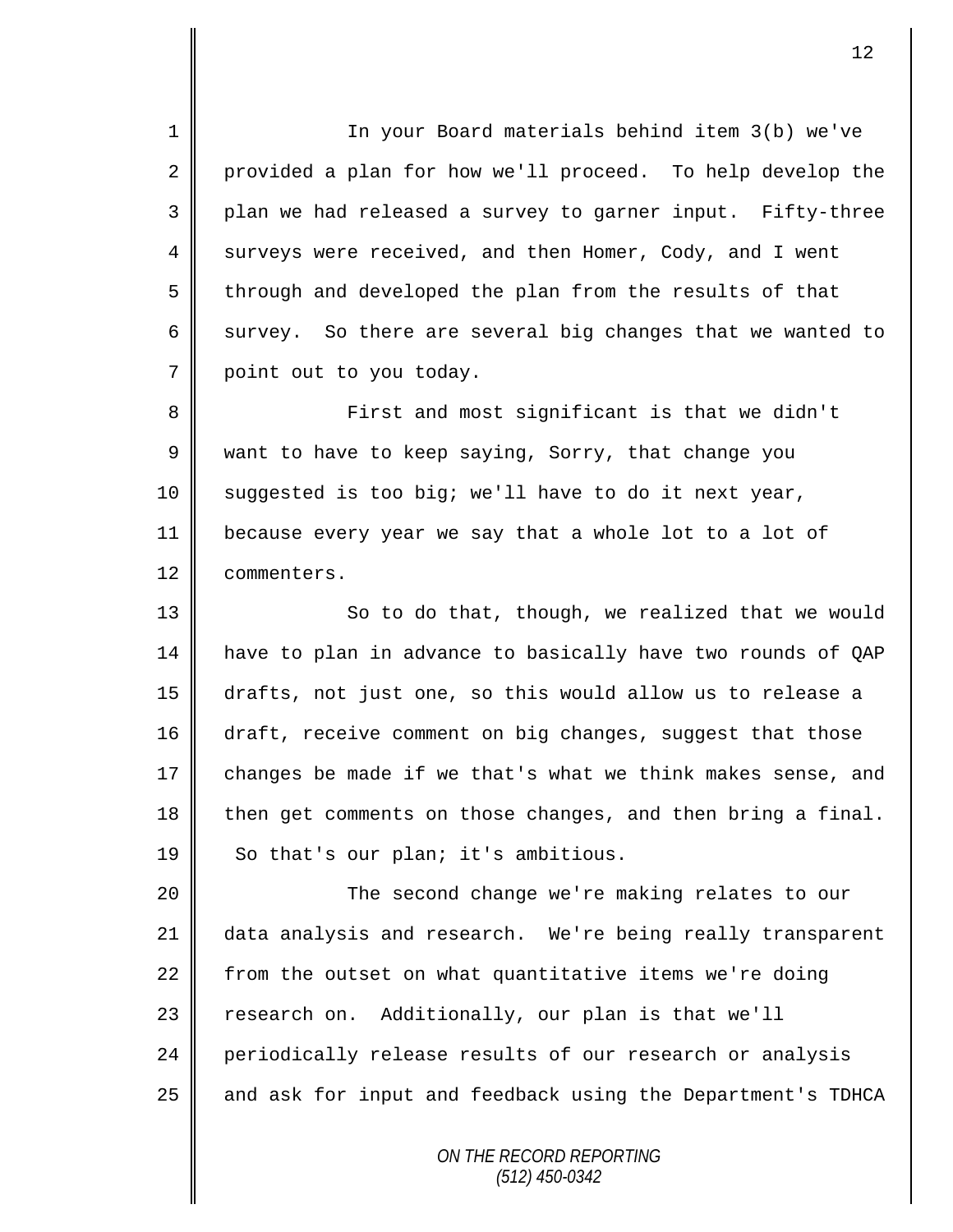1 || In your Board materials behind item 3(b) we've 2 provided a plan for how we'll proceed. To help develop the 3 || plan we had released a survey to garner input. Fifty-three 4 surveys were received, and then Homer, Cody, and I went 5 through and developed the plan from the results of that 6 survey. So there are several big changes that we wanted to 7 point out to you today.

8 || First and most significant is that we didn't 9 want to have to keep saying, Sorry, that change you 10 || suggested is too big; we'll have to do it next year, 11 because every year we say that a whole lot to a lot of 12 **Commenters.** 

13 || So to do that, though, we realized that we would 14 have to plan in advance to basically have two rounds of QAP 15 drafts, not just one, so this would allow us to release a 16 draft, receive comment on big changes, suggest that those 17  $\parallel$  changes be made if we that's what we think makes sense, and 18 then get comments on those changes, and then bring a final. 19 | So that's our plan; it's ambitious.

 The second change we're making relates to our data analysis and research. We're being really transparent  $\parallel$  from the outset on what quantitative items we're doing 23 | research on. Additionally, our plan is that we'll 24 periodically release results of our research or analysis and ask for input and feedback using the Department's TDHCA

> *ON THE RECORD REPORTING (512) 450-0342*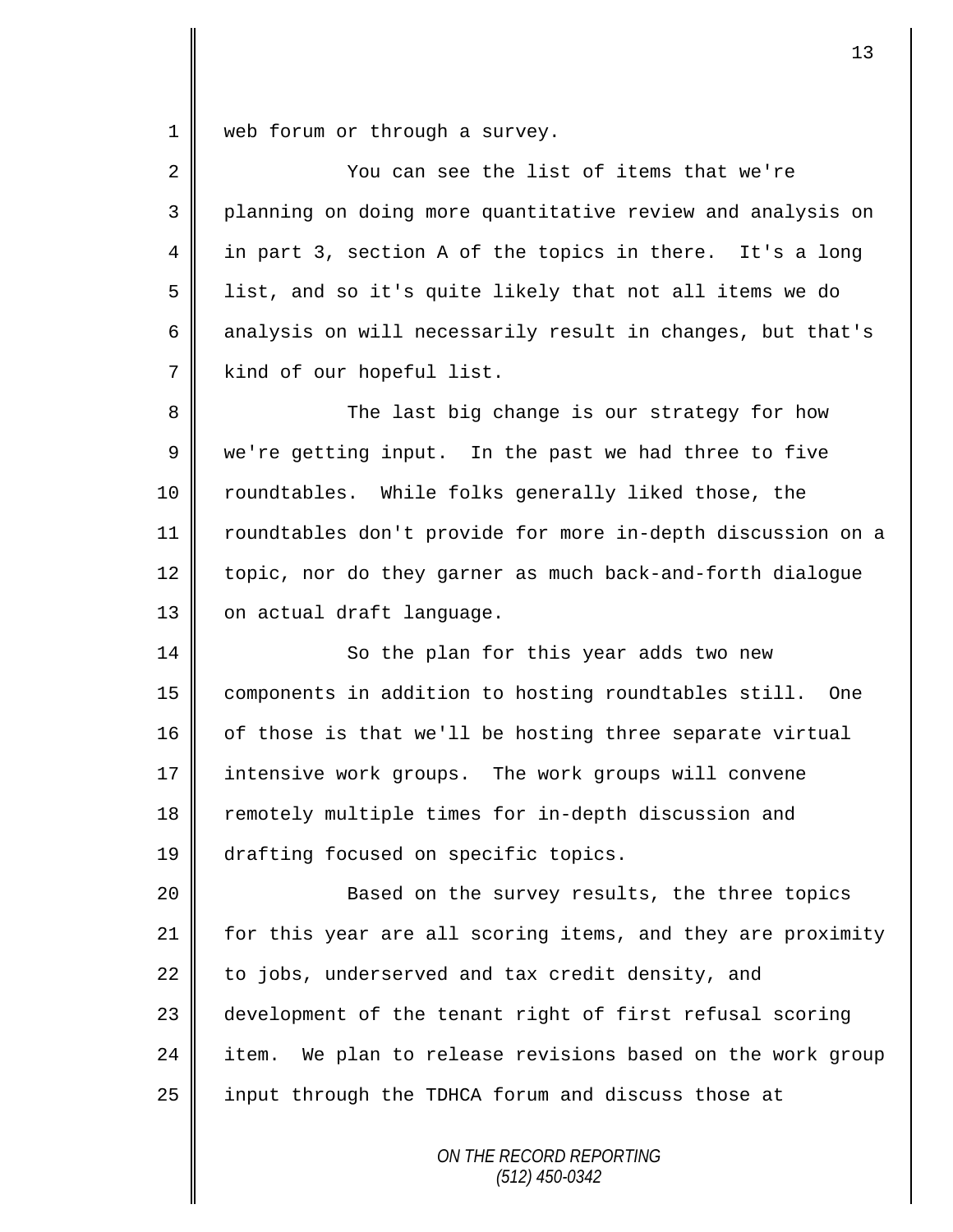1 web forum or through a survey.

| $\overline{2}$ | You can see the list of items that we're                    |
|----------------|-------------------------------------------------------------|
| 3              | planning on doing more quantitative review and analysis on  |
| 4              | in part 3, section A of the topics in there. It's a long    |
| 5              | list, and so it's quite likely that not all items we do     |
| 6              | analysis on will necessarily result in changes, but that's  |
| 7              | kind of our hopeful list.                                   |
| 8              | The last big change is our strategy for how                 |
| 9              | we're getting input. In the past we had three to five       |
| 10             | roundtables. While folks generally liked those, the         |
| 11             | roundtables don't provide for more in-depth discussion on a |
| 12             | topic, nor do they garner as much back-and-forth dialogue   |
| 13             | on actual draft language.                                   |
| 14             | So the plan for this year adds two new                      |
| 15             | components in addition to hosting roundtables still. One    |
| 16             | of those is that we'll be hosting three separate virtual    |
| 17             | intensive work groups. The work groups will convene         |
| 18             | remotely multiple times for in-depth discussion and         |
| 19             | drafting focused on specific topics.                        |
| 20             | Based on the survey results, the three topics               |
| 21             | for this year are all scoring items, and they are proximity |
| 22             | to jobs, underserved and tax credit density, and            |
| 23             | development of the tenant right of first refusal scoring    |
| 24             | item. We plan to release revisions based on the work group  |
| 25             | input through the TDHCA forum and discuss those at          |
|                |                                                             |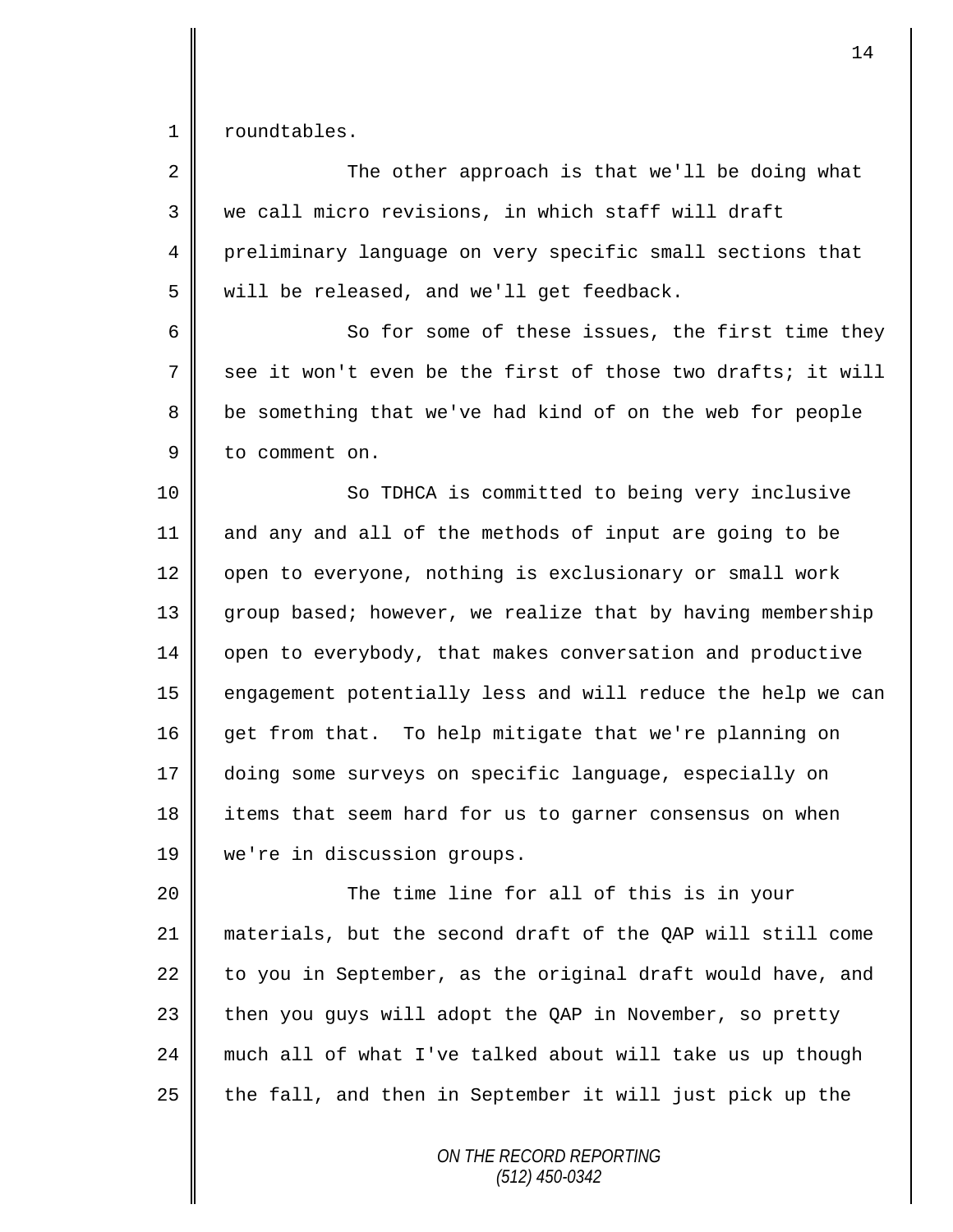1 | roundtables.

| $\overline{2}$ | The other approach is that we'll be doing what              |
|----------------|-------------------------------------------------------------|
| 3              | we call micro revisions, in which staff will draft          |
| 4              | preliminary language on very specific small sections that   |
| 5              | will be released, and we'll get feedback.                   |
| 6              | So for some of these issues, the first time they            |
| 7              | see it won't even be the first of those two drafts; it will |
| 8              | be something that we've had kind of on the web for people   |
| 9              | to comment on.                                              |
| 10             | So TDHCA is committed to being very inclusive               |
| 11             | and any and all of the methods of input are going to be     |
| 12             | open to everyone, nothing is exclusionary or small work     |
| 13             | group based; however, we realize that by having membership  |
| 14             | open to everybody, that makes conversation and productive   |
| 15             | engagement potentially less and will reduce the help we can |
| 16             | get from that. To help mitigate that we're planning on      |
| 17             | doing some surveys on specific language, especially on      |
| 18             | items that seem hard for us to garner consensus on when     |
| 19             | we're in discussion groups.                                 |
| 20             | The time line for all of this is in your                    |
| 21             | materials, but the second draft of the QAP will still come  |
| 22             | to you in September, as the original draft would have, and  |
| 23             | then you guys will adopt the QAP in November, so pretty     |
| 24             | much all of what I've talked about will take us up though   |
| 25             | the fall, and then in September it will just pick up the    |
|                |                                                             |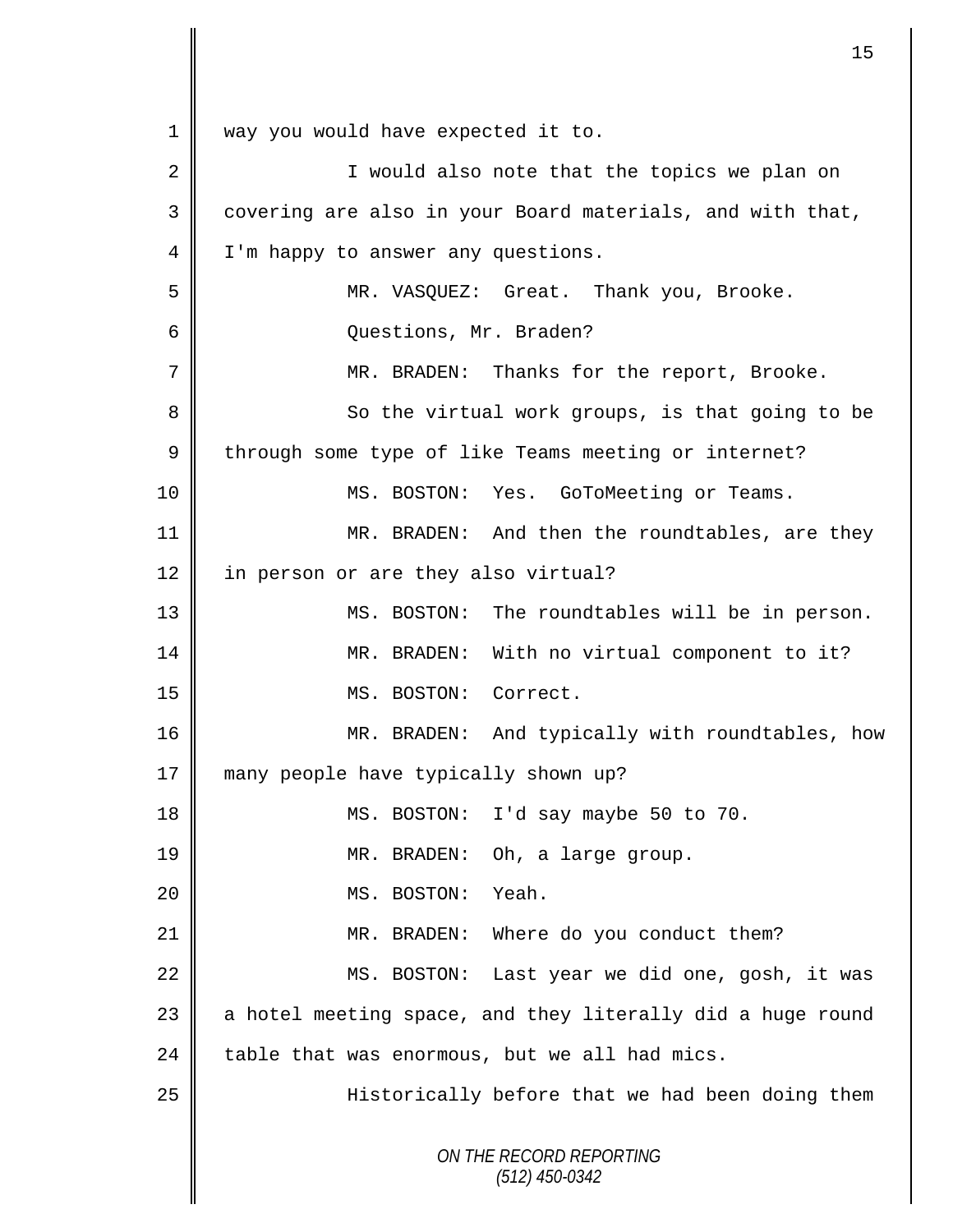*ON THE RECORD REPORTING (512) 450-0342* 1 || way you would have expected it to. 2 || I would also note that the topics we plan on 3 covering are also in your Board materials, and with that, 4 | I'm happy to answer any questions. 5 MR. VASQUEZ: Great. Thank you, Brooke. 6 Questions, Mr. Braden? 7 MR. BRADEN: Thanks for the report, Brooke. 8 || So the virtual work groups, is that going to be 9 through some type of like Teams meeting or internet? 10 || MS. BOSTON: Yes. GoToMeeting or Teams. 11 | MR. BRADEN: And then the roundtables, are they 12 in person or are they also virtual? 13 || MS. BOSTON: The roundtables will be in person. 14 || MR. BRADEN: With no virtual component to it? 15 MS. BOSTON: Correct. 16 MR. BRADEN: And typically with roundtables, how 17 many people have typically shown up? 18 MS. BOSTON: I'd say maybe 50 to 70. 19 || MR. BRADEN: Oh, a large group. 20 MS. BOSTON: Yeah. 21 MR. BRADEN: Where do you conduct them? 22 MS. BOSTON: Last year we did one, gosh, it was  $23$  a hotel meeting space, and they literally did a huge round 24 table that was enormous, but we all had mics. 25 | Historically before that we had been doing them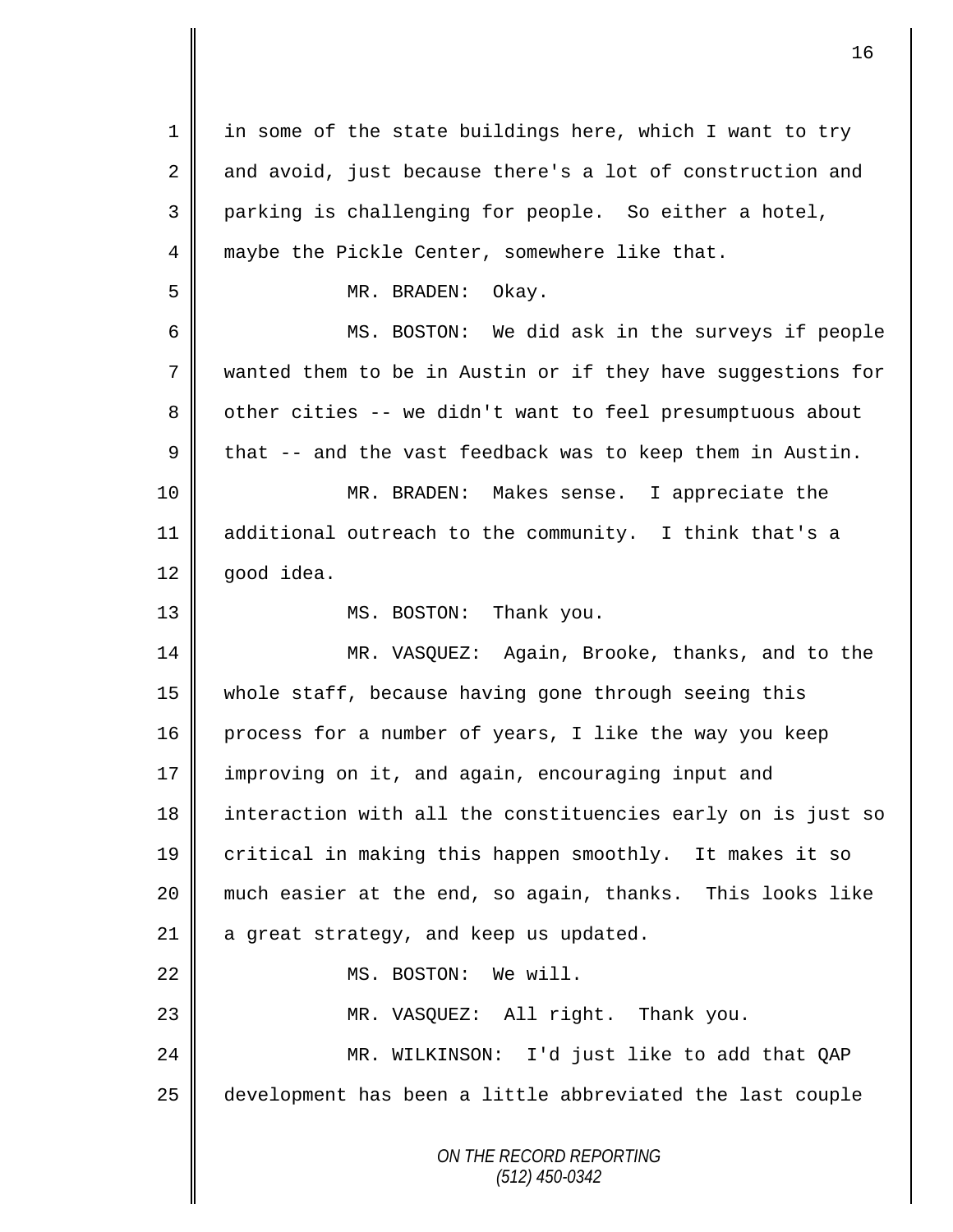| $\mathbf 1$ | in some of the state buildings here, which I want to try    |
|-------------|-------------------------------------------------------------|
| 2           | and avoid, just because there's a lot of construction and   |
| 3           | parking is challenging for people. So either a hotel,       |
| 4           | maybe the Pickle Center, somewhere like that.               |
| 5           | MR. BRADEN:<br>Okay.                                        |
| 6           | MS. BOSTON: We did ask in the surveys if people             |
| 7           | wanted them to be in Austin or if they have suggestions for |
| 8           | other cities -- we didn't want to feel presumptuous about   |
| 9           | that -- and the vast feedback was to keep them in Austin.   |
| 10          | MR. BRADEN: Makes sense. I appreciate the                   |
| 11          | additional outreach to the community. I think that's a      |
| 12          | good idea.                                                  |
| 13          | MS. BOSTON: Thank you.                                      |
| 14          | MR. VASQUEZ: Again, Brooke, thanks, and to the              |
| 15          | whole staff, because having gone through seeing this        |
| 16          | process for a number of years, I like the way you keep      |
| 17          | improving on it, and again, encouraging input and           |
| 18          | interaction with all the constituencies early on is just so |
| 19          | critical in making this happen smoothly. It makes it so     |
| 20          | much easier at the end, so again, thanks. This looks like   |
| 21          | a great strategy, and keep us updated.                      |
| 22          | MS. BOSTON: We will.                                        |
| 23          | MR. VASQUEZ: All right. Thank you.                          |
| 24          | MR. WILKINSON: I'd just like to add that QAP                |
| 25          | development has been a little abbreviated the last couple   |
|             | ON THE RECORD REPORTING<br>$(512)$ 450-0342                 |

 $\overline{\mathsf{I}}$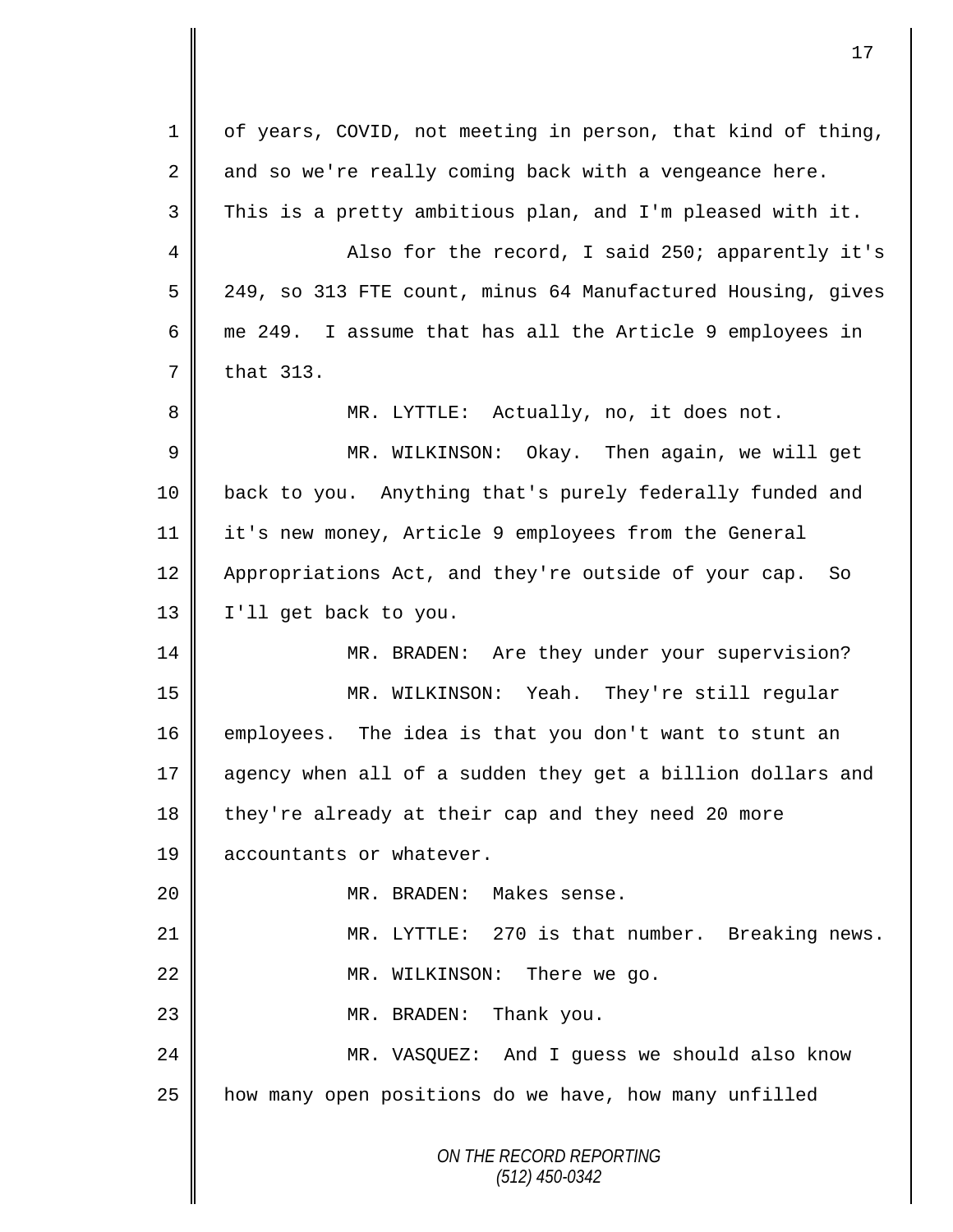*ON THE RECORD REPORTING (512) 450-0342* 1 of years, COVID, not meeting in person, that kind of thing,  $2 \parallel$  and so we're really coming back with a vengeance here.  $3 \parallel$  This is a pretty ambitious plan, and I'm pleased with it. 4 Also for the record, I said 250; apparently it's 5 249, so 313 FTE count, minus 64 Manufactured Housing, gives 6 me 249. I assume that has all the Article 9 employees in  $7 \parallel$  that 313. 8 MR. LYTTLE: Actually, no, it does not. 9 MR. WILKINSON: Okay. Then again, we will get 10 back to you. Anything that's purely federally funded and 11 it's new money, Article 9 employees from the General 12 Appropriations Act, and they're outside of your cap. So 13 | I'll get back to you. 14 MR. BRADEN: Are they under your supervision? 15 MR. WILKINSON: Yeah. They're still regular 16 employees. The idea is that you don't want to stunt an 17 agency when all of a sudden they get a billion dollars and 18 they're already at their cap and they need 20 more 19 **accountants or whatever.** 20 MR. BRADEN: Makes sense. 21 MR. LYTTLE: 270 is that number. Breaking news. 22 || MR. WILKINSON: There we go. 23 **||** MR. BRADEN: Thank you. 24 MR. VASQUEZ: And I guess we should also know 25 | how many open positions do we have, how many unfilled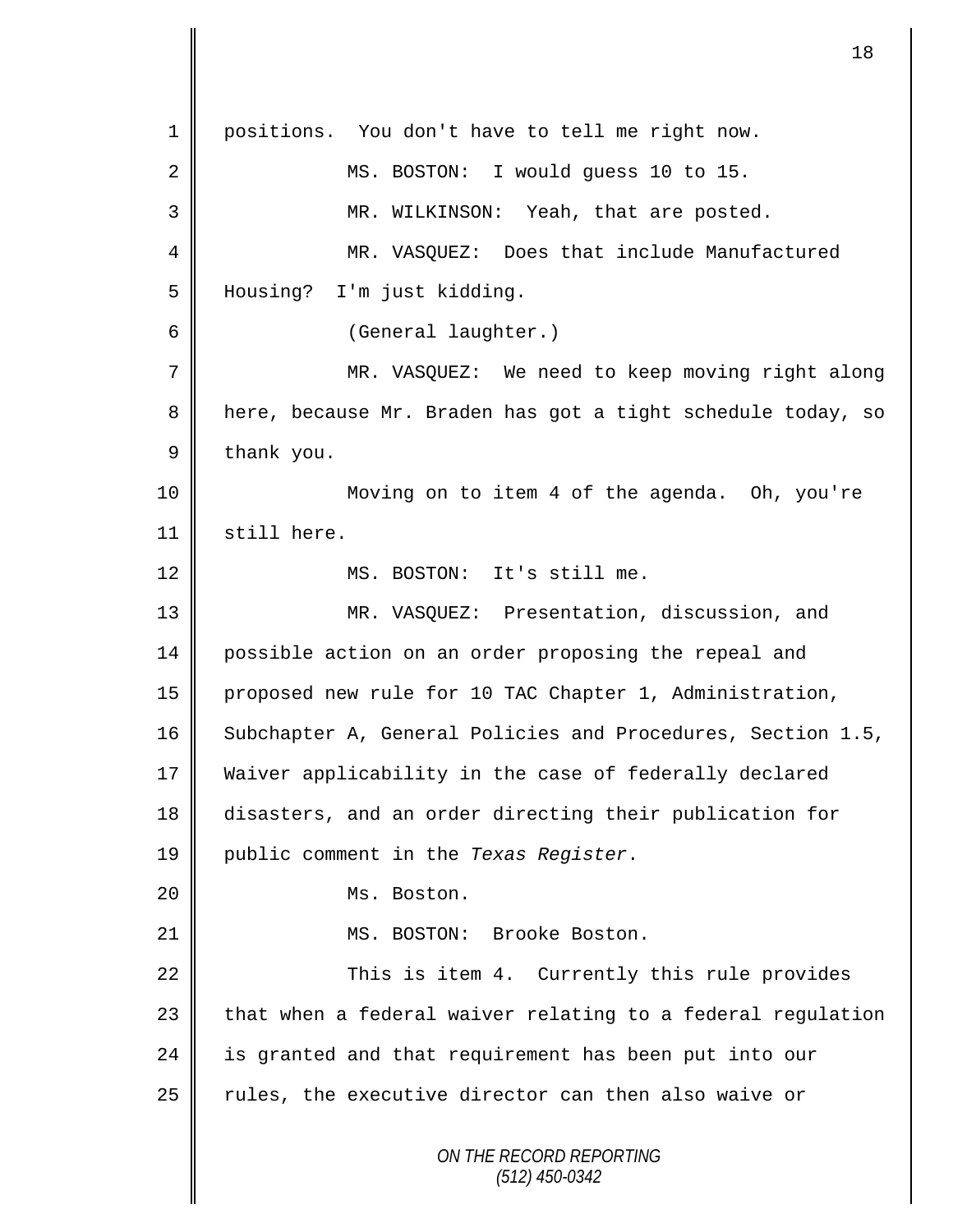*ON THE RECORD REPORTING (512) 450-0342* positions. You don't have to tell me right now. 2 || MS. BOSTON: I would guess 10 to 15. MR. WILKINSON: Yeah, that are posted. MR. VASQUEZ: Does that include Manufactured Housing? I'm just kidding. (General laughter.) MR. VASQUEZ: We need to keep moving right along 8 | here, because Mr. Braden has got a tight schedule today, so  $9 \parallel$  thank you. Moving on to item 4 of the agenda. Oh, you're 11 | still here. 12 || MS. BOSTON: It's still me. MR. VASQUEZ: Presentation, discussion, and possible action on an order proposing the repeal and proposed new rule for 10 TAC Chapter 1, Administration, 16 Subchapter A, General Policies and Procedures, Section 1.5, Waiver applicability in the case of federally declared disasters, and an order directing their publication for public comment in the *Texas Register*. Ms. Boston. 21 || MS. BOSTON: Brooke Boston. 22 | This is item 4. Currently this rule provides | that when a federal waiver relating to a federal regulation 24 is granted and that requirement has been put into our | rules, the executive director can then also waive or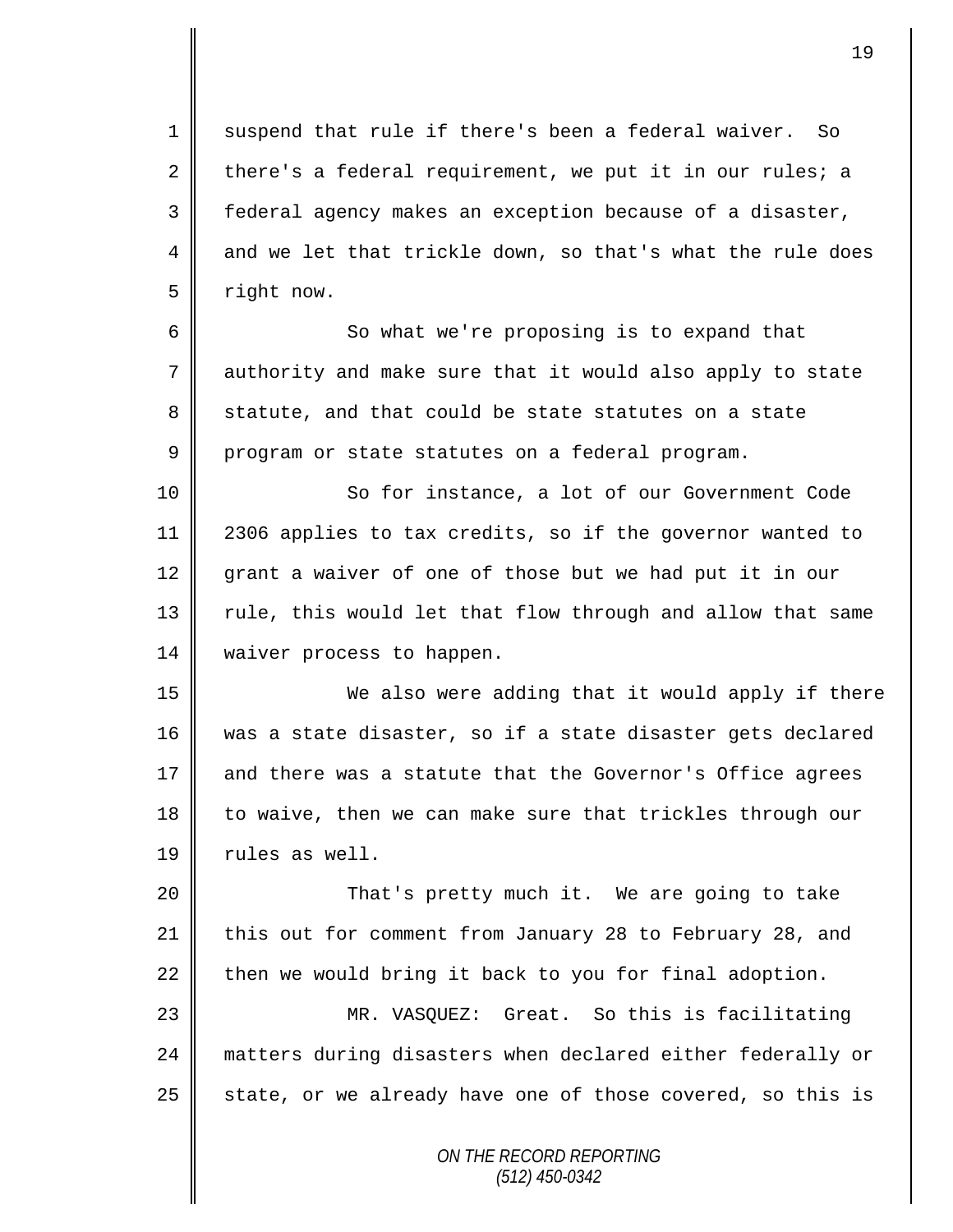1 suspend that rule if there's been a federal waiver. So 2 there's a federal requirement, we put it in our rules; a 3 federal agency makes an exception because of a disaster, 4 and we let that trickle down, so that's what the rule does 5 right now.

6 So what we're proposing is to expand that 7 authority and make sure that it would also apply to state 8 statute, and that could be state statutes on a state 9 program or state statutes on a federal program.

10 || So for instance, a lot of our Government Code 11 2306 applies to tax credits, so if the governor wanted to 12 grant a waiver of one of those but we had put it in our 13 || rule, this would let that flow through and allow that same 14 | waiver process to happen.

15 We also were adding that it would apply if there 16 was a state disaster, so if a state disaster gets declared 17 and there was a statute that the Governor's Office agrees 18 to waive, then we can make sure that trickles through our 19  $\parallel$  rules as well.

20 That's pretty much it. We are going to take 21 this out for comment from January 28 to February 28, and 22 then we would bring it back to you for final adoption. 23 MR. VASQUEZ: Great. So this is facilitating

24 matters during disasters when declared either federally or 25  $\parallel$  state, or we already have one of those covered, so this is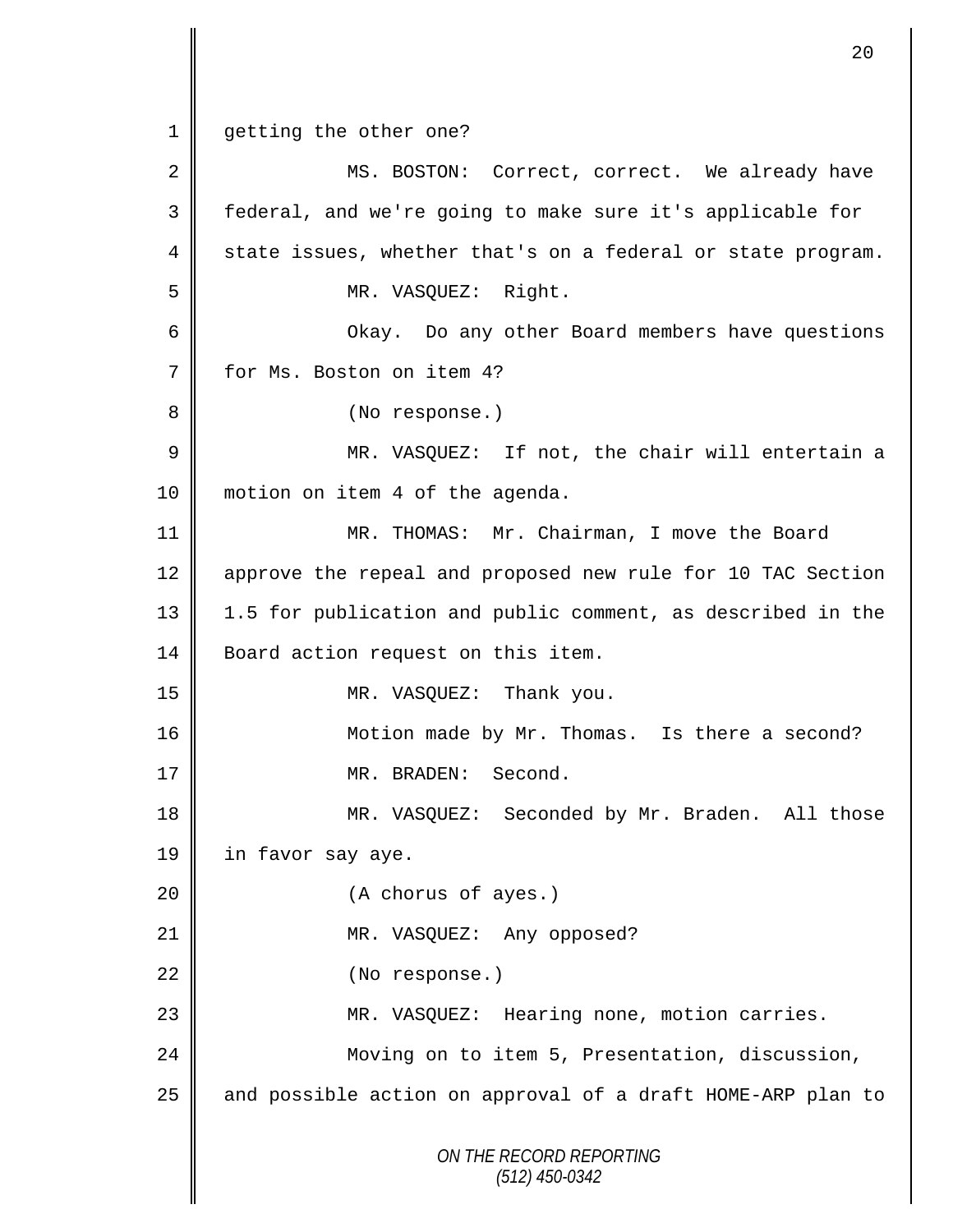*ON THE RECORD REPORTING (512) 450-0342* 1 | getting the other one? 2 MS. BOSTON: Correct, correct. We already have 3 || federal, and we're going to make sure it's applicable for  $4 \parallel$  state issues, whether that's on a federal or state program. 5 MR. VASQUEZ: Right. 6 Okay. Do any other Board members have questions 7 | for Ms. Boston on item 4? 8 || (No response.) 9 || MR. VASQUEZ: If not, the chair will entertain a 10 | motion on item 4 of the agenda. 11 MR. THOMAS: Mr. Chairman, I move the Board 12 approve the repeal and proposed new rule for 10 TAC Section 13 1.5 for publication and public comment, as described in the 14 | Board action request on this item. 15 MR. VASQUEZ: Thank you. 16 Motion made by Mr. Thomas. Is there a second? 17 || MR. BRADEN: Second. 18 MR. VASQUEZ: Seconded by Mr. Braden. All those 19 | in favor say aye. 20 || (A chorus of ayes.) 21 || MR. VASQUEZ: Any opposed? 22 | (No response.) 23 MR. VASQUEZ: Hearing none, motion carries. 24 | Moving on to item 5, Presentation, discussion, 25 || and possible action on approval of a draft HOME-ARP plan to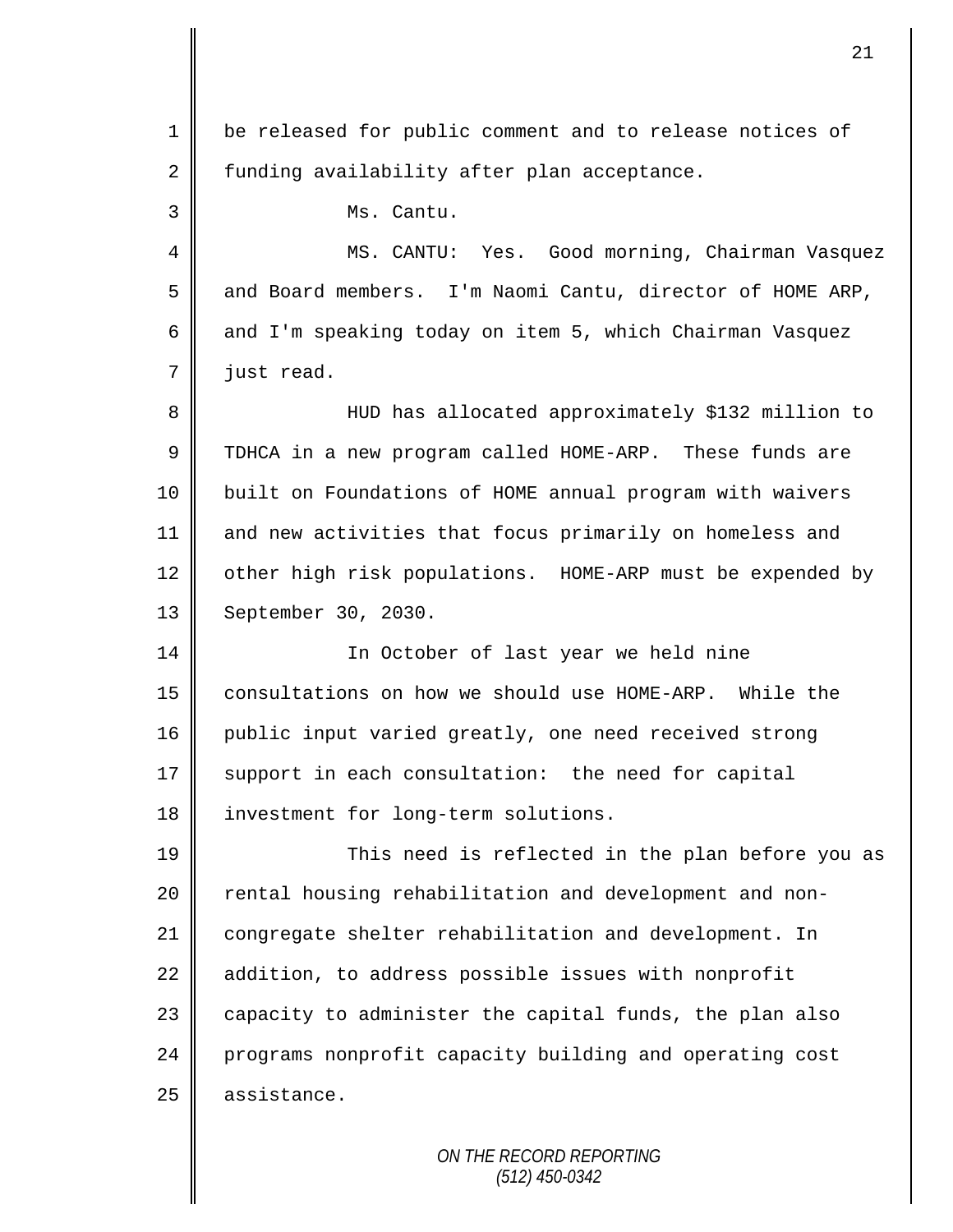| $\mathbf 1$ | be released for public comment and to release notices of  |
|-------------|-----------------------------------------------------------|
| 2           | funding availability after plan acceptance.               |
| 3           | Ms. Cantu.                                                |
| 4           | MS. CANTU: Yes. Good morning, Chairman Vasquez            |
| 5           | and Board members. I'm Naomi Cantu, director of HOME ARP, |
| 6           | and I'm speaking today on item 5, which Chairman Vasquez  |
| 7           | just read.                                                |
| 8           | HUD has allocated approximately \$132 million to          |
| 9           | TDHCA in a new program called HOME-ARP. These funds are   |
| 10          | built on Foundations of HOME annual program with waivers  |
| 11          | and new activities that focus primarily on homeless and   |
| 12          | other high risk populations. HOME-ARP must be expended by |
| 13          | September 30, 2030.                                       |
| 14          | In October of last year we held nine                      |
| 15          | consultations on how we should use HOME-ARP. While the    |
| 16          | public input varied greatly, one need received strong     |
| 17          | support in each consultation: the need for capital        |
| 18          | investment for long-term solutions.                       |
| 19          | This need is reflected in the plan before you as          |
| 20          | rental housing rehabilitation and development and non-    |
| 21          | congregate shelter rehabilitation and development. In     |
| 22          | addition, to address possible issues with nonprofit       |
| 23          | capacity to administer the capital funds, the plan also   |
| 24          | programs nonprofit capacity building and operating cost   |
| 25          | assistance.                                               |
|             |                                                           |

 $\mathsf{I}$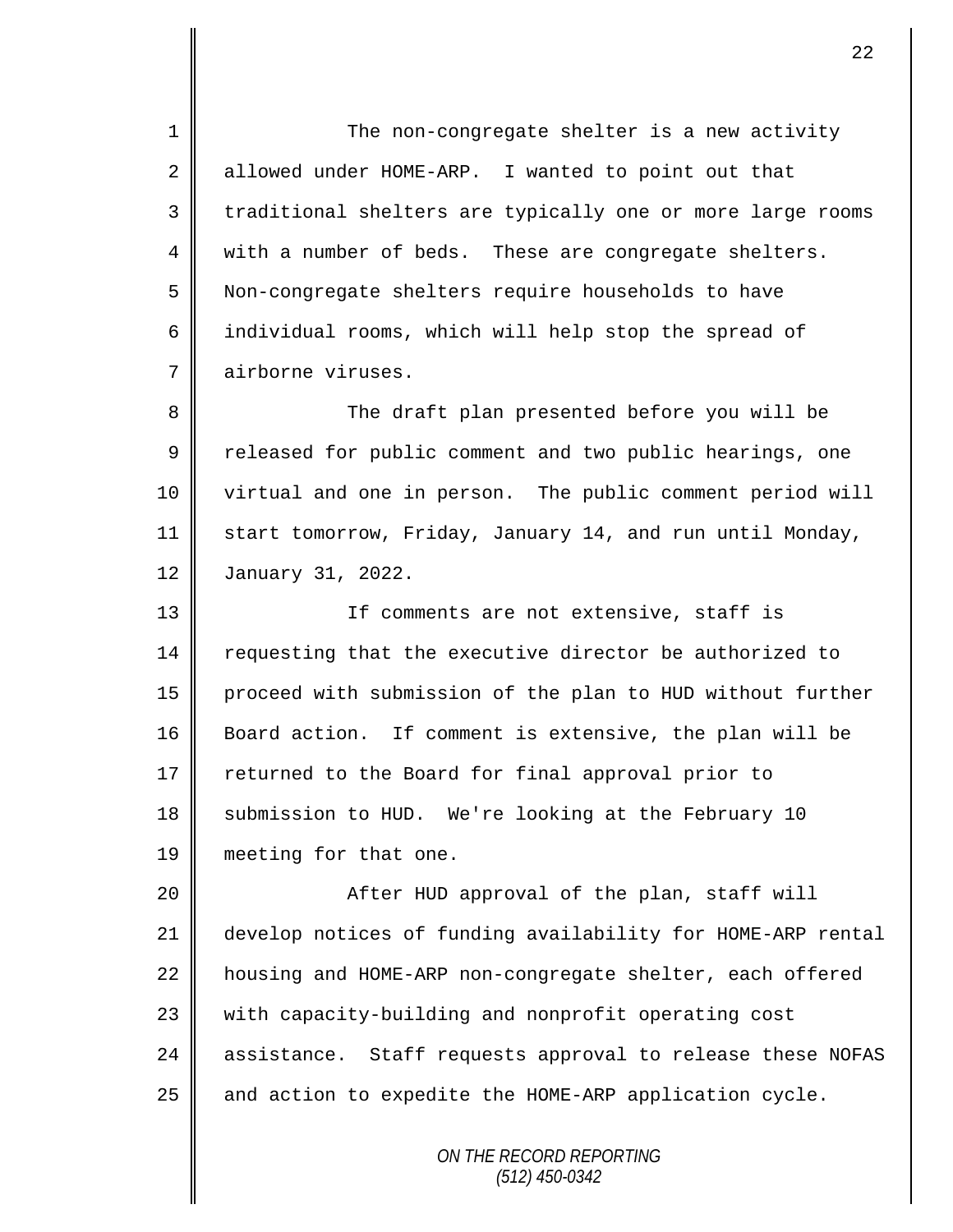1 The non-congregate shelter is a new activity  $2 \parallel$  allowed under HOME-ARP. I wanted to point out that 3 || traditional shelters are typically one or more large rooms 4 || with a number of beds. These are congregate shelters. 5 Non-congregate shelters require households to have 6 | individual rooms, which will help stop the spread of 7 airborne viruses. 8 The draft plan presented before you will be 9 Teleased for public comment and two public hearings, one 10 virtual and one in person. The public comment period will 11 Start tomorrow, Friday, January 14, and run until Monday, 12 January 31, 2022. 13 || If comments are not extensive, staff is 14 Tequesting that the executive director be authorized to 15 proceed with submission of the plan to HUD without further 16 Board action. If comment is extensive, the plan will be 17 returned to the Board for final approval prior to 18 Submission to HUD. We're looking at the February 10 19 meeting for that one. 20 || After HUD approval of the plan, staff will 21 develop notices of funding availability for HOME-ARP rental 22 | housing and HOME-ARP non-congregate shelter, each offered 23 | with capacity-building and nonprofit operating cost 24 assistance. Staff requests approval to release these NOFAS 25  $\parallel$  and action to expedite the HOME-ARP application cycle.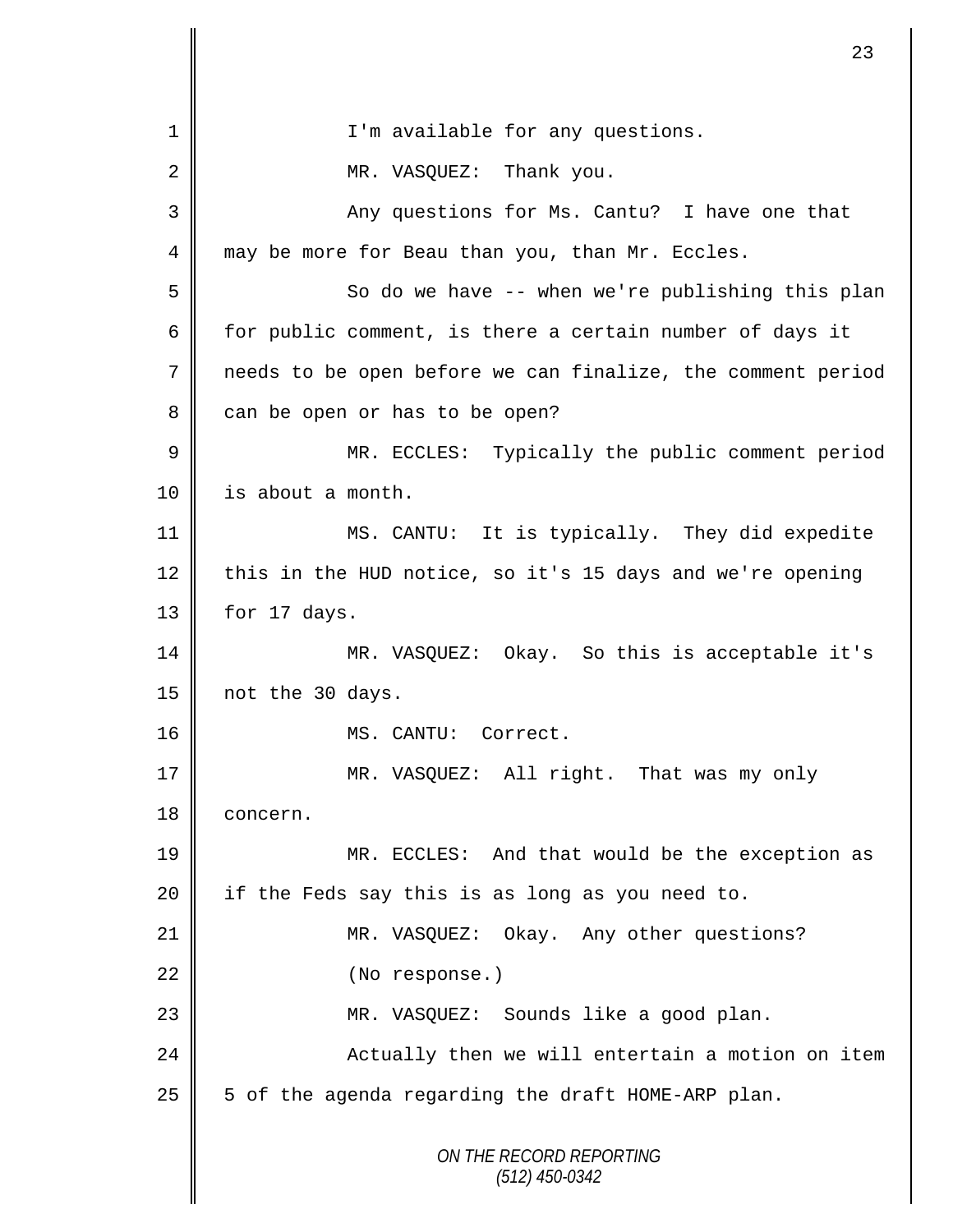*ON THE RECORD REPORTING (512) 450-0342* 1 || I'm available for any questions. 2 || MR. VASQUEZ: Thank you. 3 || Any questions for Ms. Cantu? I have one that 4 may be more for Beau than you, than Mr. Eccles. 5 So do we have -- when we're publishing this plan 6 for public comment, is there a certain number of days it 7 needs to be open before we can finalize, the comment period 8 can be open or has to be open? 9 || MR. ECCLES: Typically the public comment period 10 | is about a month. 11 MS. CANTU: It is typically. They did expedite 12 this in the HUD notice, so it's 15 days and we're opening  $13$  | for 17 days. 14 MR. VASQUEZ: Okay. So this is acceptable it's 15 not the 30 days. 16 || MS. CANTU: Correct. 17 || MR. VASQUEZ: All right. That was my only 18 | concern. 19 MR. ECCLES: And that would be the exception as 20 || if the Feds say this is as long as you need to. 21 || MR. VASQUEZ: Okay. Any other questions? 22 | (No response.) 23 MR. VASQUEZ: Sounds like a good plan. 24 | Actually then we will entertain a motion on item  $25 \parallel 5$  of the agenda regarding the draft HOME-ARP plan.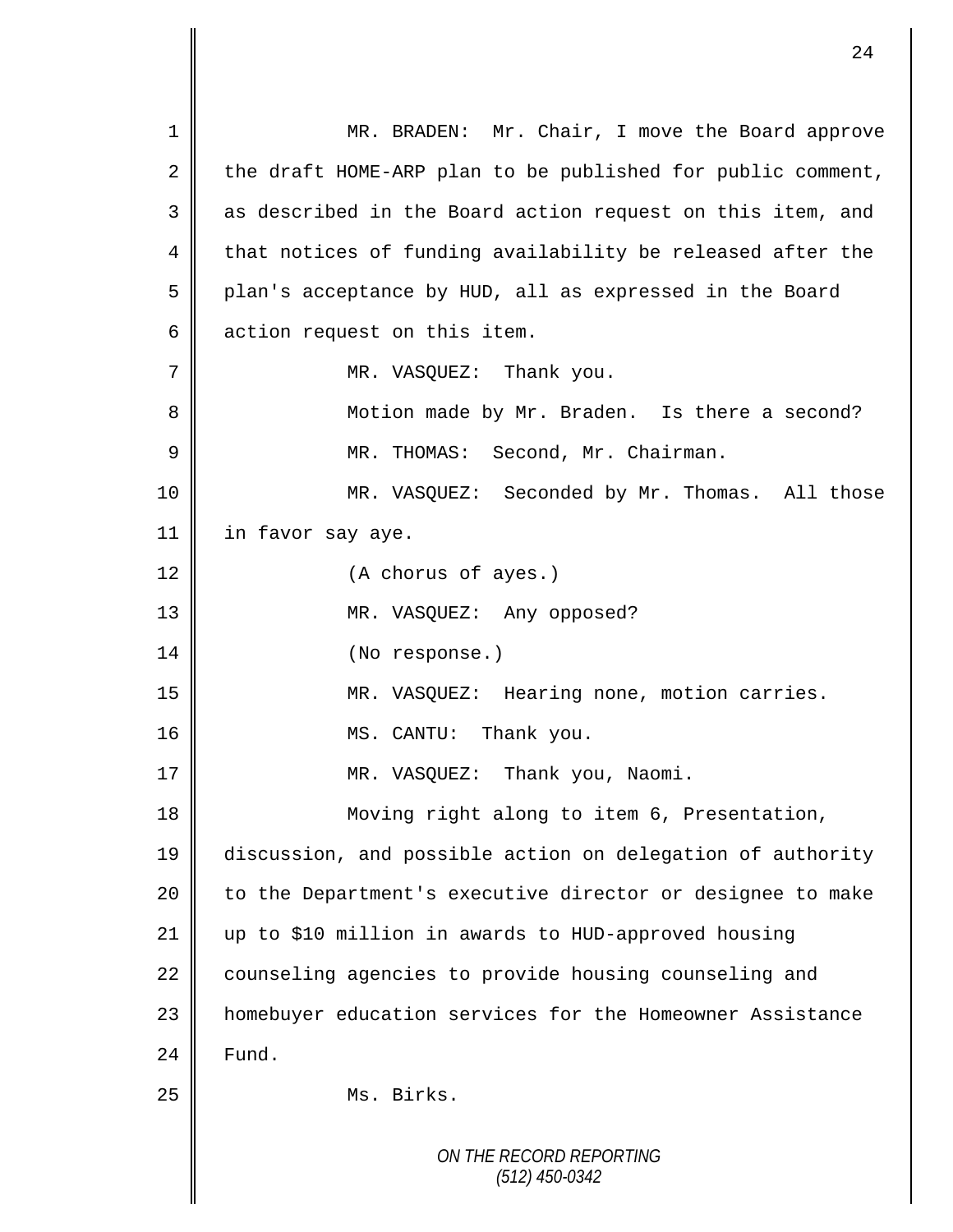*ON THE RECORD REPORTING (512) 450-0342* 1 || MR. BRADEN: Mr. Chair, I move the Board approve 2 the draft HOME-ARP plan to be published for public comment,  $3 \parallel$  as described in the Board action request on this item, and  $4 \parallel$  that notices of funding availability be released after the 5 | plan's acceptance by HUD, all as expressed in the Board 6 action request on this item. 7 MR. VASOUEZ: Thank you. 8 || Motion made by Mr. Braden. Is there a second? 9 MR. THOMAS: Second, Mr. Chairman. 10 MR. VASQUEZ: Seconded by Mr. Thomas. All those 11 | in favor say aye. 12 (A chorus of ayes.) 13 || MR. VASQUEZ: Any opposed? 14 || (No response.) 15 MR. VASQUEZ: Hearing none, motion carries. 16 MS. CANTU: Thank you. 17 || MR. VASQUEZ: Thank you, Naomi. 18 || Moving right along to item 6, Presentation, 19 discussion, and possible action on delegation of authority 20 | to the Department's executive director or designee to make 21 up to \$10 million in awards to HUD-approved housing 22 counseling agencies to provide housing counseling and 23 | homebuyer education services for the Homeowner Assistance  $24$   $\blacksquare$  Fund. 25 || Ms. Birks.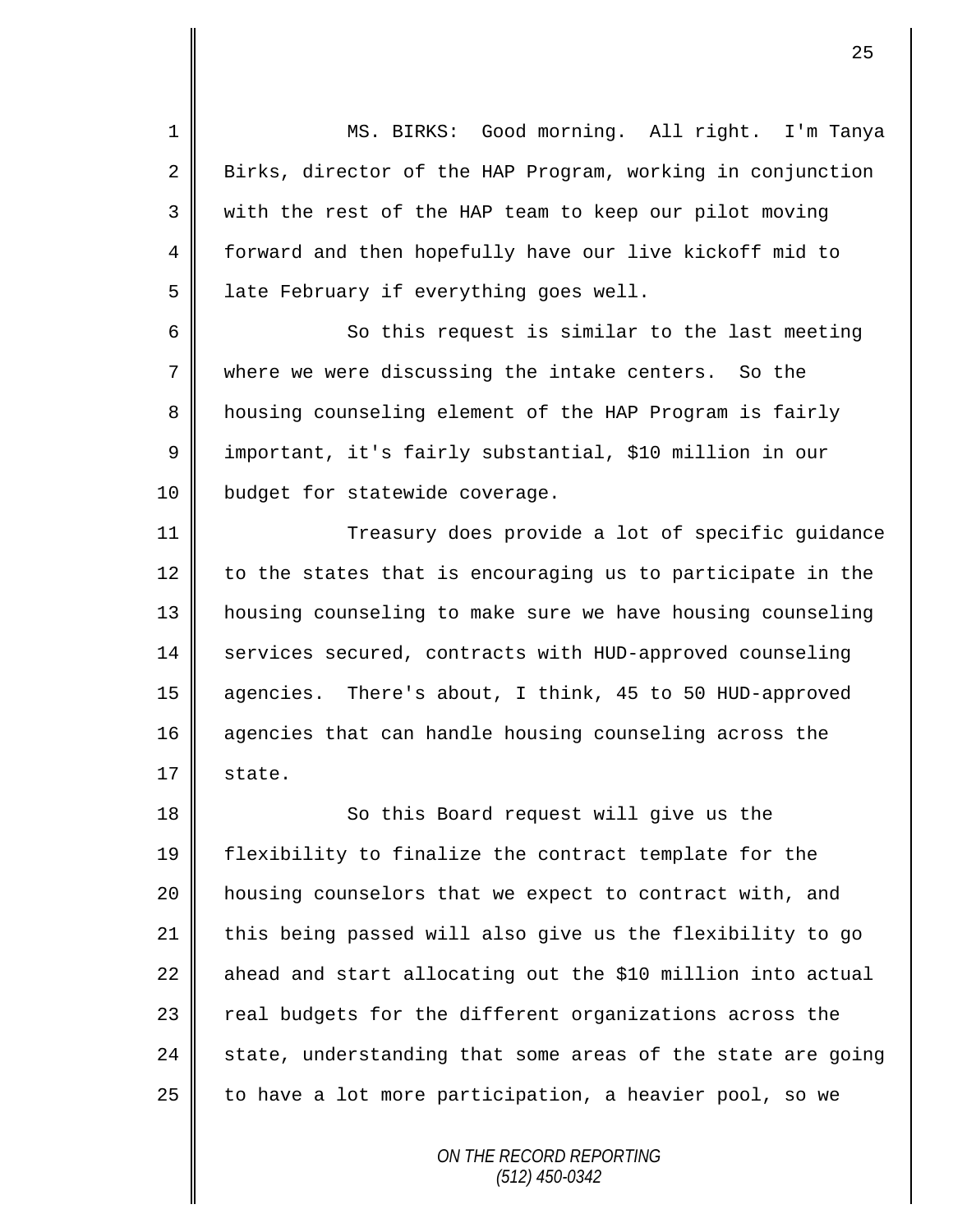1 MS. BIRKS: Good morning. All right. I'm Tanya 2 Birks, director of the HAP Program, working in conjunction 3 with the rest of the HAP team to keep our pilot moving 4 || forward and then hopefully have our live kickoff mid to  $5$  | late February if everything goes well.

6 So this request is similar to the last meeting 7 where we were discussing the intake centers. So the 8 housing counseling element of the HAP Program is fairly 9 || important, it's fairly substantial, \$10 million in our 10 | budget for statewide coverage.

11 || Treasury does provide a lot of specific quidance  $12$  to the states that is encouraging us to participate in the 13 housing counseling to make sure we have housing counseling 14 services secured, contracts with HUD-approved counseling 15 agencies. There's about, I think, 45 to 50 HUD-approved 16 agencies that can handle housing counseling across the  $17 \parallel$  state.

18 || So this Board request will give us the flexibility to finalize the contract template for the housing counselors that we expect to contract with, and 21 this being passed will also give us the flexibility to go ahead and start allocating out the \$10 million into actual 23 | real budgets for the different organizations across the  $\parallel$  state, understanding that some areas of the state are going  $\parallel$  to have a lot more participation, a heavier pool, so we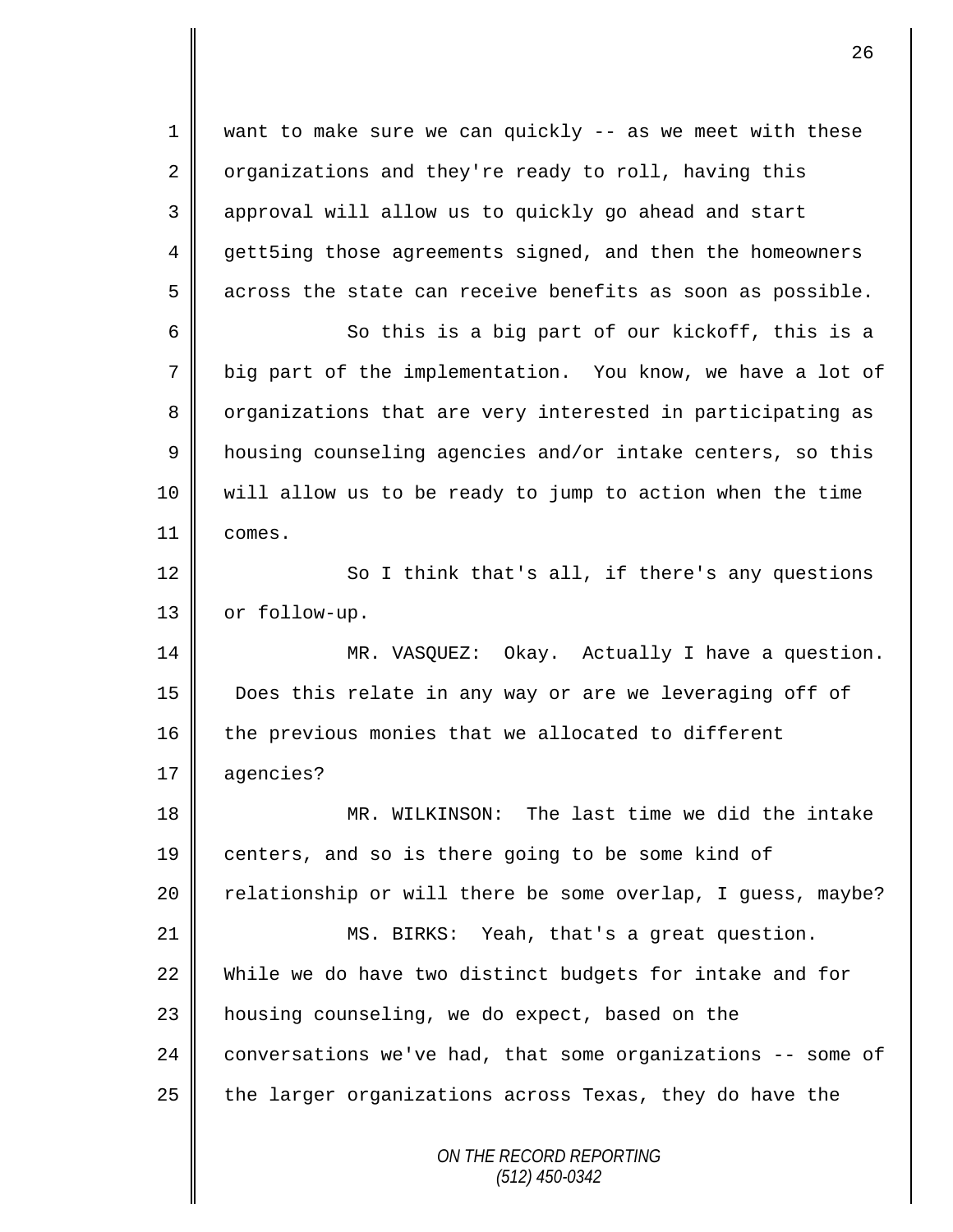*ON THE RECORD REPORTING (512) 450-0342* 1 want to make sure we can quickly -- as we meet with these 2 | organizations and they're ready to roll, having this 3 || approval will allow us to quickly go ahead and start 4 gett5ing those agreements signed, and then the homeowners  $5 \parallel$  across the state can receive benefits as soon as possible. 6 So this is a big part of our kickoff, this is a 7 big part of the implementation. You know, we have a lot of 8 || organizations that are very interested in participating as 9 | housing counseling agencies and/or intake centers, so this 10 will allow us to be ready to jump to action when the time 11 comes. 12 | So I think that's all, if there's any questions 13 | or follow-up. 14 MR. VASQUEZ: Okay. Actually I have a question. 15 Does this relate in any way or are we leveraging off of  $16$  the previous monies that we allocated to different 17 agencies? 18 MR. WILKINSON: The last time we did the intake 19 centers, and so is there going to be some kind of 20  $\parallel$  relationship or will there be some overlap, I guess, maybe? 21 | MS. BIRKS: Yeah, that's a great question. 22 While we do have two distinct budgets for intake and for  $23$  | housing counseling, we do expect, based on the 24 conversations we've had, that some organizations -- some of 25  $\parallel$  the larger organizations across Texas, they do have the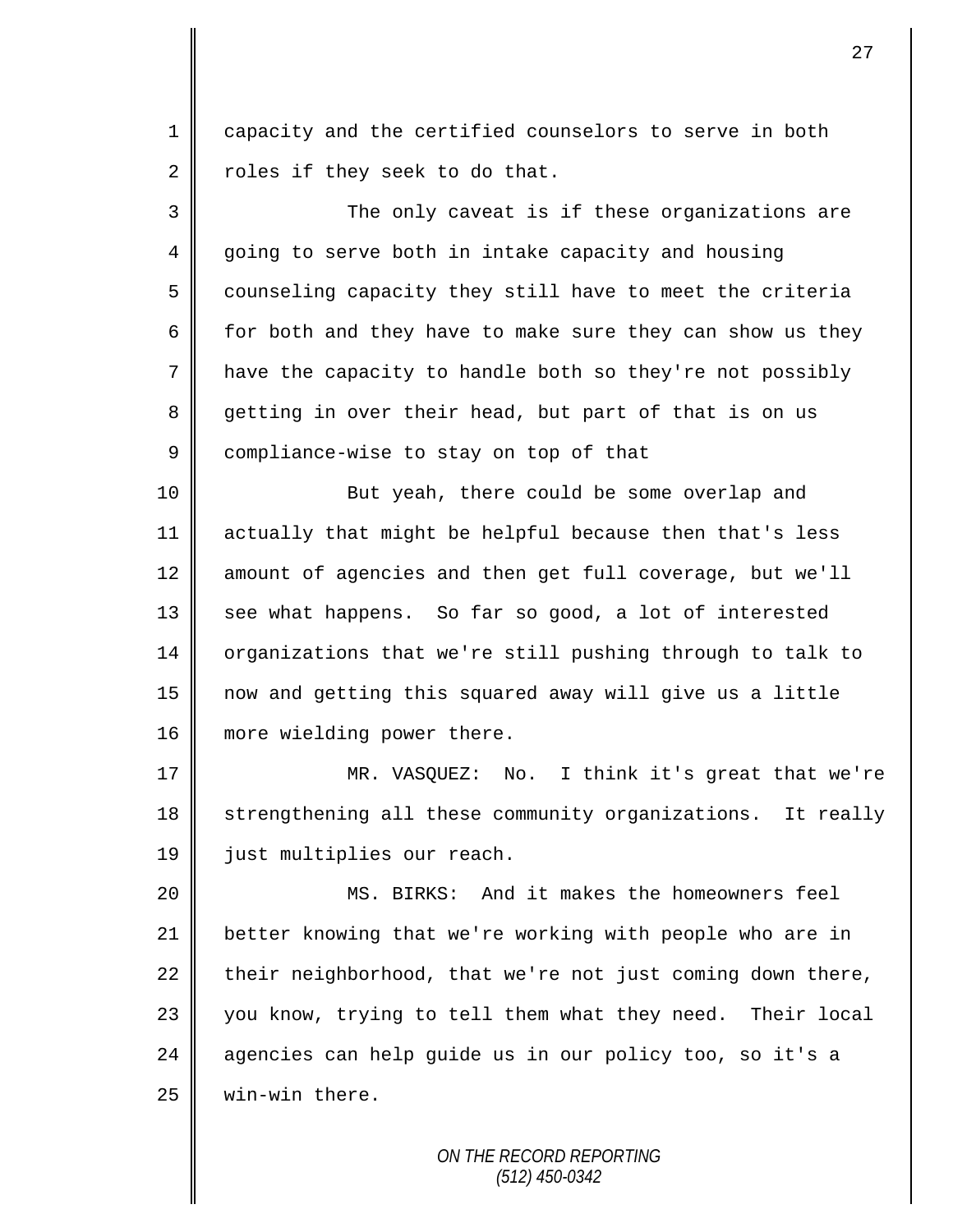1 capacity and the certified counselors to serve in both 2  $\parallel$  roles if they seek to do that.

3 The only caveat is if these organizations are 4 going to serve both in intake capacity and housing 5 counseling capacity they still have to meet the criteria 6  $\parallel$  for both and they have to make sure they can show us they 7 have the capacity to handle both so they're not possibly 8 getting in over their head, but part of that is on us 9 compliance-wise to stay on top of that

10 || But yeah, there could be some overlap and 11 actually that might be helpful because then that's less 12 amount of agencies and then get full coverage, but we'll 13 see what happens. So far so good, a lot of interested 14 organizations that we're still pushing through to talk to 15 now and getting this squared away will give us a little 16 | more wielding power there.

17 MR. VASQUEZ: No. I think it's great that we're 18 strengthening all these community organizations. It really 19 | just multiplies our reach.

20 MS. BIRKS: And it makes the homeowners feel 21 better knowing that we're working with people who are in 22 their neighborhood, that we're not just coming down there, 23 || you know, trying to tell them what they need. Their local 24 agencies can help quide us in our policy too, so it's a 25 | win-win there.

> *ON THE RECORD REPORTING (512) 450-0342*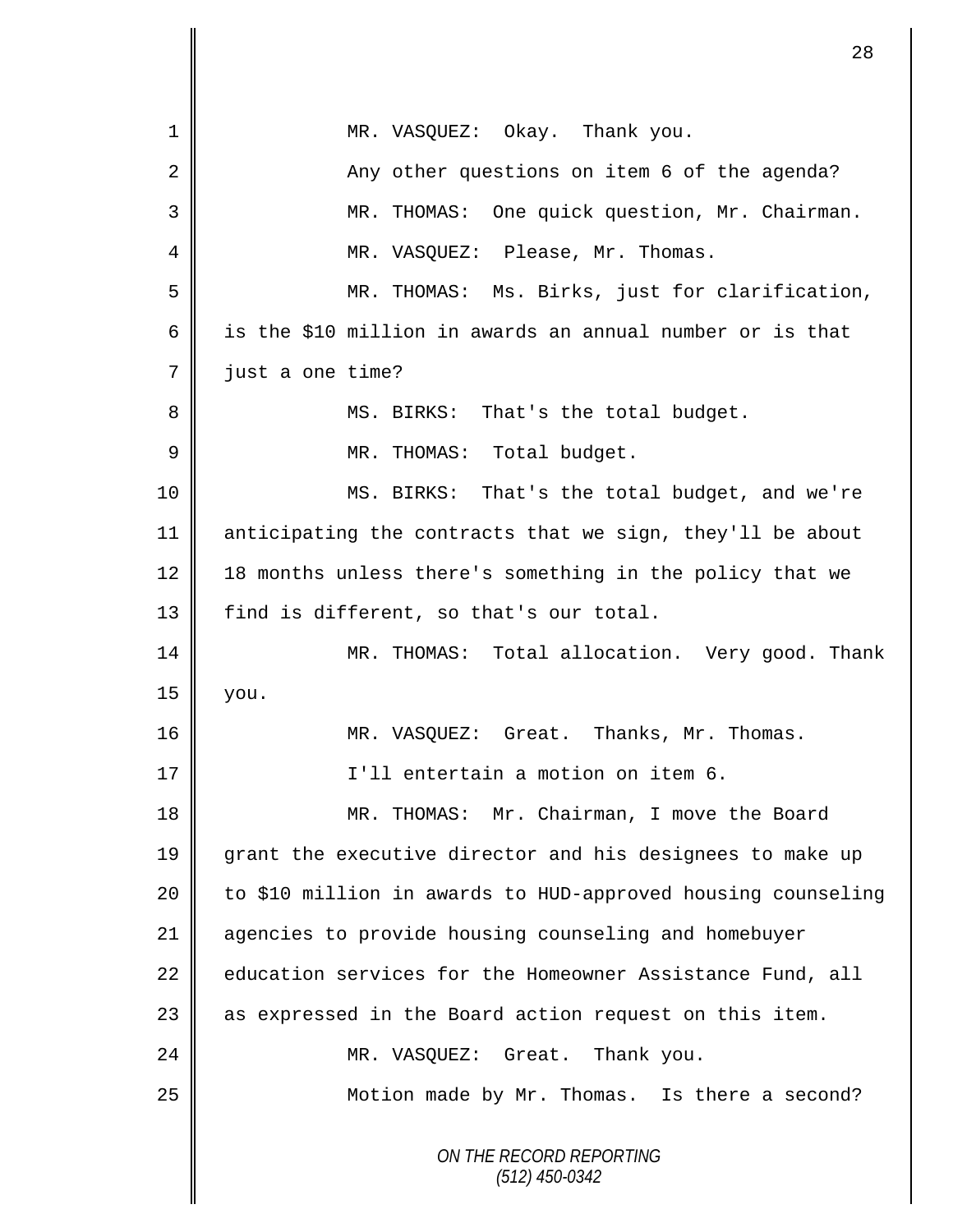| $\mathbf 1$ | MR. VASQUEZ: Okay. Thank you.                                |
|-------------|--------------------------------------------------------------|
| 2           | Any other questions on item 6 of the agenda?                 |
| 3           | MR. THOMAS: One quick question, Mr. Chairman.                |
| 4           | MR. VASQUEZ: Please, Mr. Thomas.                             |
| 5           | MR. THOMAS: Ms. Birks, just for clarification,               |
| 6           | is the \$10 million in awards an annual number or is that    |
| 7           | just a one time?                                             |
| 8           | MS. BIRKS: That's the total budget.                          |
| 9           | MR. THOMAS: Total budget.                                    |
| 10          | MS. BIRKS: That's the total budget, and we're                |
| 11          | anticipating the contracts that we sign, they'll be about    |
| 12          | 18 months unless there's something in the policy that we     |
| 13          | find is different, so that's our total.                      |
| 14          | MR. THOMAS: Total allocation. Very good. Thank               |
| 15          | you.                                                         |
| 16          | MR. VASQUEZ: Great. Thanks, Mr. Thomas.                      |
| 17          | I'll entertain a motion on item 6.                           |
| 18          | MR. THOMAS: Mr. Chairman, I move the Board                   |
| 19          | grant the executive director and his designees to make up    |
| 20          | to \$10 million in awards to HUD-approved housing counseling |
| 21          | agencies to provide housing counseling and homebuyer         |
| 22          | education services for the Homeowner Assistance Fund, all    |
| 23          | as expressed in the Board action request on this item.       |
| 24          | MR. VASQUEZ: Great. Thank you.                               |
| 25          | Motion made by Mr. Thomas. Is there a second?                |
|             | ON THE RECORD REPORTING<br>$(512)$ 450-0342                  |

П II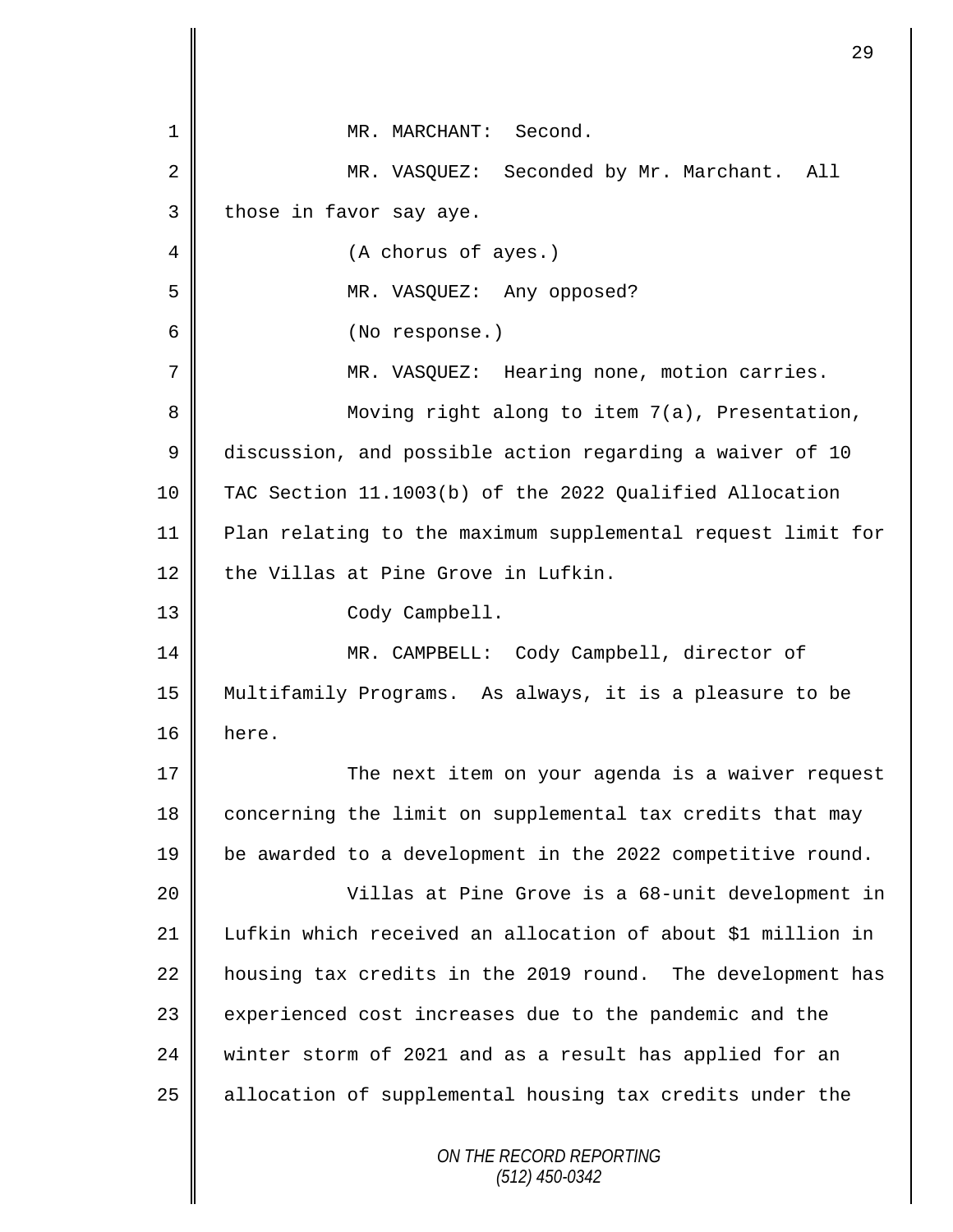| 1  | MR. MARCHANT: Second.                                       |
|----|-------------------------------------------------------------|
| 2  | MR. VASQUEZ: Seconded by Mr. Marchant. All                  |
| 3  | those in favor say aye.                                     |
| 4  | (A chorus of ayes.)                                         |
| 5  | MR. VASQUEZ: Any opposed?                                   |
| 6  | (No response.)                                              |
| 7  | MR. VASQUEZ: Hearing none, motion carries.                  |
| 8  | Moving right along to item 7(a), Presentation,              |
| 9  | discussion, and possible action regarding a waiver of 10    |
| 10 | TAC Section 11.1003(b) of the 2022 Qualified Allocation     |
| 11 | Plan relating to the maximum supplemental request limit for |
| 12 | the Villas at Pine Grove in Lufkin.                         |
| 13 | Cody Campbell.                                              |
| 14 | MR. CAMPBELL: Cody Campbell, director of                    |
| 15 | Multifamily Programs. As always, it is a pleasure to be     |
| 16 | here.                                                       |
| 17 | The next item on your agenda is a waiver request            |
| 18 | concerning the limit on supplemental tax credits that may   |
| 19 | be awarded to a development in the 2022 competitive round.  |
| 20 | Villas at Pine Grove is a 68-unit development in            |
| 21 | Lufkin which received an allocation of about \$1 million in |
| 22 | housing tax credits in the 2019 round. The development has  |
| 23 | experienced cost increases due to the pandemic and the      |
| 24 | winter storm of 2021 and as a result has applied for an     |
| 25 | allocation of supplemental housing tax credits under the    |
|    | ON THE RECORD REPORTING<br>$(512)$ 450-0342                 |

 $\mathbf l$ II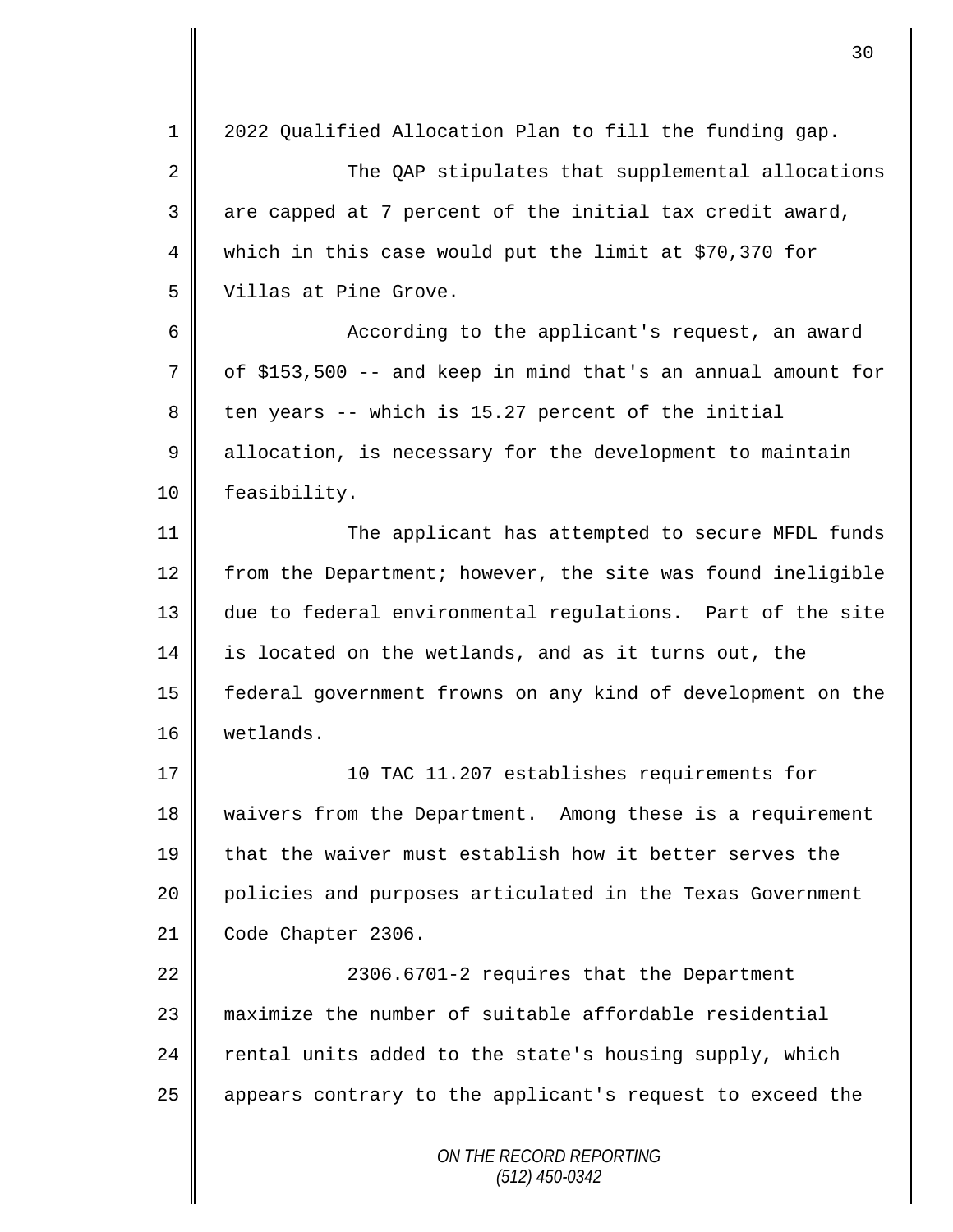*ON THE RECORD REPORTING (512) 450-0342* 1 2022 Qualified Allocation Plan to fill the funding gap. 2 The OAP stipulates that supplemental allocations  $3 \parallel$  are capped at 7 percent of the initial tax credit award, 4 which in this case would put the limit at \$70,370 for 5 Villas at Pine Grove. 6 || According to the applicant's request, an award  $7 \parallel$  of \$153,500 -- and keep in mind that's an annual amount for  $8 \parallel$  ten years -- which is 15.27 percent of the initial 9 allocation, is necessary for the development to maintain 10 | feasibility. 11 || The applicant has attempted to secure MFDL funds 12  $\parallel$  from the Department; however, the site was found ineligible 13 due to federal environmental regulations. Part of the site 14 is located on the wetlands, and as it turns out, the 15 federal government frowns on any kind of development on the 16 wetlands. 17 10 TAC 11.207 establishes requirements for 18 | waivers from the Department. Among these is a requirement 19 that the waiver must establish how it better serves the 20 | policies and purposes articulated in the Texas Government 21 Code Chapter 2306. 22 | 2306.6701-2 requires that the Department 23 maximize the number of suitable affordable residential  $24$  rental units added to the state's housing supply, which 25 | appears contrary to the applicant's request to exceed the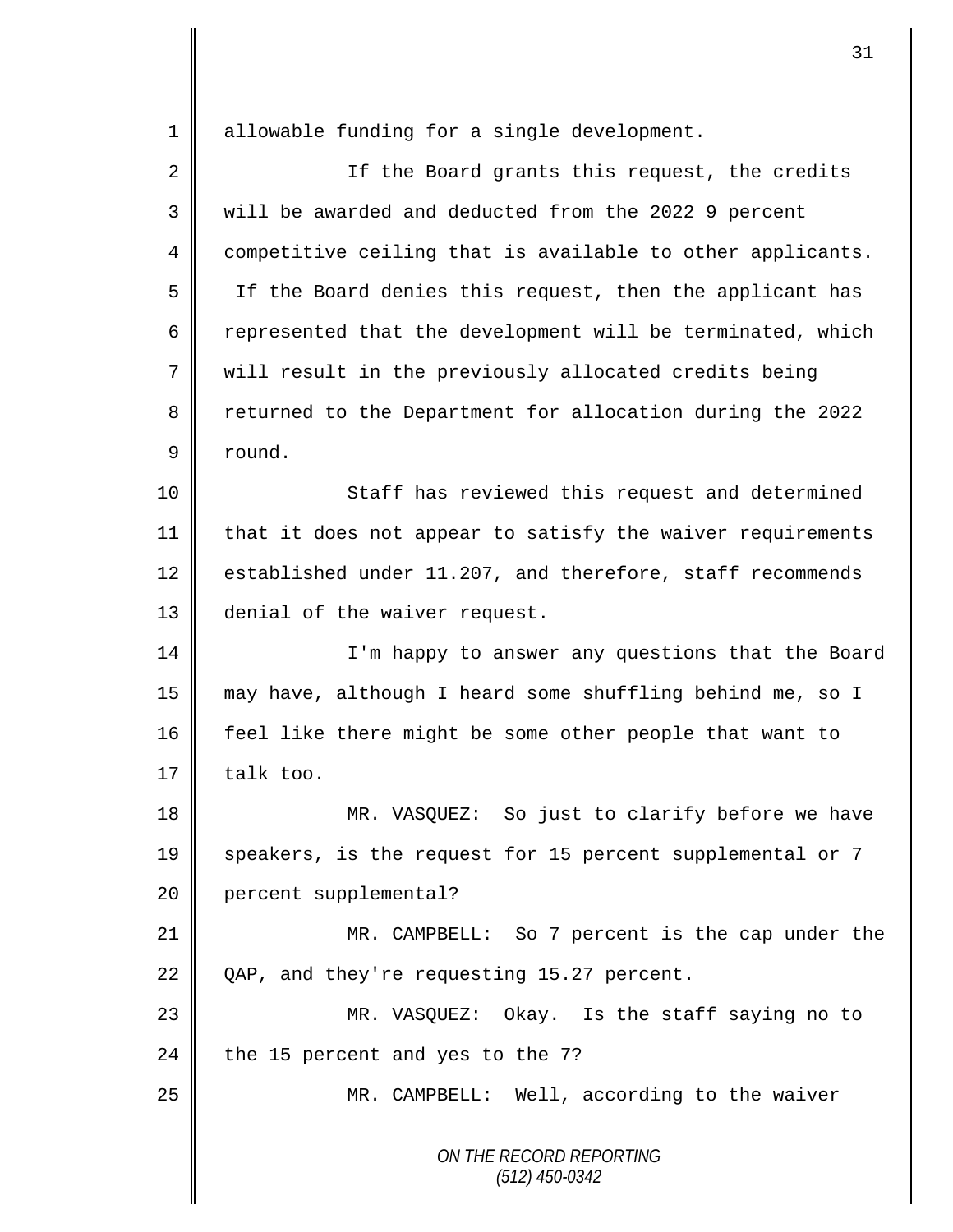*ON THE RECORD REPORTING (512) 450-0342* 1 || allowable funding for a single development. 2 || If the Board grants this request, the credits 3 will be awarded and deducted from the 2022 9 percent 4 competitive ceiling that is available to other applicants. 5 If the Board denies this request, then the applicant has 6  $\parallel$  represented that the development will be terminated, which 7 will result in the previously allocated credits being 8 returned to the Department for allocation during the 2022 9 round. 10 || Staff has reviewed this request and determined 11 | that it does not appear to satisfy the waiver requirements 12 | established under 11.207, and therefore, staff recommends 13 denial of the waiver request. 14 || I'm happy to answer any questions that the Board 15 may have, although I heard some shuffling behind me, so I 16 feel like there might be some other people that want to 17  $\parallel$  talk too. 18 MR. VASQUEZ: So just to clarify before we have 19 speakers, is the request for 15 percent supplemental or 7 20 percent supplemental? 21 MR. CAMPBELL: So 7 percent is the cap under the 22 QAP, and they're requesting 15.27 percent. 23 MR. VASQUEZ: Okay. Is the staff saying no to 24 the 15 percent and yes to the 7? 25 | MR. CAMPBELL: Well, according to the waiver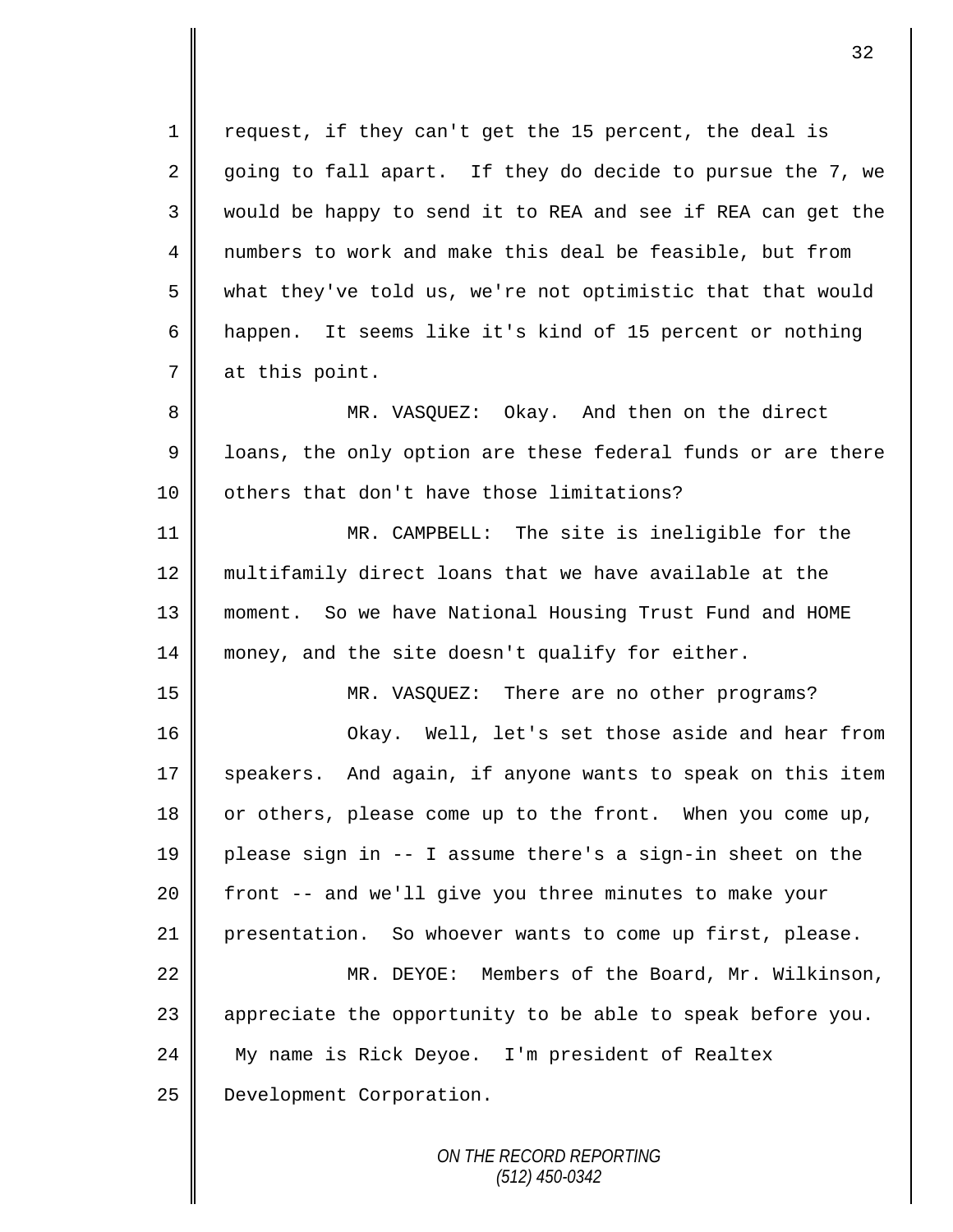1 || request, if they can't get the 15 percent, the deal is 2 going to fall apart. If they do decide to pursue the 7, we 3 would be happy to send it to REA and see if REA can get the 4 mumbers to work and make this deal be feasible, but from 5 what they've told us, we're not optimistic that that would 6 happen. It seems like it's kind of 15 percent or nothing 7 at this point. 8 || MR. VASQUEZ: Okay. And then on the direct 9 | loans, the only option are these federal funds or are there 10 | others that don't have those limitations? 11 MR. CAMPBELL: The site is ineligible for the 12 multifamily direct loans that we have available at the 13 moment. So we have National Housing Trust Fund and HOME 14 money, and the site doesn't qualify for either. 15 MR. VASQUEZ: There are no other programs? 16 Okay. Well, let's set those aside and hear from

17  $\parallel$  speakers. And again, if anyone wants to speak on this item 18 | or others, please come up to the front. When you come up, 19 please sign in -- I assume there's a sign-in sheet on the 20 | front -- and we'll give you three minutes to make your 21 presentation. So whoever wants to come up first, please.

22 MR. DEYOE: Members of the Board, Mr. Wilkinson, 23  $\parallel$  appreciate the opportunity to be able to speak before you. 24 My name is Rick Deyoe. I'm president of Realtex 25 | Development Corporation.

> *ON THE RECORD REPORTING (512) 450-0342*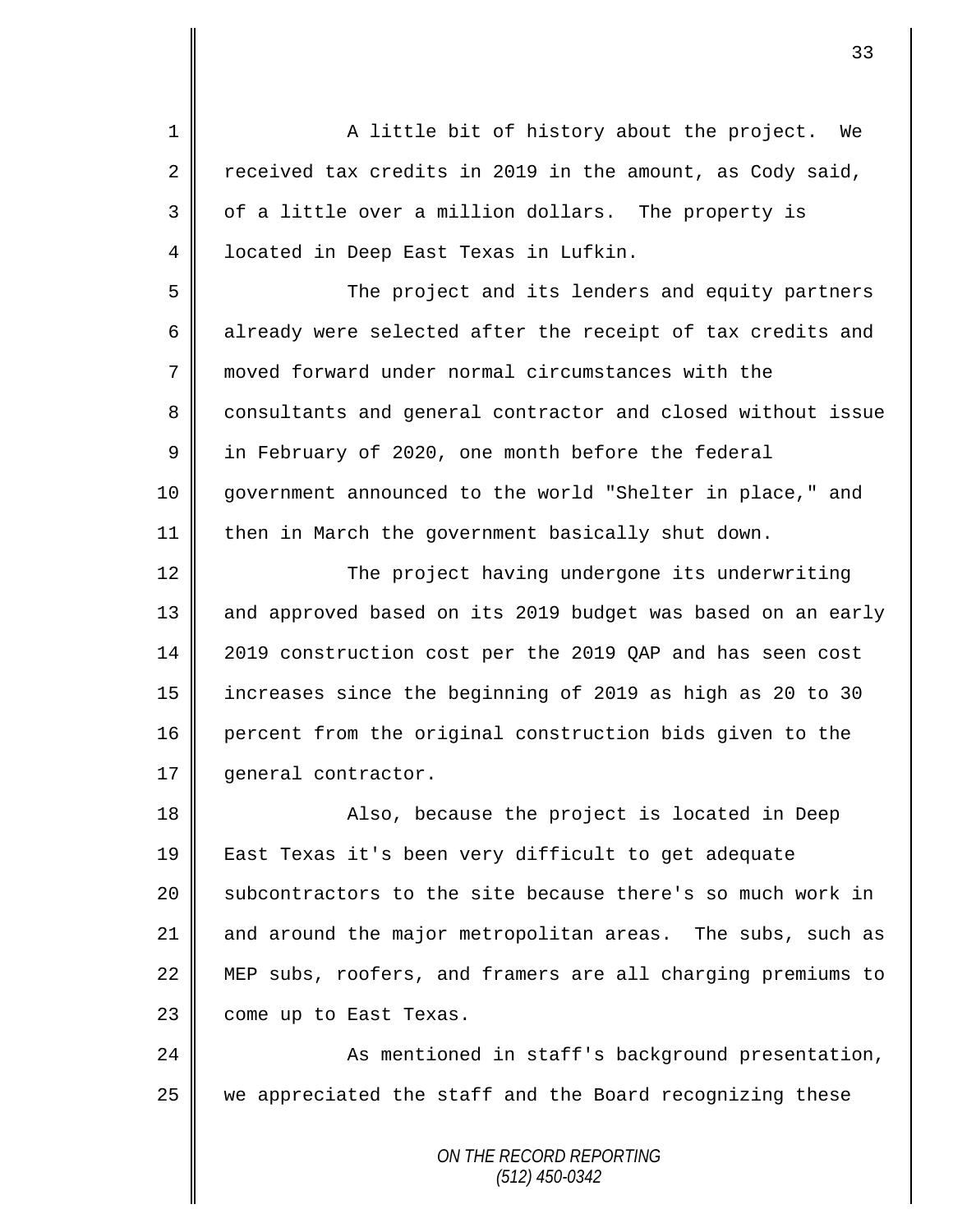*ON THE RECORD REPORTING (512) 450-0342* 1 || A little bit of history about the project. We 2 Teceived tax credits in 2019 in the amount, as Cody said, 3 || of a little over a million dollars. The property is 4 located in Deep East Texas in Lufkin. 5 The project and its lenders and equity partners 6 already were selected after the receipt of tax credits and 7 moved forward under normal circumstances with the 8 consultants and general contractor and closed without issue  $9 \parallel$  in February of 2020, one month before the federal 10 government announced to the world "Shelter in place," and 11 then in March the government basically shut down. 12 ||<br>
The project having undergone its underwriting 13 || and approved based on its 2019 budget was based on an early 14 2019 construction cost per the 2019 QAP and has seen cost 15 increases since the beginning of 2019 as high as 20 to 30 16 percent from the original construction bids given to the 17 | qeneral contractor. 18 || Also, because the project is located in Deep 19 East Texas it's been very difficult to get adequate 20 Subcontractors to the site because there's so much work in 21  $\parallel$  and around the major metropolitan areas. The subs, such as 22 MEP subs, roofers, and framers are all charging premiums to 23 come up to East Texas. 24 || As mentioned in staff's background presentation, 25 we appreciated the staff and the Board recognizing these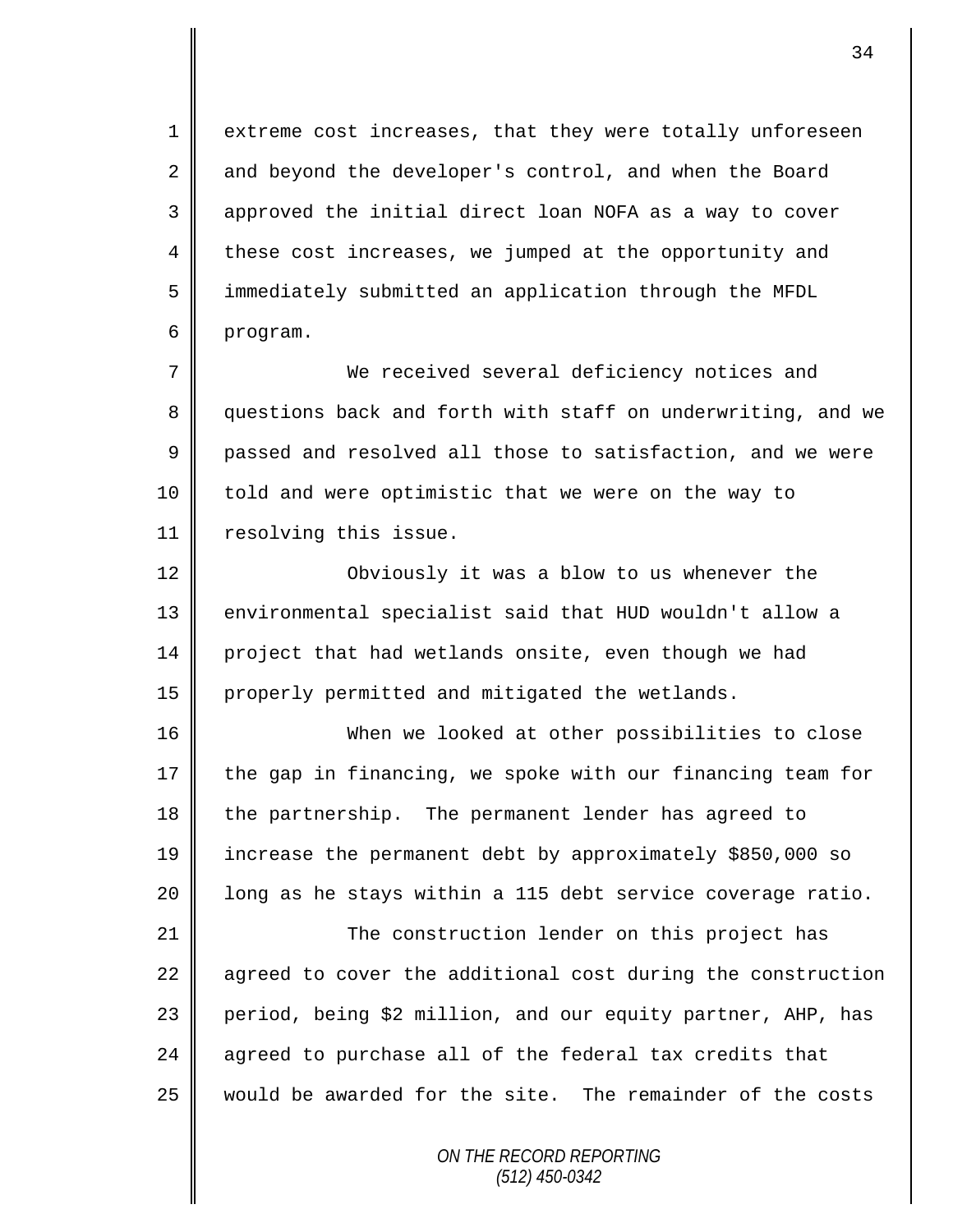1 extreme cost increases, that they were totally unforeseen 2 and beyond the developer's control, and when the Board 3 || approved the initial direct loan NOFA as a way to cover 4 these cost increases, we jumped at the opportunity and 5 immediately submitted an application through the MFDL 6 program.

7 We received several deficiency notices and 8 guestions back and forth with staff on underwriting, and we 9 || passed and resolved all those to satisfaction, and we were 10 | told and were optimistic that we were on the way to 11 | resolving this issue.

12 || Obviously it was a blow to us whenever the 13 environmental specialist said that HUD wouldn't allow a 14 project that had wetlands onsite, even though we had 15 properly permitted and mitigated the wetlands.

16 When we looked at other possibilities to close 17 the gap in financing, we spoke with our financing team for 18 the partnership. The permanent lender has agreed to 19 increase the permanent debt by approximately \$850,000 so 20  $\parallel$  long as he stays within a 115 debt service coverage ratio.

21 | The construction lender on this project has 22  $\parallel$  agreed to cover the additional cost during the construction 23 period, being \$2 million, and our equity partner, AHP, has 24  $\parallel$  agreed to purchase all of the federal tax credits that 25 would be awarded for the site. The remainder of the costs

> *ON THE RECORD REPORTING (512) 450-0342*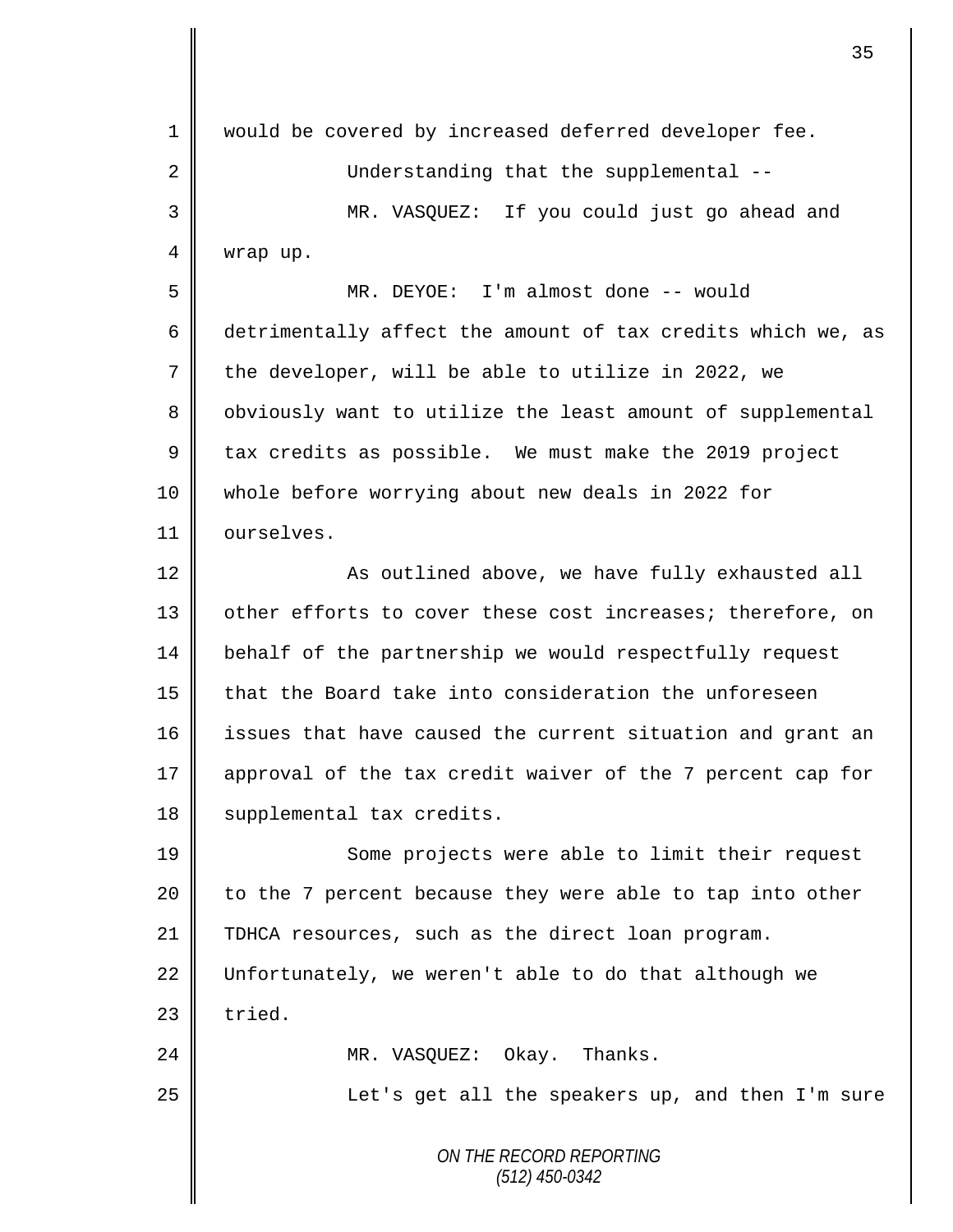| 1  | would be covered by increased deferred developer fee.       |
|----|-------------------------------------------------------------|
| 2  | Understanding that the supplemental --                      |
| 3  | MR. VASQUEZ: If you could just go ahead and                 |
| 4  | wrap up.                                                    |
| 5  | MR. DEYOE: I'm almost done -- would                         |
| 6  | detrimentally affect the amount of tax credits which we, as |
| 7  | the developer, will be able to utilize in 2022, we          |
| 8  | obviously want to utilize the least amount of supplemental  |
| 9  | tax credits as possible. We must make the 2019 project      |
| 10 | whole before worrying about new deals in 2022 for           |
| 11 | ourselves.                                                  |
| 12 | As outlined above, we have fully exhausted all              |
| 13 | other efforts to cover these cost increases; therefore, on  |
| 14 | behalf of the partnership we would respectfully request     |
| 15 | that the Board take into consideration the unforeseen       |
| 16 | issues that have caused the current situation and grant an  |
| 17 | approval of the tax credit waiver of the 7 percent cap for  |
| 18 | supplemental tax credits.                                   |
| 19 | Some projects were able to limit their request              |
| 20 | to the 7 percent because they were able to tap into other   |
| 21 | TDHCA resources, such as the direct loan program.           |
| 22 | Unfortunately, we weren't able to do that although we       |
| 23 | tried.                                                      |
| 24 | MR. VASQUEZ: Okay. Thanks.                                  |
| 25 | Let's get all the speakers up, and then I'm sure            |
|    | ON THE RECORD REPORTING<br>$(512)$ 450-0342                 |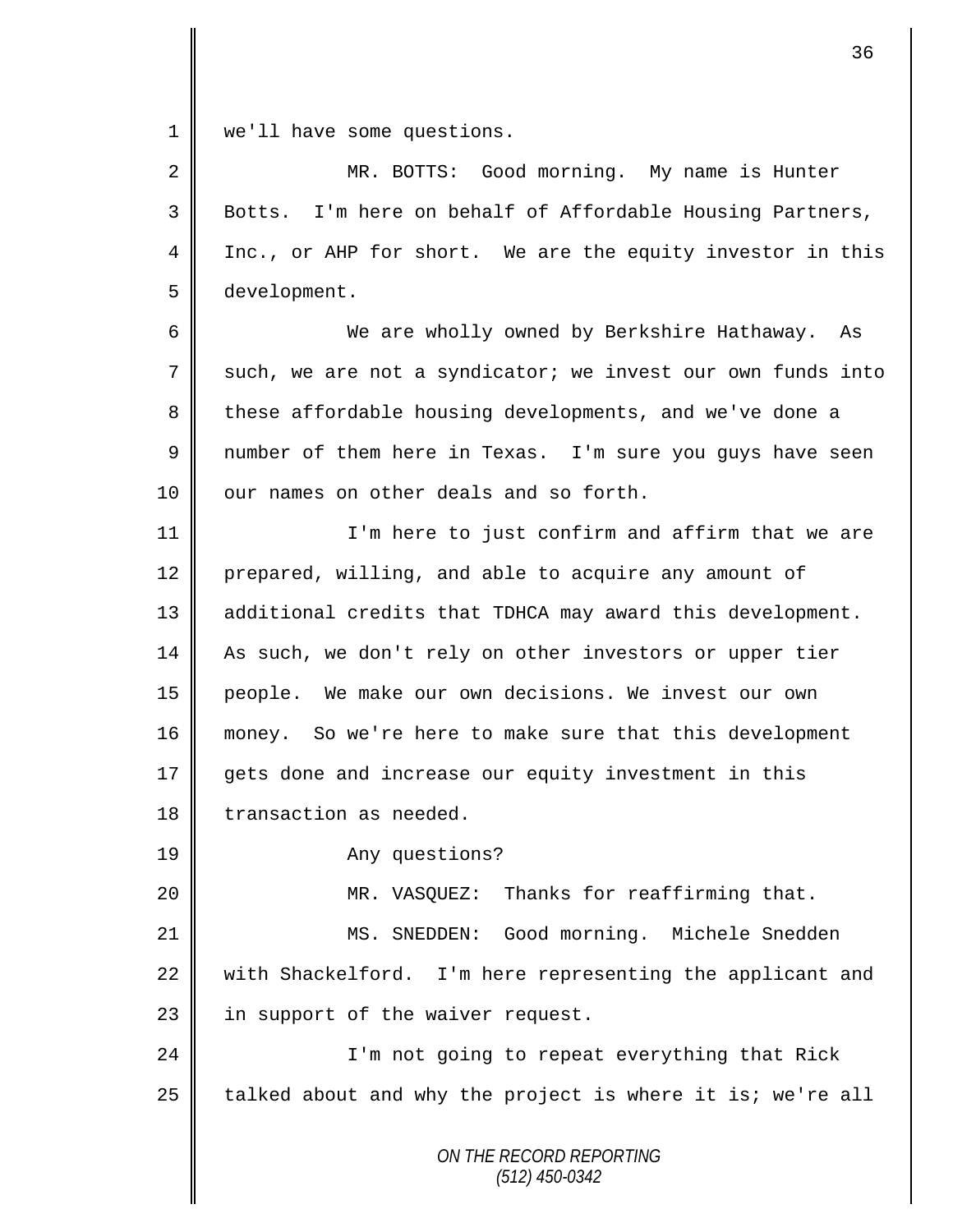1 | we'll have some questions.

| $\overline{2}$ | MR. BOTTS: Good morning. My name is Hunter                  |
|----------------|-------------------------------------------------------------|
| 3              | Botts. I'm here on behalf of Affordable Housing Partners,   |
| 4              | Inc., or AHP for short. We are the equity investor in this  |
| 5              | development.                                                |
| 6              | We are wholly owned by Berkshire Hathaway. As               |
| 7              | such, we are not a syndicator; we invest our own funds into |
| 8              | these affordable housing developments, and we've done a     |
| 9              | number of them here in Texas. I'm sure you guys have seen   |
| 10             | our names on other deals and so forth.                      |
| 11             | I'm here to just confirm and affirm that we are             |
| 12             | prepared, willing, and able to acquire any amount of        |
| 13             | additional credits that TDHCA may award this development.   |
| 14             | As such, we don't rely on other investors or upper tier     |
| 15             | people. We make our own decisions. We invest our own        |
| 16             | money. So we're here to make sure that this development     |
| 17             | gets done and increase our equity investment in this        |
| 18             | transaction as needed.                                      |
| 19             | Any questions?                                              |
| 20             | MR. VASQUEZ: Thanks for reaffirming that.                   |
| 21             | MS. SNEDDEN: Good morning. Michele Snedden                  |
| 22             | with Shackelford. I'm here representing the applicant and   |
| 23             | in support of the waiver request.                           |
| 24             | I'm not going to repeat everything that Rick                |
| 25             | talked about and why the project is where it is; we're all  |
|                | ON THE RECORD REPORTING                                     |

*(512) 450-0342*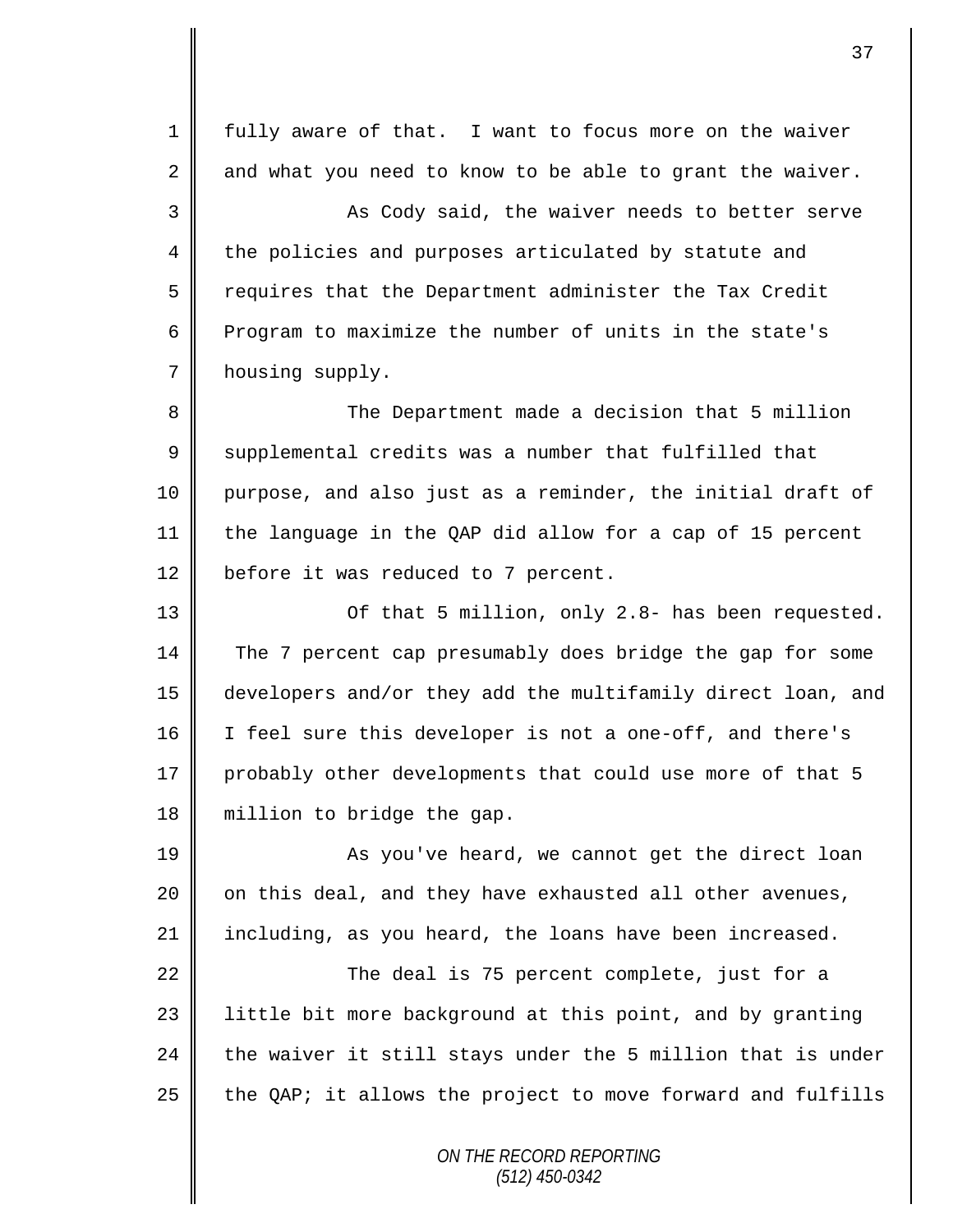*ON THE RECORD REPORTING* 1 fully aware of that. I want to focus more on the waiver  $2 \parallel$  and what you need to know to be able to grant the waiver. 3 || As Cody said, the waiver needs to better serve 4 the policies and purposes articulated by statute and  $5 \parallel$  requires that the Department administer the Tax Credit 6 Program to maximize the number of units in the state's 7 | housing supply. 8 || The Department made a decision that 5 million 9 Supplemental credits was a number that fulfilled that 10 purpose, and also just as a reminder, the initial draft of 11 the language in the QAP did allow for a cap of 15 percent 12 before it was reduced to 7 percent. 13 || Of that 5 million, only 2.8- has been requested. 14 The 7 percent cap presumably does bridge the gap for some 15 developers and/or they add the multifamily direct loan, and 16 I feel sure this developer is not a one-off, and there's 17 probably other developments that could use more of that 5 18 || million to bridge the gap. 19 || As you've heard, we cannot get the direct loan 20  $\parallel$  on this deal, and they have exhausted all other avenues, 21 including, as you heard, the loans have been increased. 22 **The deal is 75 percent complete, just for a**  $23$  | little bit more background at this point, and by granting 24  $\parallel$  the waiver it still stays under the 5 million that is under 25  $\parallel$  the QAP; it allows the project to move forward and fulfills

*(512) 450-0342*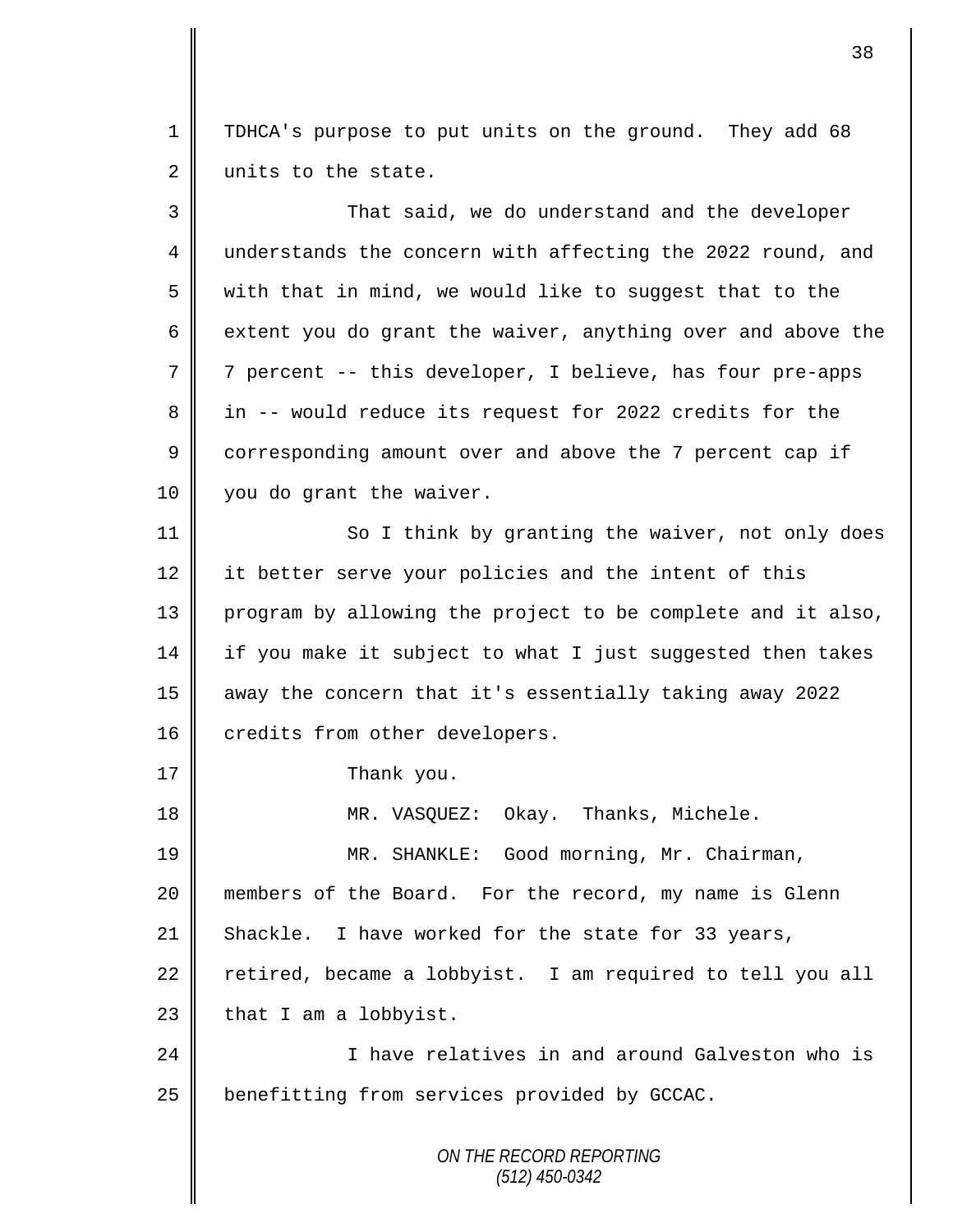1 | TDHCA's purpose to put units on the ground. They add 68 2 | units to the state.

| 3  | That said, we do understand and the developer               |
|----|-------------------------------------------------------------|
| 4  | understands the concern with affecting the 2022 round, and  |
| 5  | with that in mind, we would like to suggest that to the     |
| 6  | extent you do grant the waiver, anything over and above the |
| 7  | 7 percent -- this developer, I believe, has four pre-apps   |
| 8  | in -- would reduce its request for 2022 credits for the     |
| 9  | corresponding amount over and above the 7 percent cap if    |
| 10 | you do grant the waiver.                                    |
| 11 | So I think by granting the waiver, not only does            |
| 12 | it better serve your policies and the intent of this        |
| 13 | program by allowing the project to be complete and it also, |
| 14 | if you make it subject to what I just suggested then takes  |
| 15 | away the concern that it's essentially taking away 2022     |
| 16 | credits from other developers.                              |
| 17 | Thank you.                                                  |
| 18 | MR. VASQUEZ: Okay. Thanks, Michele.                         |
| 19 | MR. SHANKLE: Good morning, Mr. Chairman,                    |
| 20 | members of the Board. For the record, my name is Glenn      |
| 21 | Shackle. I have worked for the state for 33 years,          |
| 22 | retired, became a lobbyist. I am required to tell you all   |
| 23 | that I am a lobbyist.                                       |
| 24 | I have relatives in and around Galveston who is             |
| 25 | benefitting from services provided by GCCAC.                |
|    | ON THE RECORD REPORTING<br>$(512)$ 450-0342                 |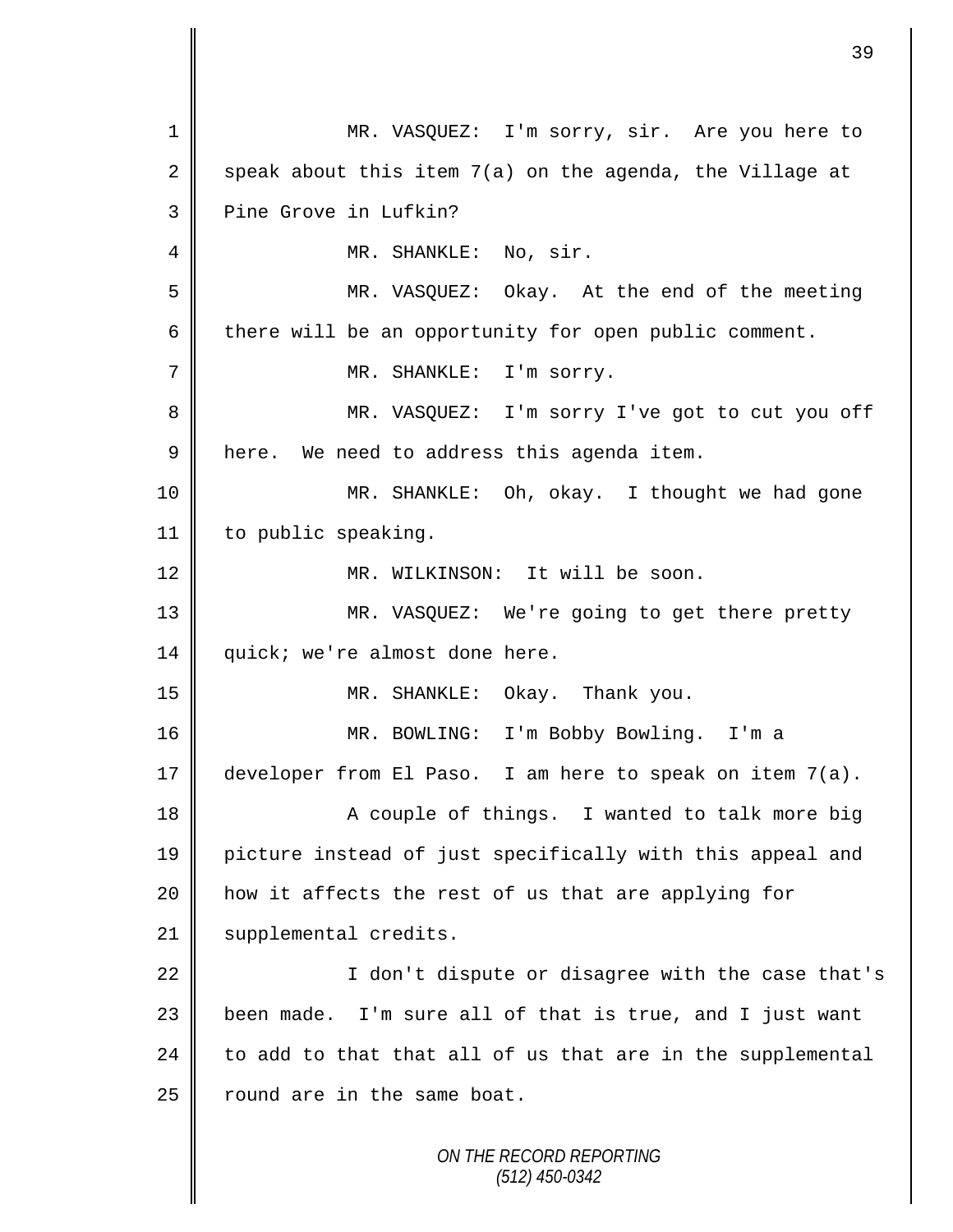*ON THE RECORD REPORTING (512) 450-0342* 1 MR. VASQUEZ: I'm sorry, sir. Are you here to 2 speak about this item 7(a) on the agenda, the Village at 3 Pine Grove in Lufkin? 4 || MR. SHANKLE: No, sir. 5 MR. VASQUEZ: Okay. At the end of the meeting 6 there will be an opportunity for open public comment. 7 | MR. SHANKLE: I'm sorry. 8 MR. VASQUEZ: I'm sorry I've got to cut you off 9 | here. We need to address this agenda item. 10 MR. SHANKLE: Oh, okay. I thought we had gone 11 | to public speaking. 12 || MR. WILKINSON: It will be soon. 13 MR. VASQUEZ: We're going to get there pretty 14 quick; we're almost done here. 15 MR. SHANKLE: Okay. Thank you. 16 MR. BOWLING: I'm Bobby Bowling. I'm a 17 developer from El Paso. I am here to speak on item  $7(a)$ . 18 || A couple of things. I wanted to talk more big 19 picture instead of just specifically with this appeal and 20 how it affects the rest of us that are applying for 21 | supplemental credits. 22 || I don't dispute or disagree with the case that's 23 | been made. I'm sure all of that is true, and I just want  $24$  to add to that that all of us that are in the supplemental  $25$  round are in the same boat.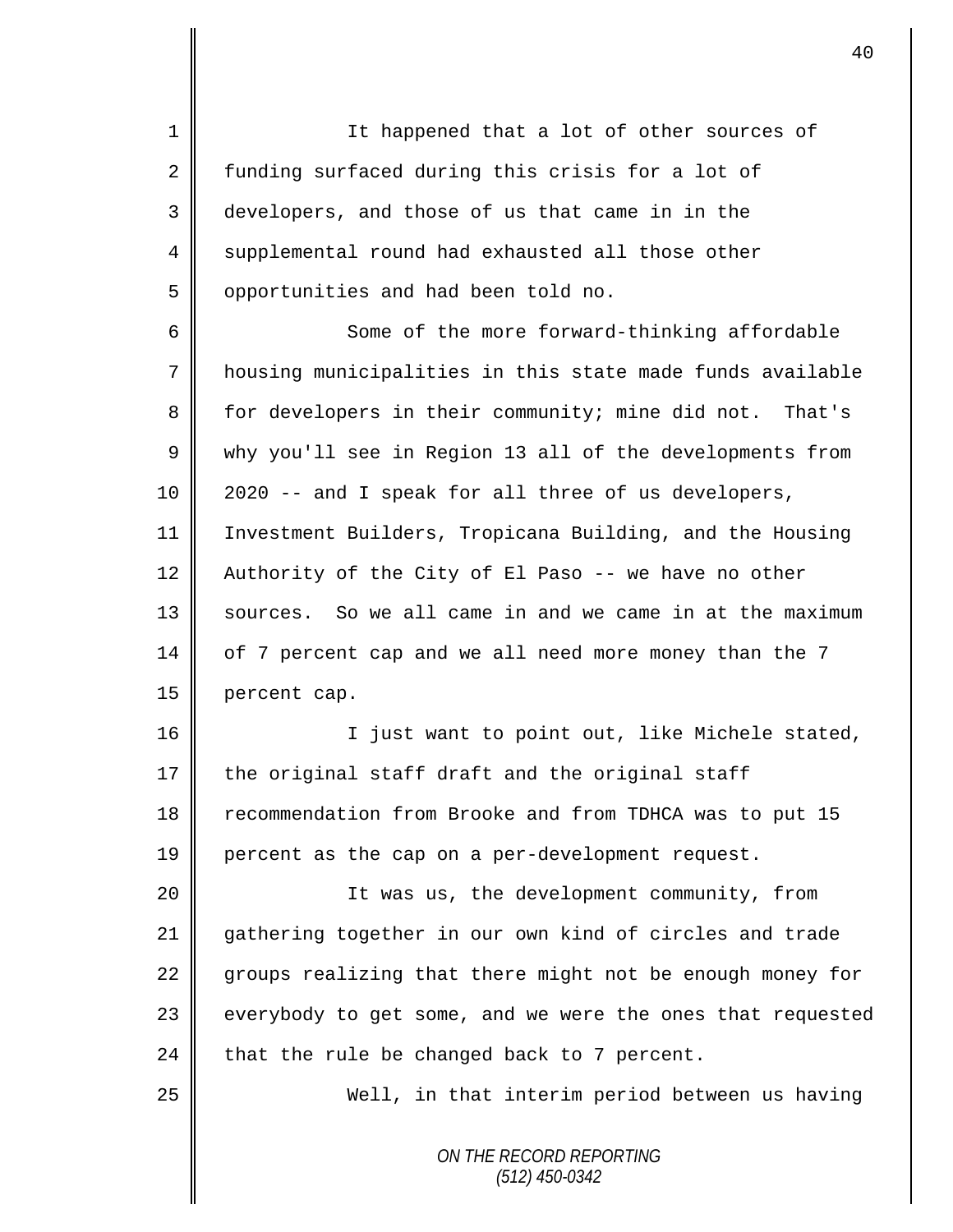1 || It happened that a lot of other sources of 2 funding surfaced during this crisis for a lot of 3 developers, and those of us that came in in the 4 supplemental round had exhausted all those other 5 | opportunities and had been told no.

6 Some of the more forward-thinking affordable 7 housing municipalities in this state made funds available 8 for developers in their community; mine did not. That's 9 why you'll see in Region 13 all of the developments from 10 2020 -- and I speak for all three of us developers, 11 Investment Builders, Tropicana Building, and the Housing 12 Authority of the City of El Paso -- we have no other 13 | sources. So we all came in and we came in at the maximum 14 of 7 percent cap and we all need more money than the 7 15 percent cap.

16 || Tiust want to point out, like Michele stated, 17 the original staff draft and the original staff 18 recommendation from Brooke and from TDHCA was to put 15 19 || percent as the cap on a per-development request.

 It was us, the development community, from gathering together in our own kind of circles and trade  $\parallel$  groups realizing that there might not be enough money for everybody to get some, and we were the ones that requested 24 that the rule be changed back to 7 percent.

25 || Well, in that interim period between us having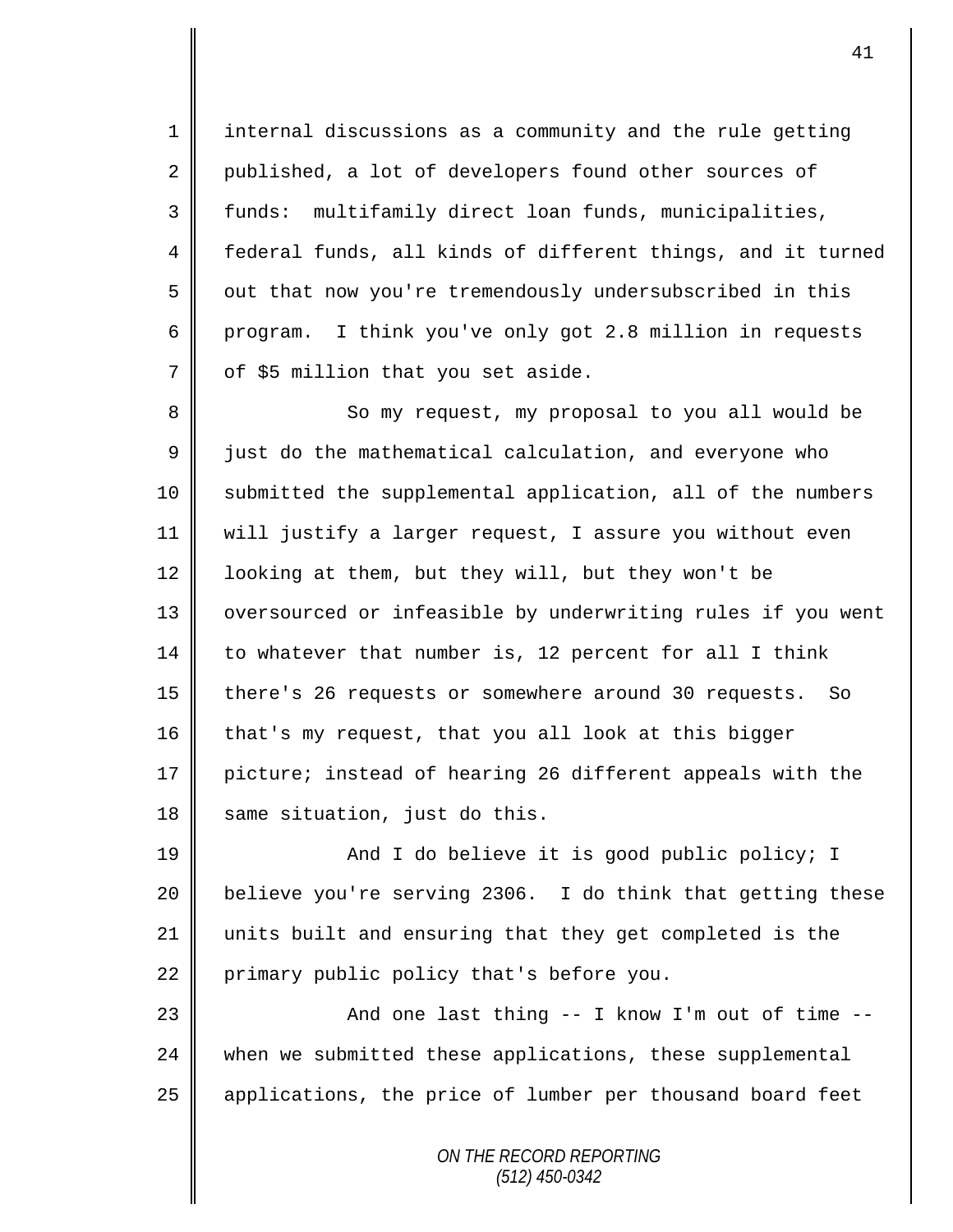1 internal discussions as a community and the rule getting 2 published, a lot of developers found other sources of 3 funds: multifamily direct loan funds, municipalities, 4 | federal funds, all kinds of different things, and it turned 5 | out that now you're tremendously undersubscribed in this 6 program. I think you've only got 2.8 million in requests  $7 \parallel$  of \$5 million that you set aside.

8 So my request, my proposal to you all would be 9 Just do the mathematical calculation, and everyone who 10 | submitted the supplemental application, all of the numbers 11 will justify a larger request, I assure you without even 12  $\parallel$  looking at them, but they will, but they won't be 13 || oversourced or infeasible by underwriting rules if you went  $14$  to whatever that number is, 12 percent for all I think 15 | there's 26 requests or somewhere around 30 requests. So 16 that's my request, that you all look at this bigger 17 picture; instead of hearing 26 different appeals with the 18  $\parallel$  same situation, just do this.

19 || And I do believe it is good public policy; I 20 **believe you're serving 2306.** I do think that getting these 21 units built and ensuring that they get completed is the 22 primary public policy that's before you.

23 And one last thing -- I know I'm out of time -- 24 when we submitted these applications, these supplemental 25 | applications, the price of lumber per thousand board feet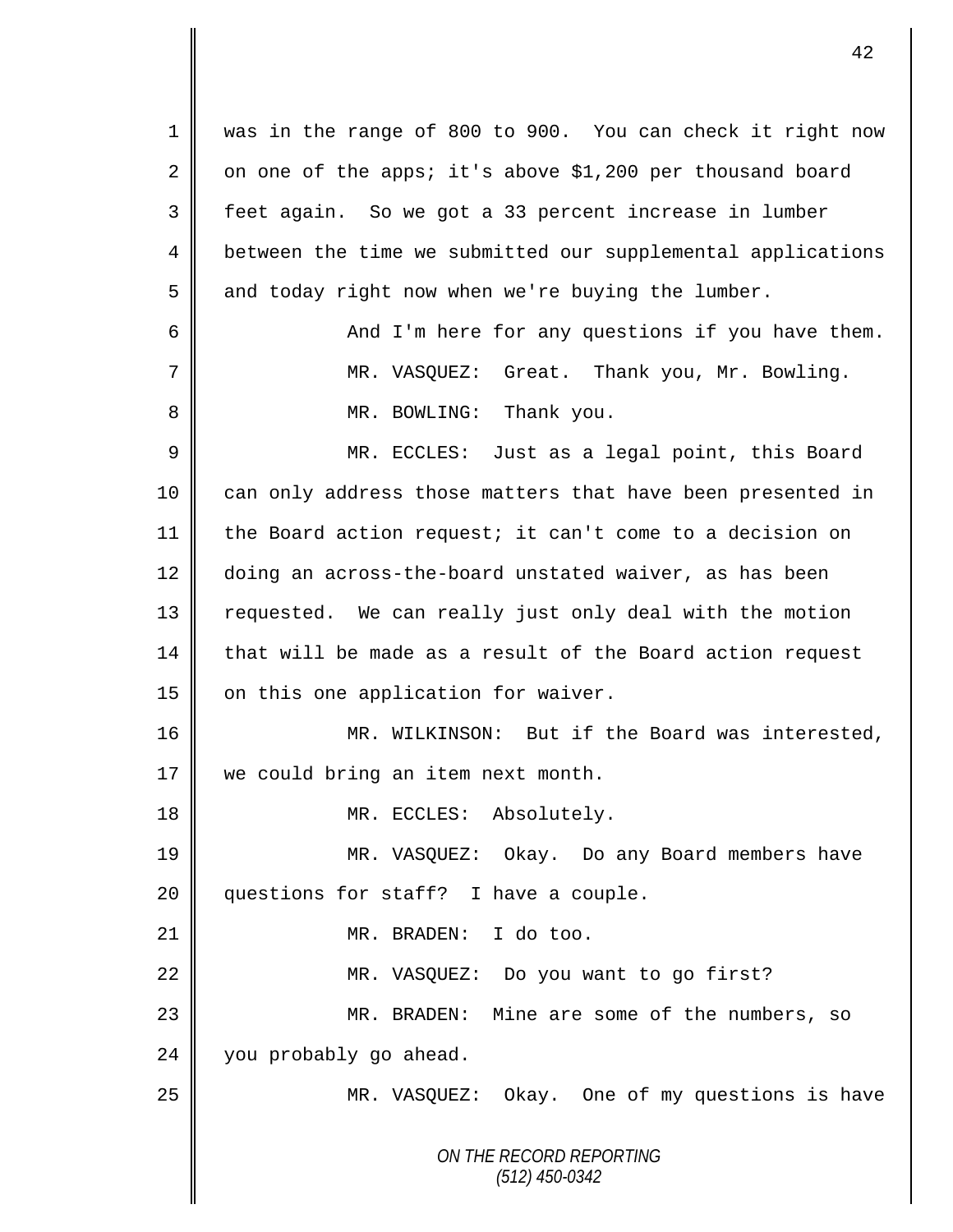*ON THE RECORD REPORTING (512) 450-0342* 1 was in the range of 800 to 900. You can check it right now 2 on one of the apps; it's above \$1,200 per thousand board 3 feet again. So we got a 33 percent increase in lumber 4 | between the time we submitted our supplemental applications  $5 \parallel$  and today right now when we're buying the lumber. 6 || And I'm here for any questions if you have them. 7 || MR. VASQUEZ: Great. Thank you, Mr. Bowling. 8 | MR. BOWLING: Thank you. 9 || MR. ECCLES: Just as a legal point, this Board 10 can only address those matters that have been presented in 11 the Board action request; it can't come to a decision on 12 doing an across-the-board unstated waiver, as has been 13 || requested. We can really just only deal with the motion 14 that will be made as a result of the Board action request 15  $\parallel$  on this one application for waiver. 16 MR. WILKINSON: But if the Board was interested, 17 we could bring an item next month. 18 || MR. ECCLES: Absolutely. 19 MR. VASQUEZ: Okay. Do any Board members have 20 questions for staff? I have a couple. 21 || MR. BRADEN: I do too. 22 MR. VASQUEZ: Do you want to go first? 23 MR. BRADEN: Mine are some of the numbers, so  $24$  | you probably go ahead. 25 || MR. VASQUEZ: Okay. One of my questions is have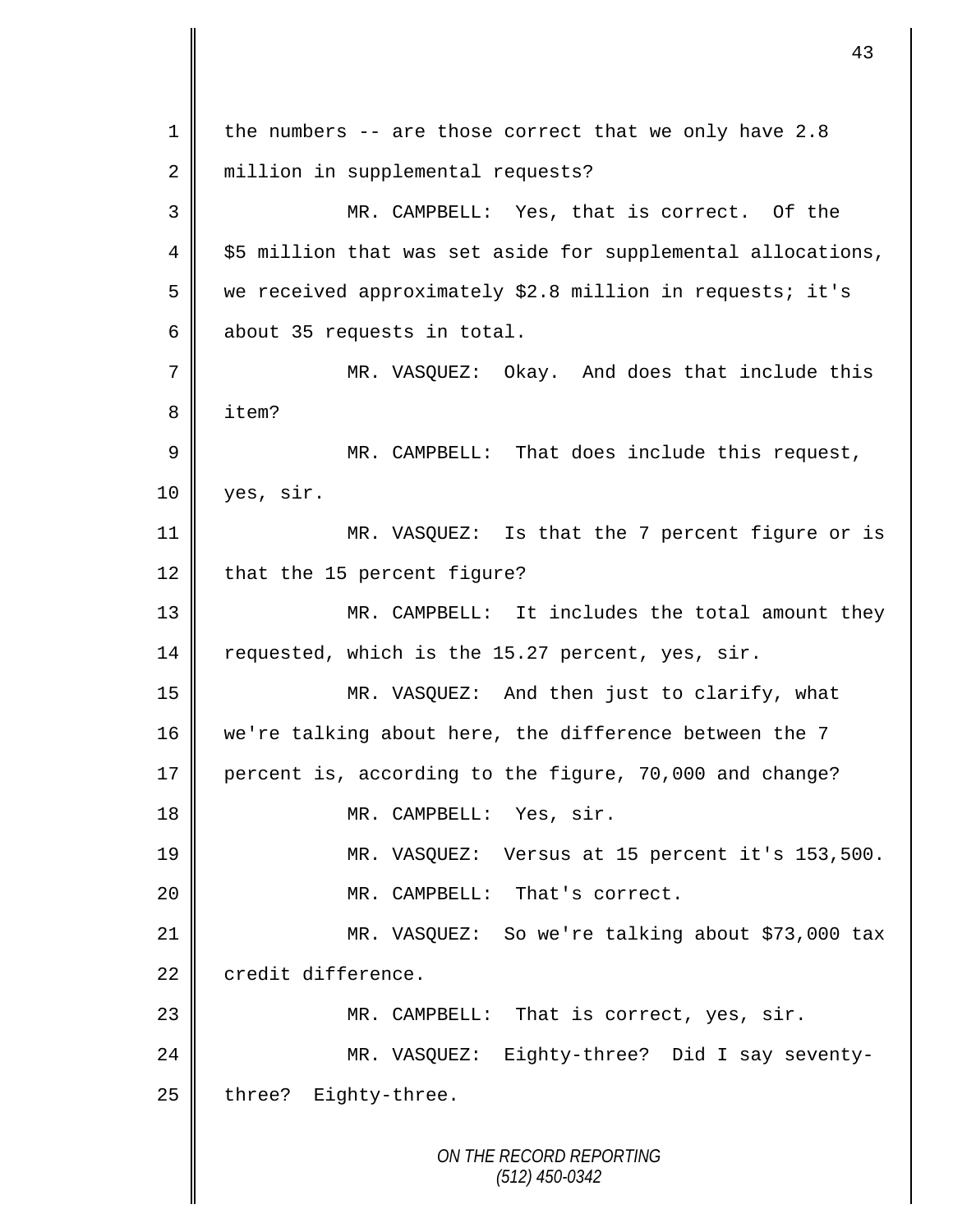| $\mathbf 1$ | the numbers $--$ are those correct that we only have 2.8     |
|-------------|--------------------------------------------------------------|
| 2           | million in supplemental requests?                            |
| 3           | MR. CAMPBELL: Yes, that is correct. Of the                   |
| 4           | \$5 million that was set aside for supplemental allocations, |
| 5           | we received approximately \$2.8 million in requests; it's    |
| 6           | about 35 requests in total.                                  |
| 7           | MR. VASQUEZ: Okay. And does that include this                |
| 8           | item?                                                        |
| 9           | MR. CAMPBELL: That does include this request,                |
| 10          | yes, sir.                                                    |
| 11          | MR. VASQUEZ: Is that the 7 percent figure or is              |
| 12          | that the 15 percent figure?                                  |
| 13          | MR. CAMPBELL: It includes the total amount they              |
| 14          | requested, which is the 15.27 percent, yes, sir.             |
| 15          | MR. VASQUEZ: And then just to clarify, what                  |
| 16          | we're talking about here, the difference between the 7       |
| 17          | percent is, according to the figure, 70,000 and change?      |
| 18          | MR. CAMPBELL: Yes, sir.                                      |
| 19          | MR. VASQUEZ: Versus at 15 percent it's 153,500.              |
| 20          | MR. CAMPBELL: That's correct.                                |
| 21          | MR. VASQUEZ: So we're talking about \$73,000 tax             |
| 22          | credit difference.                                           |
| 23          | MR. CAMPBELL: That is correct, yes, sir.                     |
| 24          | MR. VASQUEZ: Eighty-three? Did I say seventy-                |
| 25          | three? Eighty-three.                                         |
|             | ON THE RECORD REPORTING<br>$(512)$ 450-0342                  |

 $\mathsf{I}$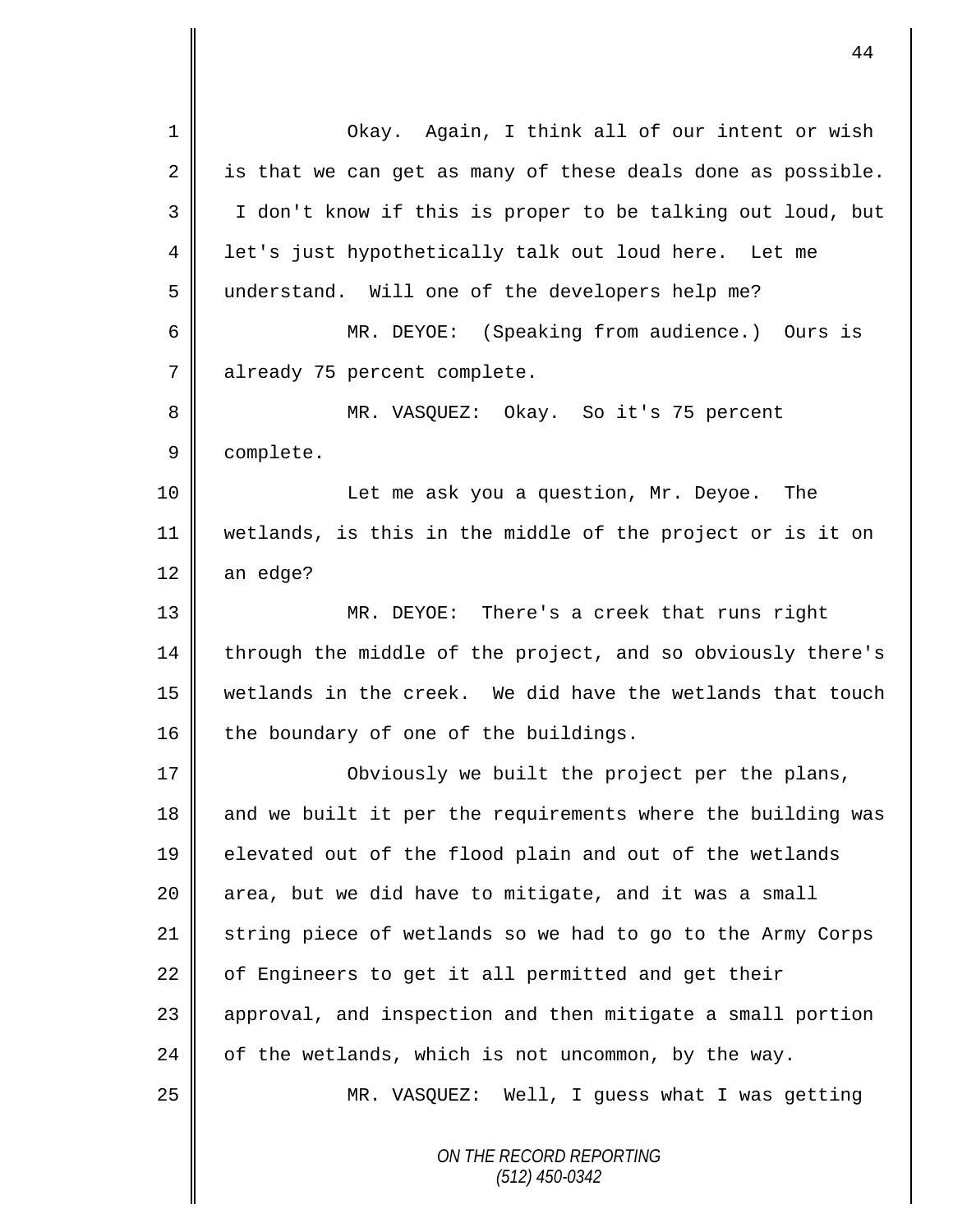*ON THE RECORD REPORTING (512) 450-0342* 1 || Okay. Again, I think all of our intent or wish  $2 \parallel$  is that we can get as many of these deals done as possible. 3 I don't know if this is proper to be talking out loud, but 4 || let's just hypothetically talk out loud here. Let me 5 understand. Will one of the developers help me? 6 MR. DEYOE: (Speaking from audience.) Ours is 7 | already 75 percent complete. 8 MR. VASQUEZ: Okay. So it's 75 percent 9 | complete. 10 || Let me ask you a question, Mr. Deyoe. The 11 wetlands, is this in the middle of the project or is it on  $12$  an edge? 13 MR. DEYOE: There's a creek that runs right 14  $\parallel$  through the middle of the project, and so obviously there's 15 wetlands in the creek. We did have the wetlands that touch  $16$  the boundary of one of the buildings. 17 || Obviously we built the project per the plans, 18  $\parallel$  and we built it per the requirements where the building was 19 elevated out of the flood plain and out of the wetlands 20  $\parallel$  area, but we did have to mitigate, and it was a small 21 string piece of wetlands so we had to go to the Army Corps  $22$  | of Engineers to get it all permitted and get their 23 | approval, and inspection and then mitigate a small portion 24  $\parallel$  of the wetlands, which is not uncommon, by the way. 25 MR. VASQUEZ: Well, I guess what I was getting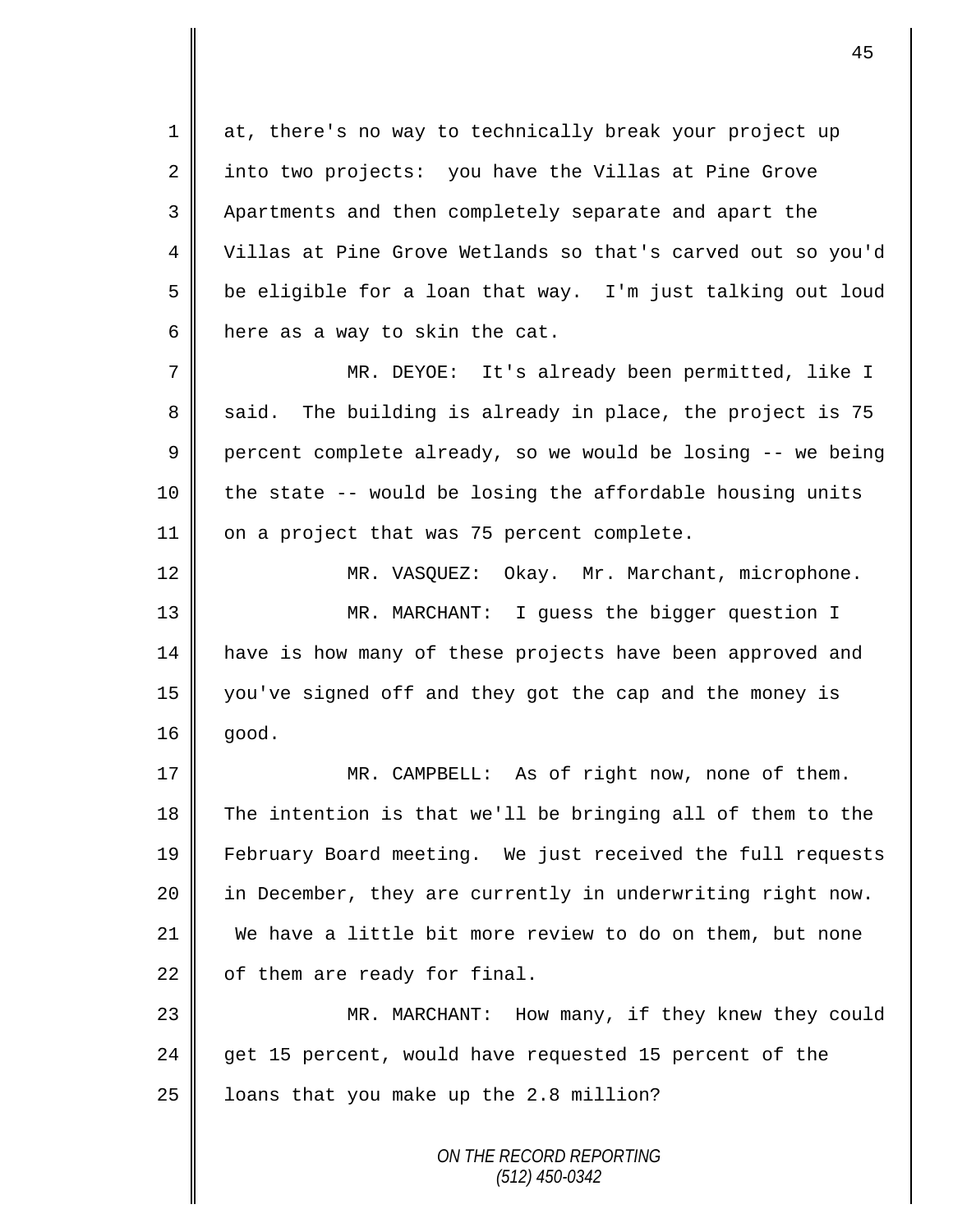1 at, there's no way to technically break your project up 2 into two projects: you have the Villas at Pine Grove 3 Apartments and then completely separate and apart the 4 Villas at Pine Grove Wetlands so that's carved out so you'd 5  $\parallel$  be eligible for a loan that way. I'm just talking out loud 6 | here as a way to skin the cat.

7 MR. DEYOE: It's already been permitted, like I  $8 \parallel$  said. The building is already in place, the project is 75 9 percent complete already, so we would be losing  $-$ - we being  $10$  | the state -- would be losing the affordable housing units 11 | on a project that was 75 percent complete.

12 | MR. VASQUEZ: Okay. Mr. Marchant, microphone. 13 MR. MARCHANT: I guess the bigger question I 14 | have is how many of these projects have been approved and 15 you've signed off and they got the cap and the money is  $16 \parallel$  good.

 MR. CAMPBELL: As of right now, none of them. The intention is that we'll be bringing all of them to the February Board meeting. We just received the full requests 20 || in December, they are currently in underwriting right now. We have a little bit more review to do on them, but none  $22 \parallel$  of them are ready for final.

23 MR. MARCHANT: How many, if they knew they could 24  $\parallel$  get 15 percent, would have requested 15 percent of the 25 | loans that you make up the 2.8 million?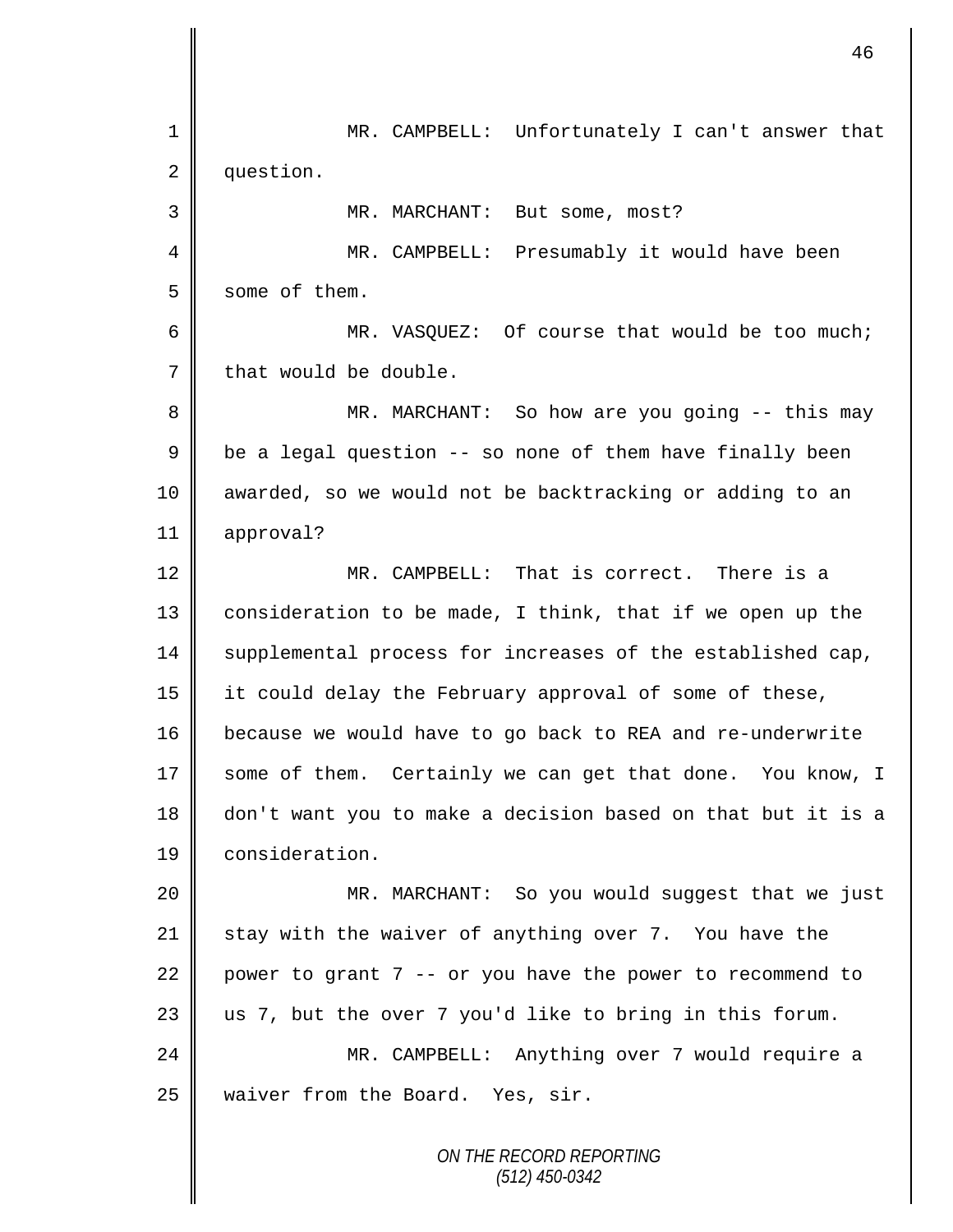*ON THE RECORD REPORTING* 1 MR. CAMPBELL: Unfortunately I can't answer that 2 question. 3 || MR. MARCHANT: But some, most? 4 MR. CAMPBELL: Presumably it would have been  $5 \parallel$  some of them. 6 || MR. VASOUEZ: Of course that would be too much;  $7 \parallel$  that would be double. 8 || MR. MARCHANT: So how are you going -- this may  $9 \parallel$  be a legal question -- so none of them have finally been 10 || awarded, so we would not be backtracking or adding to an 11 approval? 12 MR. CAMPBELL: That is correct. There is a 13 | consideration to be made, I think, that if we open up the 14 Supplemental process for increases of the established cap, 15 it could delay the February approval of some of these, 16 because we would have to go back to REA and re-underwrite 17 some of them. Certainly we can get that done. You know, I 18 don't want you to make a decision based on that but it is a 19 consideration. 20 || MR. MARCHANT: So you would suggest that we just 21 stay with the waiver of anything over 7. You have the 22 power to grant 7 -- or you have the power to recommend to  $23$  || us 7, but the over 7 you'd like to bring in this forum. 24 MR. CAMPBELL: Anything over 7 would require a 25 | waiver from the Board. Yes, sir.

46

*(512) 450-0342*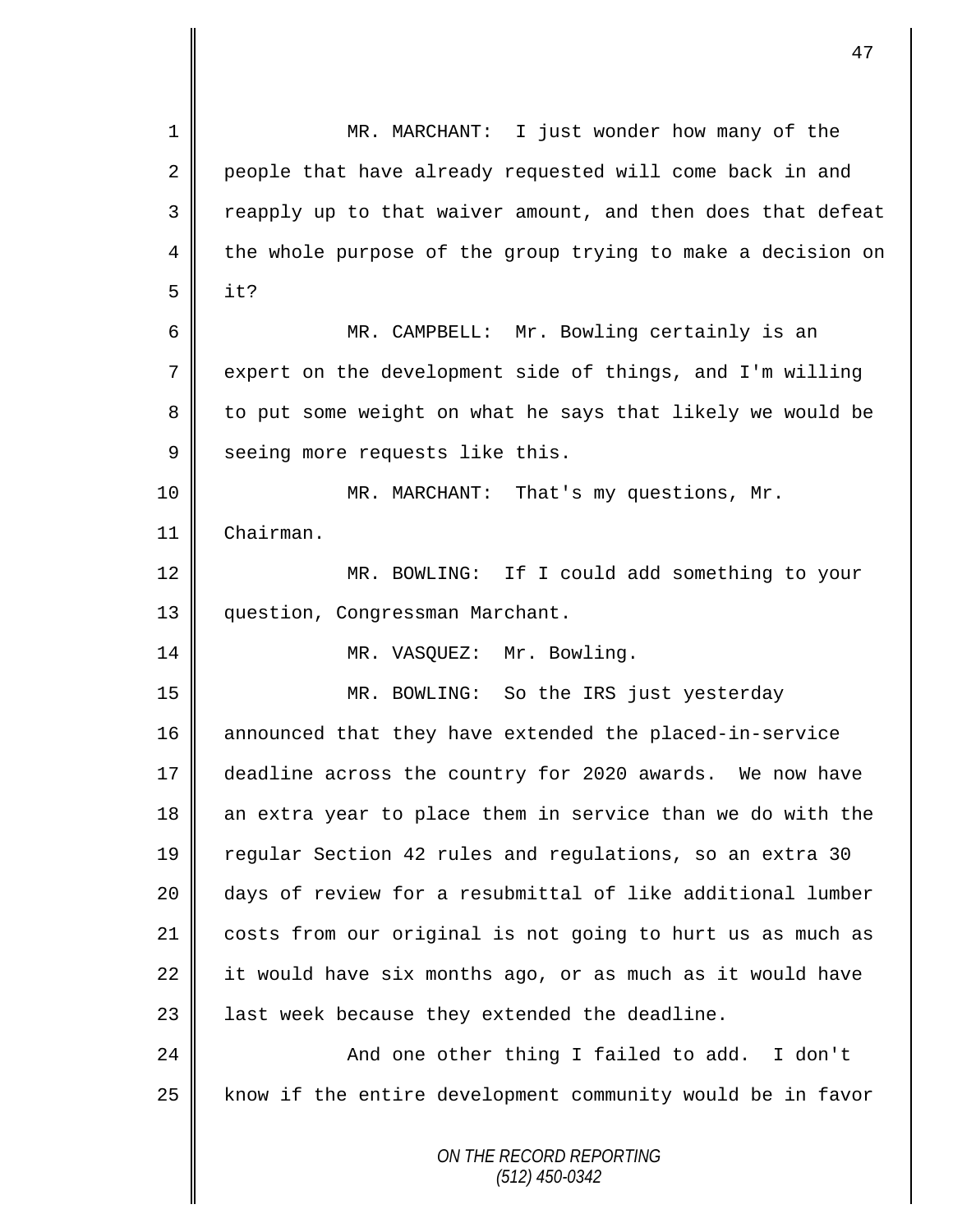*ON THE RECORD REPORTING (512) 450-0342* 1 || MR. MARCHANT: I just wonder how many of the 2 people that have already requested will come back in and  $3 \parallel$  reapply up to that waiver amount, and then does that defeat 4 the whole purpose of the group trying to make a decision on  $5$  | it? 6 MR. CAMPBELL: Mr. Bowling certainly is an 7 expert on the development side of things, and I'm willing 8 || to put some weight on what he says that likely we would be 9 seeing more requests like this. 10 MR. MARCHANT: That's my questions, Mr. 11 Chairman. 12 | MR. BOWLING: If I could add something to your 13 | question, Congressman Marchant. 14 || MR. VASQUEZ: Mr. Bowling. 15 MR. BOWLING: So the IRS just yesterday 16 announced that they have extended the placed-in-service 17 deadline across the country for 2020 awards. We now have 18 an extra year to place them in service than we do with the 19 regular Section 42 rules and regulations, so an extra 30 20 days of review for a resubmittal of like additional lumber 21 costs from our original is not going to hurt us as much as 22 it would have six months ago, or as much as it would have 23  $\parallel$  last week because they extended the deadline. 24 || And one other thing I failed to add. I don't  $25$  know if the entire development community would be in favor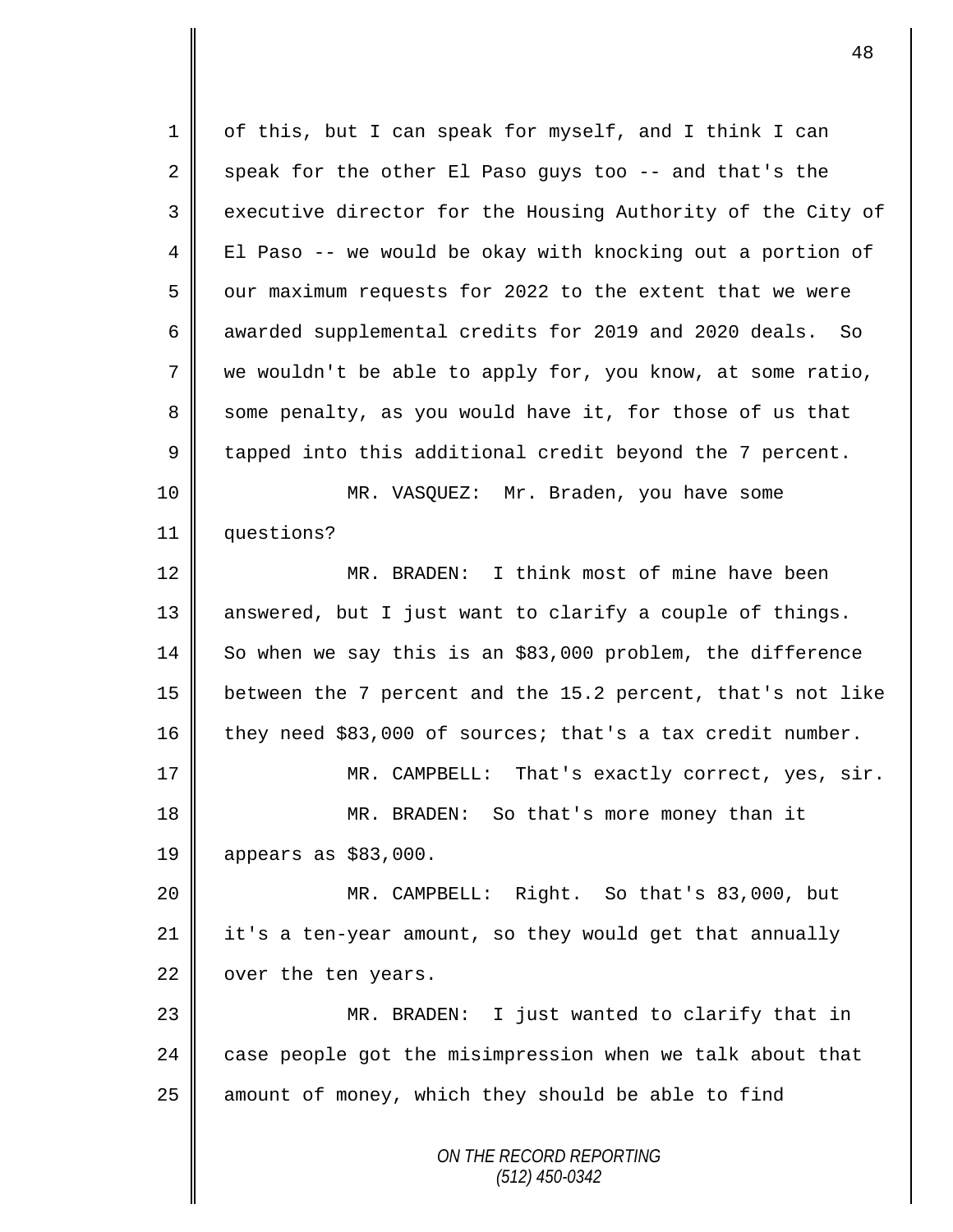*ON THE RECORD REPORTING (512) 450-0342* 1 of this, but I can speak for myself, and I think I can 2 speak for the other El Paso guys too -- and that's the 3 executive director for the Housing Authority of the City of 4 || El Paso -- we would be okay with knocking out a portion of 5 | our maximum requests for 2022 to the extent that we were 6 awarded supplemental credits for 2019 and 2020 deals. So 7 we wouldn't be able to apply for, you know, at some ratio, 8 some penalty, as you would have it, for those of us that 9  $\parallel$  tapped into this additional credit beyond the 7 percent. 10 MR. VASQUEZ: Mr. Braden, you have some 11 questions? 12 MR. BRADEN: I think most of mine have been 13 || answered, but I just want to clarify a couple of things. 14 So when we say this is an \$83,000 problem, the difference 15 between the 7 percent and the 15.2 percent, that's not like  $16$  they need \$83,000 of sources; that's a tax credit number. 17 || MR. CAMPBELL: That's exactly correct, yes, sir. 18 **MR. BRADEN:** So that's more money than it 19 appears as \$83,000. 20 MR. CAMPBELL: Right. So that's 83,000, but 21 it's a ten-year amount, so they would get that annually  $22$  | over the ten years. 23 MR. BRADEN: I just wanted to clarify that in 24  $\parallel$  case people got the misimpression when we talk about that  $25$  amount of money, which they should be able to find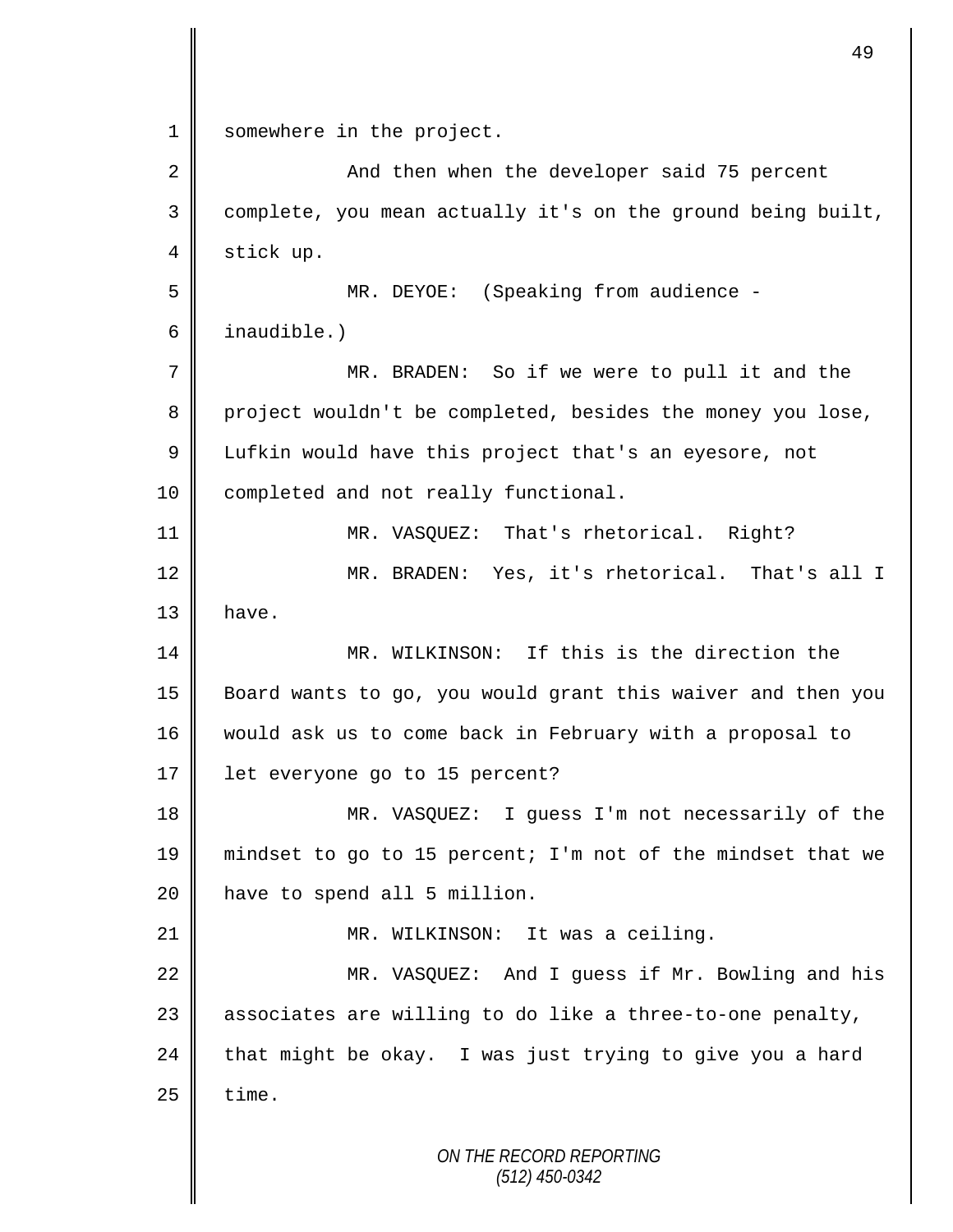*ON THE RECORD REPORTING* 1 somewhere in the project. 2 || And then when the developer said 75 percent 3 complete, you mean actually it's on the ground being built, 4 stick up. 5 MR. DEYOE: (Speaking from audience - 6 inaudible.) 7 MR. BRADEN: So if we were to pull it and the 8 project wouldn't be completed, besides the money you lose, 9 Lufkin would have this project that's an eyesore, not 10 | completed and not really functional. 11 MR. VASQUEZ: That's rhetorical. Right? 12 || MR. BRADEN: Yes, it's rhetorical. That's all I  $13$  have. 14 MR. WILKINSON: If this is the direction the 15 Board wants to go, you would grant this waiver and then you 16 would ask us to come back in February with a proposal to 17 | let everyone go to 15 percent? 18 || MR. VASQUEZ: I guess I'm not necessarily of the 19 || mindset to go to 15 percent; I'm not of the mindset that we 20 | have to spend all 5 million. 21 | MR. WILKINSON: It was a ceiling. 22 || MR. VASQUEZ: And I guess if Mr. Bowling and his 23  $\parallel$  associates are willing to do like a three-to-one penalty, 24 that might be okay. I was just trying to give you a hard  $25$   $\parallel$  time.

49

*(512) 450-0342*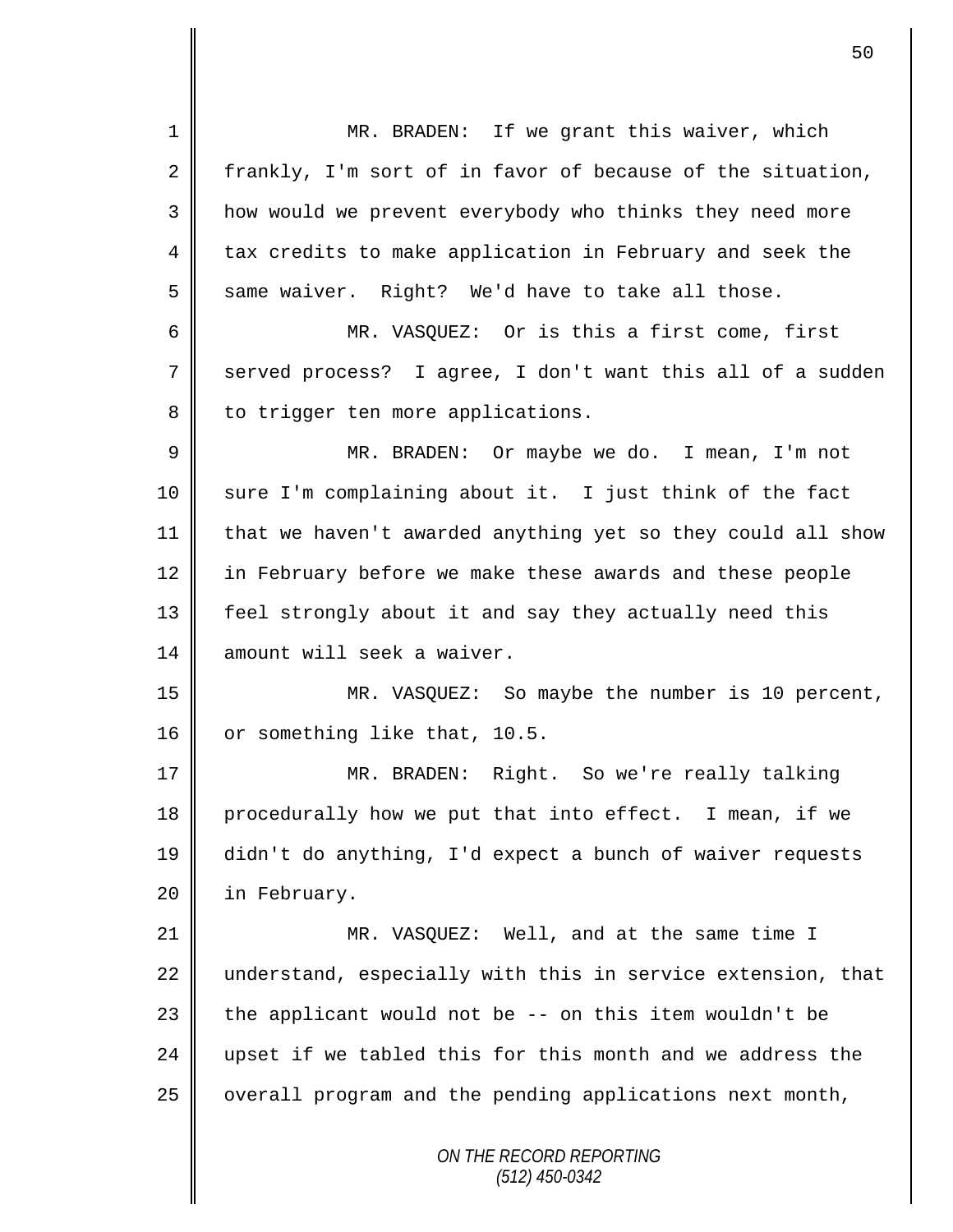*ON THE RECORD REPORTING (512) 450-0342* 1 || MR. BRADEN: If we grant this waiver, which 2 frankly, I'm sort of in favor of because of the situation, 3 || how would we prevent everybody who thinks they need more 4 tax credits to make application in February and seek the  $5 \parallel$  same waiver. Right? We'd have to take all those. 6 MR. VASQUEZ: Or is this a first come, first 7 served process? I agree, I don't want this all of a sudden 8 || to trigger ten more applications. 9 MR. BRADEN: Or maybe we do. I mean, I'm not 10 sure I'm complaining about it. I just think of the fact 11  $\parallel$  that we haven't awarded anything yet so they could all show 12 in February before we make these awards and these people 13 feel strongly about it and say they actually need this 14 amount will seek a waiver. 15 MR. VASQUEZ: So maybe the number is 10 percent, 16 or something like that, 10.5. 17 MR. BRADEN: Right. So we're really talking 18 procedurally how we put that into effect. I mean, if we 19 didn't do anything, I'd expect a bunch of waiver requests 20 | in February. 21 || MR. VASQUEZ: Well, and at the same time I  $22$  understand, especially with this in service extension, that 23  $\parallel$  the applicant would not be -- on this item wouldn't be 24 upset if we tabled this for this month and we address the  $25$  | overall program and the pending applications next month,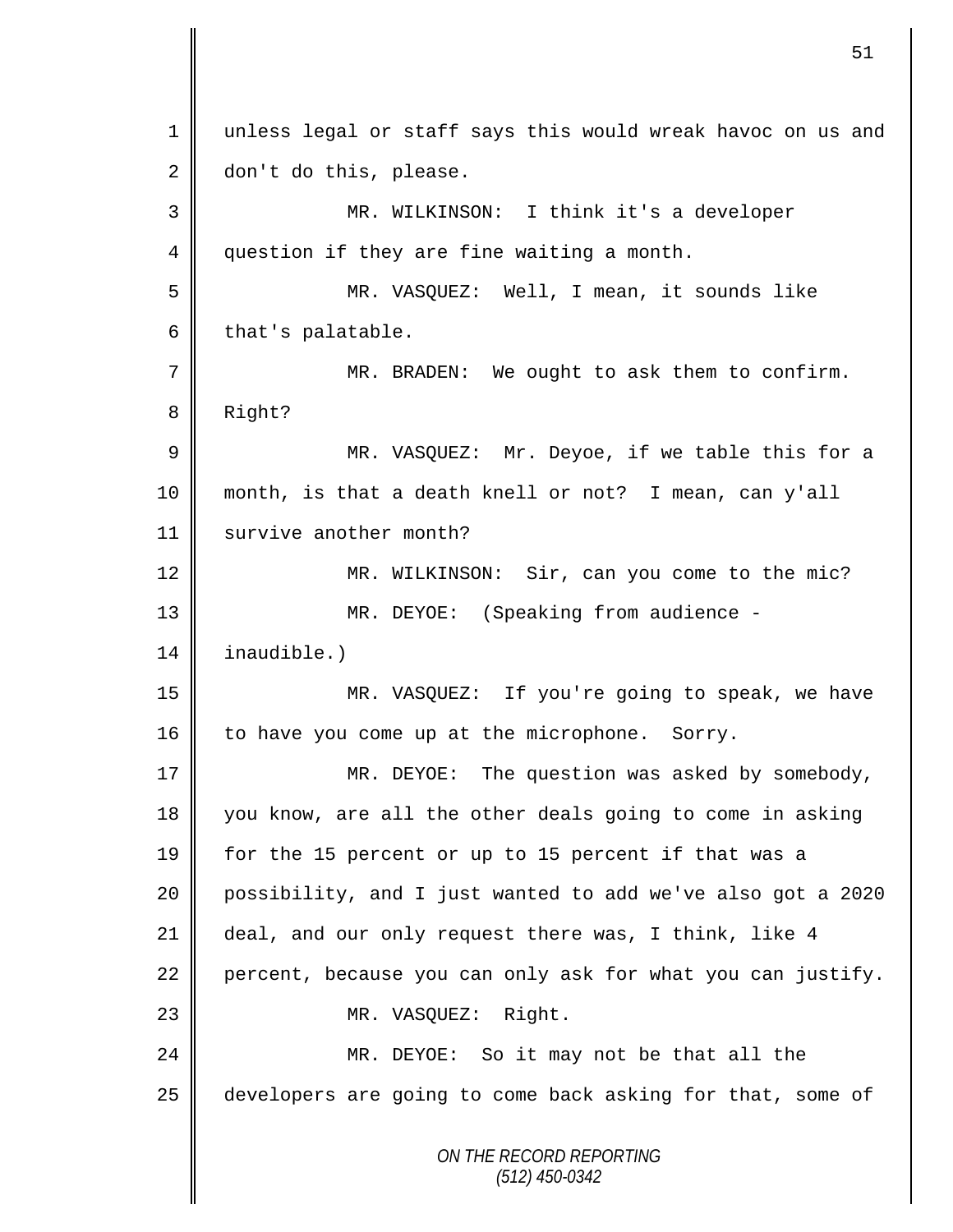*ON THE RECORD REPORTING (512) 450-0342* 1 || unless legal or staff says this would wreak havoc on us and 2 don't do this, please. 3 MR. WILKINSON: I think it's a developer 4 question if they are fine waiting a month. 5 MR. VASQUEZ: Well, I mean, it sounds like  $6 \parallel$  that's palatable. 7 || MR. BRADEN: We ought to ask them to confirm. 8 Right? 9 || MR. VASQUEZ: Mr. Deyoe, if we table this for a 10 month, is that a death knell or not? I mean, can y'all 11 | survive another month? 12 || MR. WILKINSON: Sir, can you come to the mic? 13 MR. DEYOE: (Speaking from audience - 14 inaudible.) 15 MR. VASQUEZ: If you're going to speak, we have 16  $\parallel$  to have you come up at the microphone. Sorry. 17 MR. DEYOE: The question was asked by somebody, 18 you know, are all the other deals going to come in asking 19 for the 15 percent or up to 15 percent if that was a 20 possibility, and I just wanted to add we've also got a 2020 21 deal, and our only request there was, I think, like 4 22 percent, because you can only ask for what you can justify. 23 || MR. VASQUEZ: Right. 24 || MR. DEYOE: So it may not be that all the 25 developers are going to come back asking for that, some of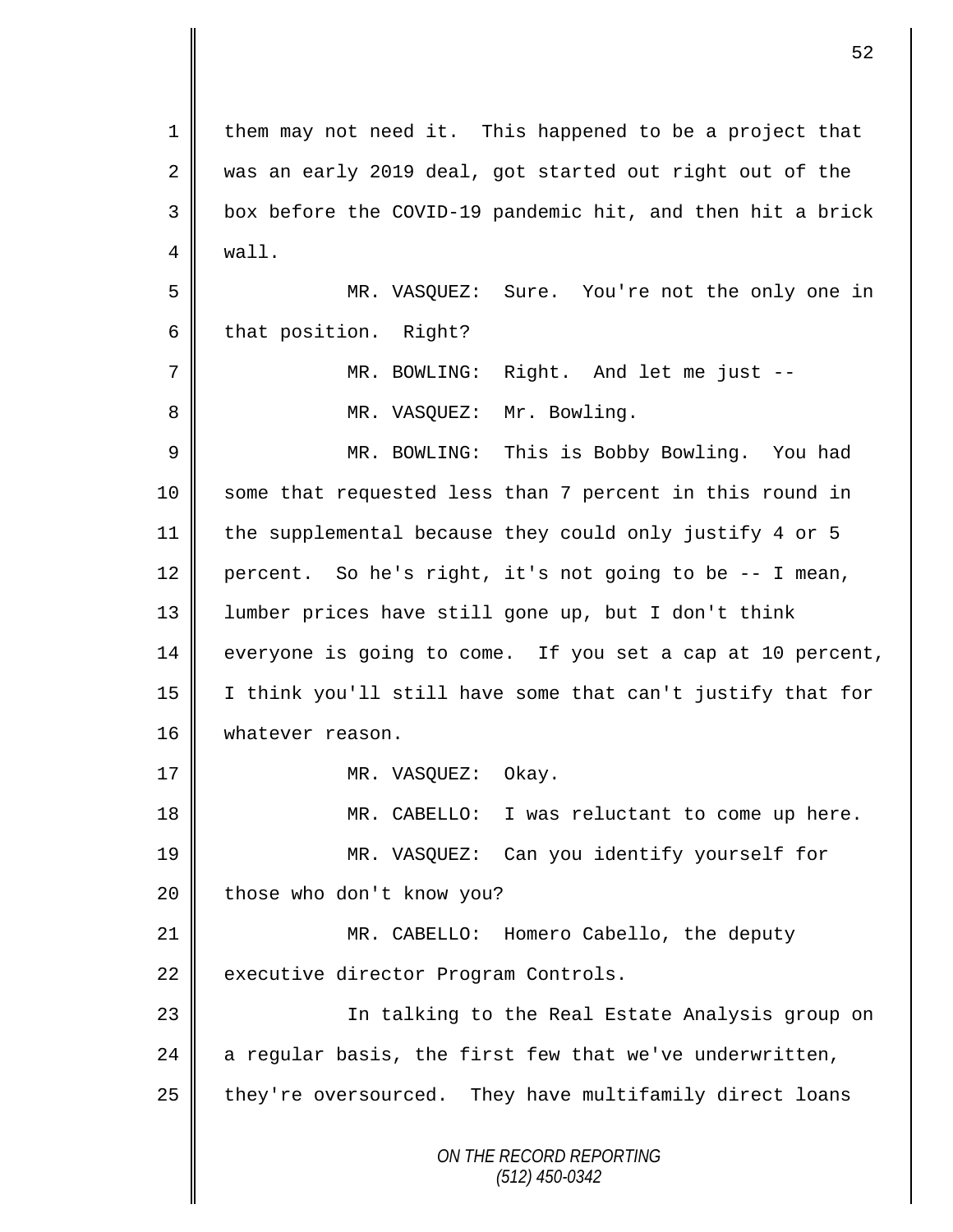*ON THE RECORD REPORTING (512) 450-0342* 1 | them may not need it. This happened to be a project that 2 was an early 2019 deal, got started out right out of the 3 || box before the COVID-19 pandemic hit, and then hit a brick 4 wall. 5 MR. VASQUEZ: Sure. You're not the only one in 6 that position. Right? 7 MR. BOWLING: Right. And let me just -- 8 || MR. VASQUEZ: Mr. Bowling. 9 || MR. BOWLING: This is Bobby Bowling. You had 10 || some that requested less than 7 percent in this round in 11 the supplemental because they could only justify 4 or 5 12 percent. So he's right, it's not going to be  $-$ - I mean, 13 lumber prices have still gone up, but I don't think  $14 \parallel$  everyone is going to come. If you set a cap at 10 percent, 15 I think you'll still have some that can't justify that for 16 | whatever reason. 17 || MR. VASOUEZ: Okay. 18 MR. CABELLO: I was reluctant to come up here. 19 MR. VASQUEZ: Can you identify yourself for  $20$  | those who don't know you? 21 MR. CABELLO: Homero Cabello, the deputy 22 executive director Program Controls. 23 || In talking to the Real Estate Analysis group on 24  $\parallel$  a regular basis, the first few that we've underwritten, 25 | they're oversourced. They have multifamily direct loans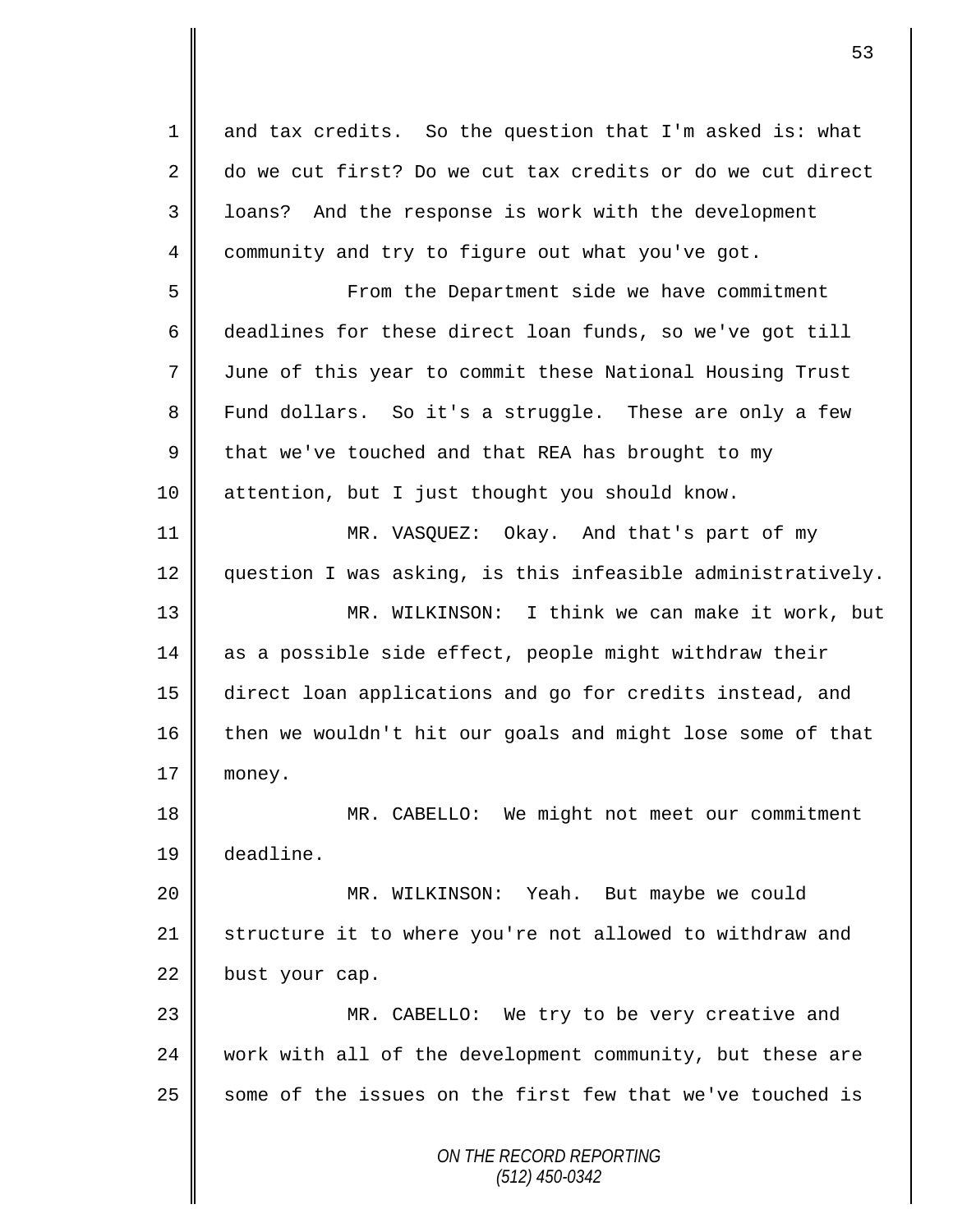*ON THE RECORD REPORTING (512) 450-0342* 1 and tax credits. So the question that I'm asked is: what 2 do we cut first? Do we cut tax credits or do we cut direct 3 || loans? And the response is work with the development 4 community and try to figure out what you've got. 5 || From the Department side we have commitment 6 deadlines for these direct loan funds, so we've got till 7 June of this year to commit these National Housing Trust 8 Fund dollars. So it's a struggle. These are only a few  $9 \parallel$  that we've touched and that REA has brought to my 10 attention, but I just thought you should know. 11 MR. VASQUEZ: Okay. And that's part of my 12 question I was asking, is this infeasible administratively. 13 MR. WILKINSON: I think we can make it work, but 14 as a possible side effect, people might withdraw their 15 direct loan applications and go for credits instead, and 16 then we wouldn't hit our goals and might lose some of that 17 | money. 18 MR. CABELLO: We might not meet our commitment 19 deadline. 20 MR. WILKINSON: Yeah. But maybe we could 21 | structure it to where you're not allowed to withdraw and 22 bust your cap. 23 MR. CABELLO: We try to be very creative and 24 work with all of the development community, but these are  $25$  some of the issues on the first few that we've touched is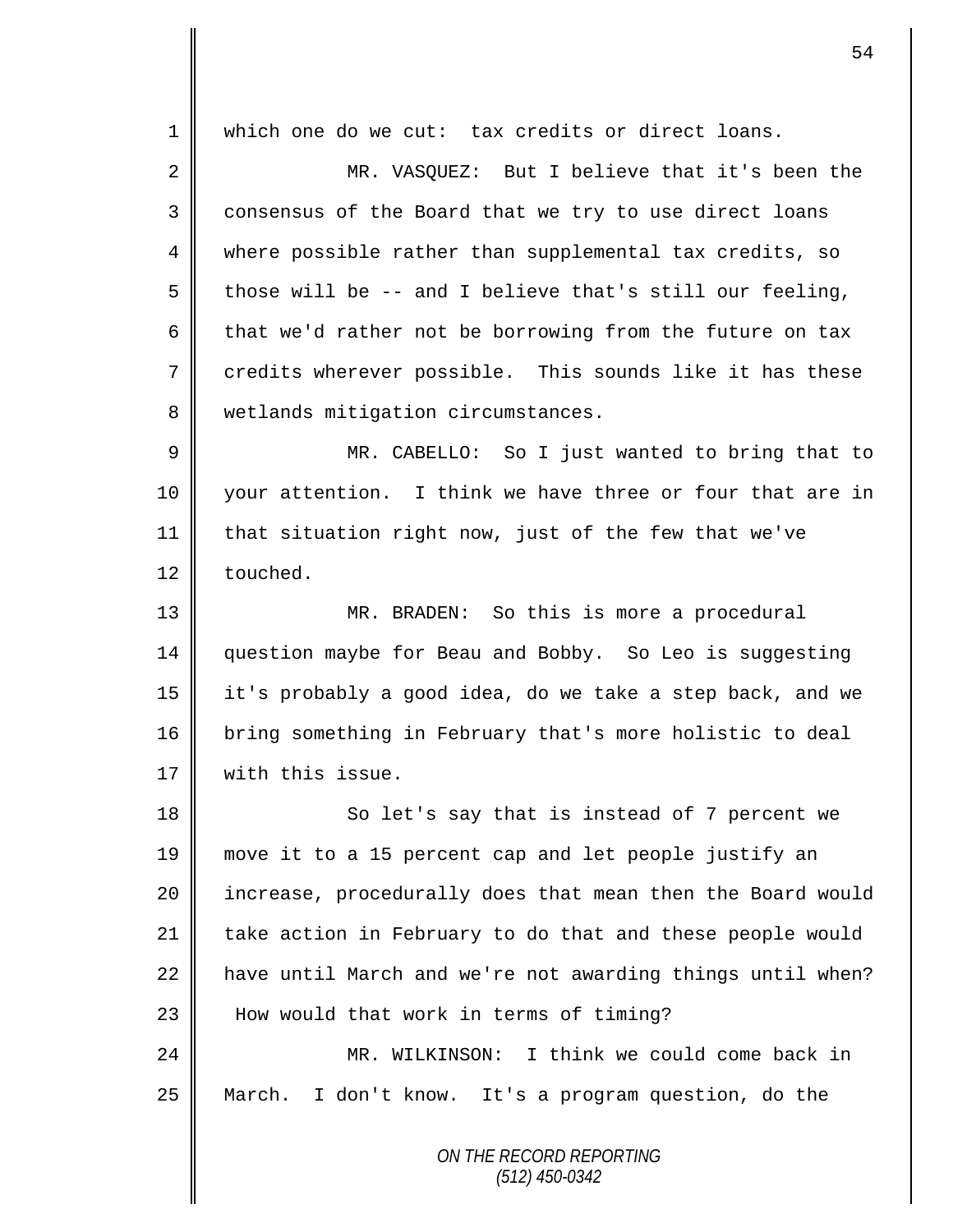*ON THE RECORD REPORTING* 1 which one do we cut: tax credits or direct loans. 2 MR. VASQUEZ: But I believe that it's been the 3 consensus of the Board that we try to use direct loans 4 where possible rather than supplemental tax credits, so 5 those will be -- and I believe that's still our feeling, 6 that we'd rather not be borrowing from the future on tax 7 credits wherever possible. This sounds like it has these 8 | wetlands mitigation circumstances. 9 || MR. CABELLO: So I just wanted to bring that to 10 your attention. I think we have three or four that are in 11 | that situation right now, just of the few that we've 12 touched. 13 MR. BRADEN: So this is more a procedural 14 question maybe for Beau and Bobby. So Leo is suggesting 15 it's probably a good idea, do we take a step back, and we 16 bring something in February that's more holistic to deal 17 | with this issue. 18 || So let's say that is instead of 7 percent we 19 move it to a 15 percent cap and let people justify an 20 | increase, procedurally does that mean then the Board would 21 take action in February to do that and these people would  $22$  have until March and we're not awarding things until when? 23 || How would that work in terms of timing? 24 MR. WILKINSON: I think we could come back in 25 March. I don't know. It's a program question, do the

*(512) 450-0342*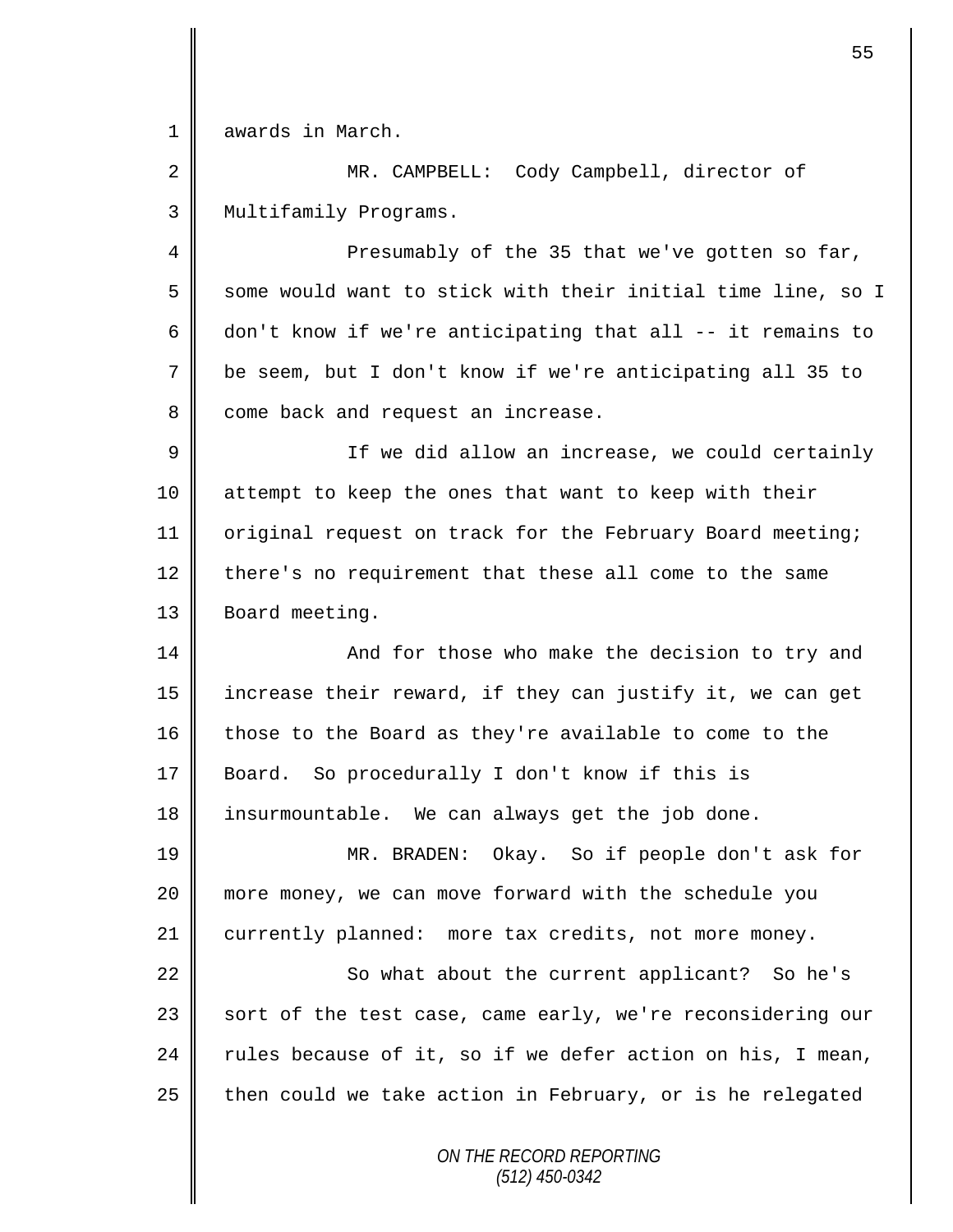1 awards in March.

2 MR. CAMPBELL: Cody Campbell, director of 3 | Multifamily Programs.

4 Presumably of the 35 that we've gotten so far,  $5 \parallel$  some would want to stick with their initial time line, so I 6 don't know if we're anticipating that all  $-$ - it remains to 7 be seem, but I don't know if we're anticipating all 35 to 8 come back and request an increase.

9 || If we did allow an increase, we could certainly 10 attempt to keep the ones that want to keep with their 11 | original request on track for the February Board meeting; 12 there's no requirement that these all come to the same 13 | Board meeting.

14 || And for those who make the decision to try and 15 increase their reward, if they can justify it, we can get 16 || those to the Board as they're available to come to the 17 Board. So procedurally I don't know if this is 18 insurmountable. We can always get the job done.

19 MR. BRADEN: Okay. So if people don't ask for 20 more money, we can move forward with the schedule you 21 | currently planned: more tax credits, not more money.

22 || So what about the current applicant? So he's 23 | sort of the test case, came early, we're reconsidering our 24  $\parallel$  rules because of it, so if we defer action on his, I mean, 25  $\parallel$  then could we take action in February, or is he relegated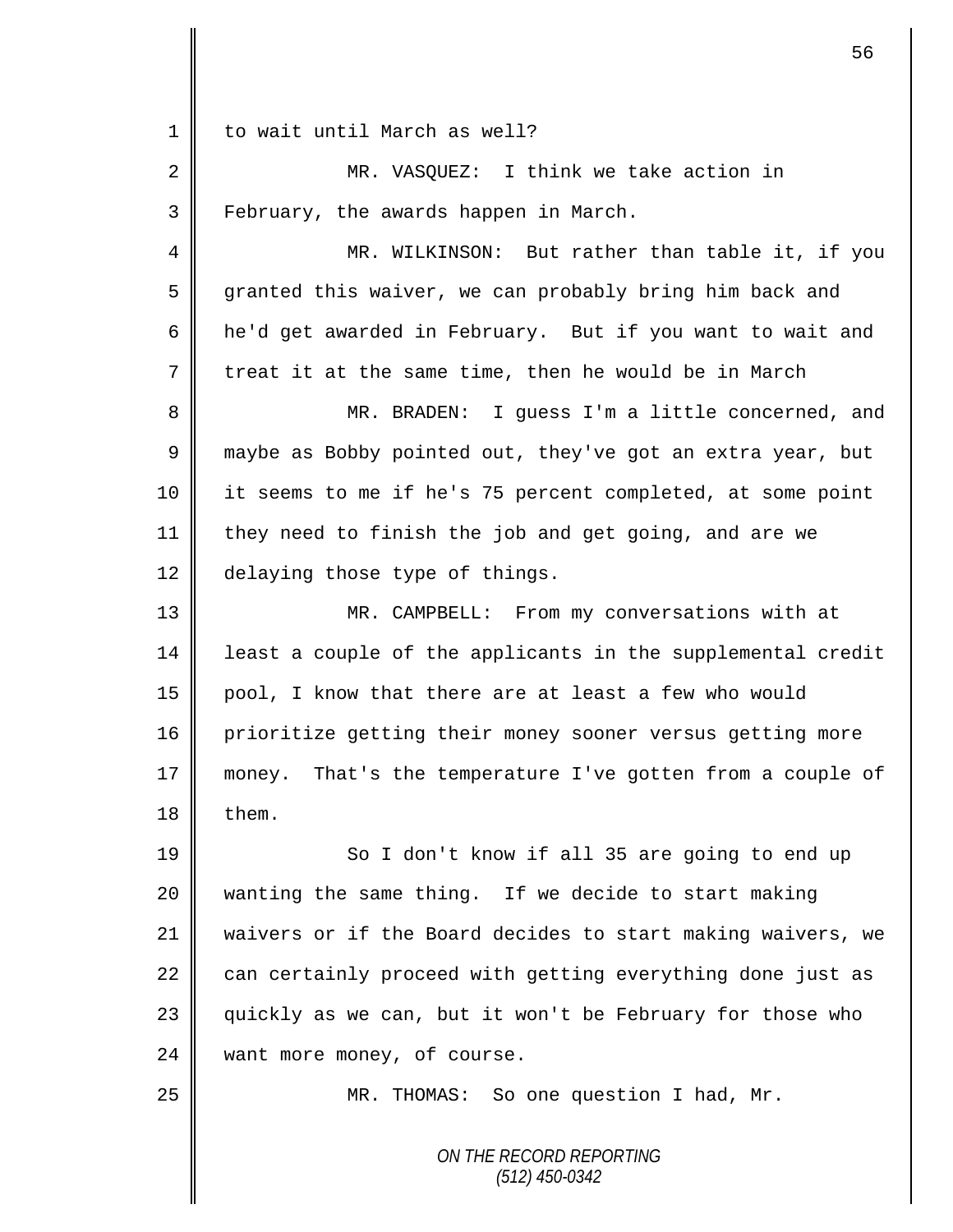1 || to wait until March as well?

2 MR. VASQUEZ: I think we take action in 3 February, the awards happen in March.

4 || MR. WILKINSON: But rather than table it, if you 5 granted this waiver, we can probably bring him back and 6 he'd get awarded in February. But if you want to wait and  $7 \parallel$  treat it at the same time, then he would be in March

8 || MR. BRADEN: I guess I'm a little concerned, and 9 maybe as Bobby pointed out, they've got an extra year, but 10 it seems to me if he's 75 percent completed, at some point 11 they need to finish the job and get going, and are we 12 delaying those type of things.

13 MR. CAMPBELL: From my conversations with at 14 | least a couple of the applicants in the supplemental credit 15 pool, I know that there are at least a few who would 16 prioritize getting their money sooner versus getting more 17 money. That's the temperature I've gotten from a couple of  $18$  | them.

19 || So I don't know if all 35 are going to end up 20 wanting the same thing. If we decide to start making 21 waivers or if the Board decides to start making waivers, we 22  $\parallel$  can certainly proceed with getting everything done just as 23 || quickly as we can, but it won't be February for those who 24 want more money, of course.

25 | MR. THOMAS: So one question I had, Mr.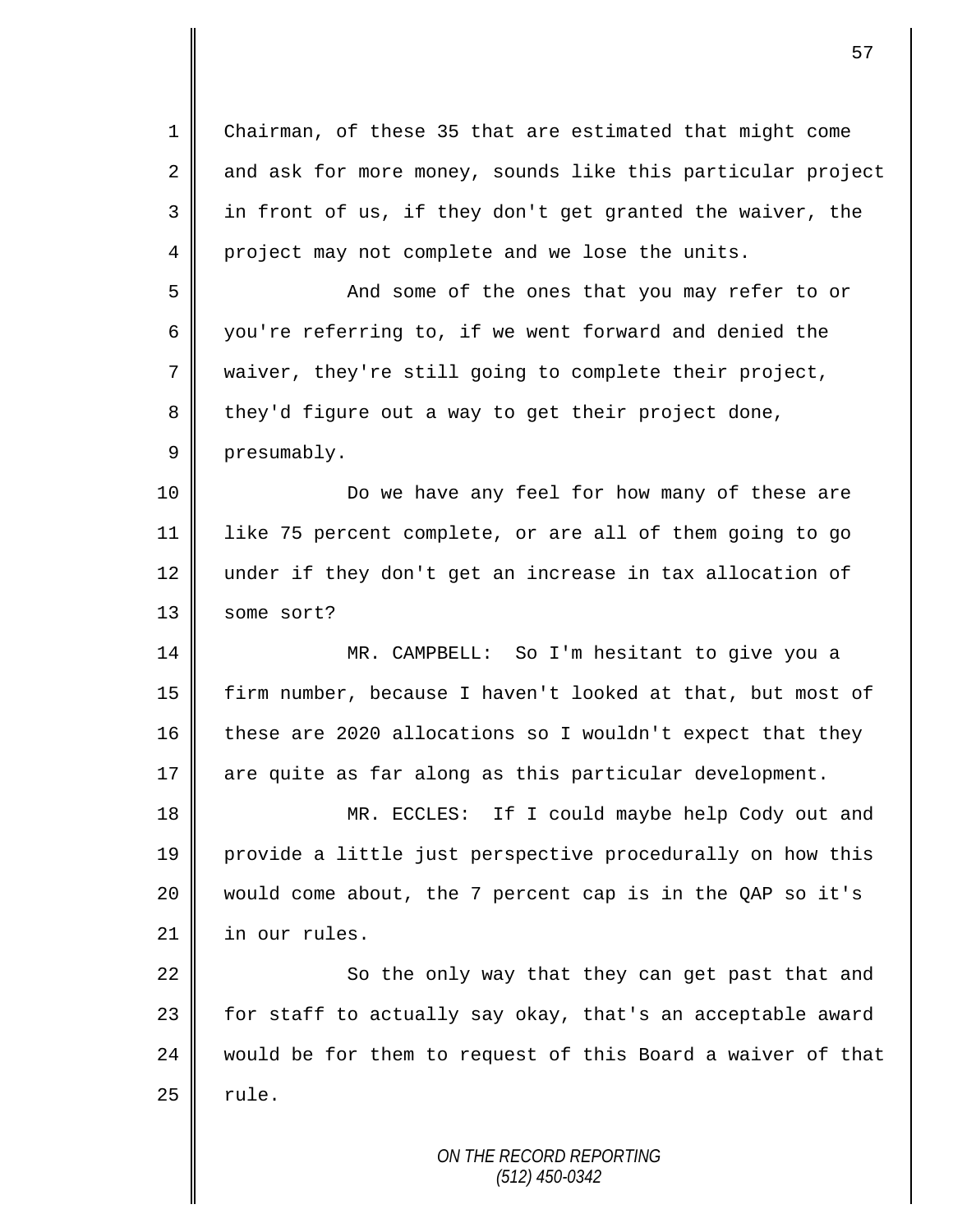| $\mathbf 1$ | Chairman, of these 35 that are estimated that might come    |
|-------------|-------------------------------------------------------------|
| 2           | and ask for more money, sounds like this particular project |
| 3           | in front of us, if they don't get granted the waiver, the   |
| 4           | project may not complete and we lose the units.             |
| 5           | And some of the ones that you may refer to or               |
| 6           | you're referring to, if we went forward and denied the      |
| 7           | waiver, they're still going to complete their project,      |
| 8           | they'd figure out a way to get their project done,          |
| 9           | presumably.                                                 |
| 10          | Do we have any feel for how many of these are               |
| 11          | like 75 percent complete, or are all of them going to go    |
| 12          | under if they don't get an increase in tax allocation of    |
| 13          | some sort?                                                  |
| 14          | MR. CAMPBELL: So I'm hesitant to give you a                 |
| 15          | firm number, because I haven't looked at that, but most of  |
| 16          | these are 2020 allocations so I wouldn't expect that they   |
| 17          | are quite as far along as this particular development.      |
| 18          | MR. ECCLES: If I could maybe help Cody out and              |
| 19          | provide a little just perspective procedurally on how this  |
| 20          | would come about, the 7 percent cap is in the QAP so it's   |
| 21          | in our rules.                                               |
| 22          | So the only way that they can get past that and             |
| 23          | for staff to actually say okay, that's an acceptable award  |
| 24          | would be for them to request of this Board a waiver of that |
| 25          | rule.                                                       |
|             | ON THE RECORD REPORTING                                     |
|             |                                                             |

*(512) 450-0342*

 $\mathsf{I}$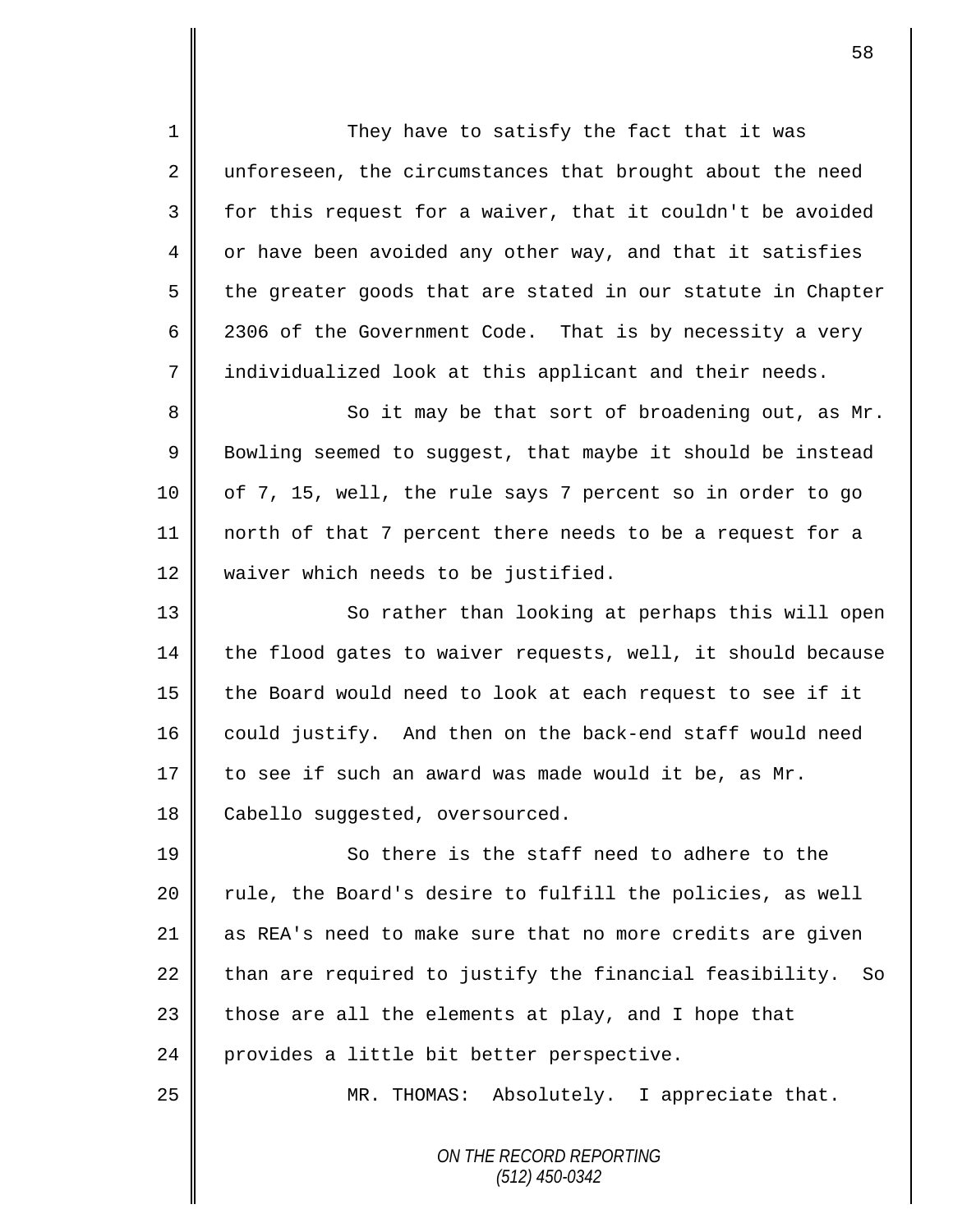*ON THE RECORD REPORTING* 1 || They have to satisfy the fact that it was 2 || unforeseen, the circumstances that brought about the need  $3 \parallel$  for this request for a waiver, that it couldn't be avoided 4 or have been avoided any other way, and that it satisfies  $5 \parallel$  the greater goods that are stated in our statute in Chapter 6 2306 of the Government Code. That is by necessity a very 7 | individualized look at this applicant and their needs. 8 So it may be that sort of broadening out, as Mr.  $9 \parallel$  Bowling seemed to suggest, that maybe it should be instead 10 | of 7, 15, well, the rule says 7 percent so in order to go 11 north of that 7 percent there needs to be a request for a 12 waiver which needs to be justified. 13 || So rather than looking at perhaps this will open  $14$  the flood gates to waiver requests, well, it should because 15 the Board would need to look at each request to see if it 16 | could justify. And then on the back-end staff would need 17  $\parallel$  to see if such an award was made would it be, as Mr. 18 **Cabello** suggested, oversourced. 19 **So there is the staff need to adhere to the** 20 | rule, the Board's desire to fulfill the policies, as well 21 as REA's need to make sure that no more credits are given  $22$  than are required to justify the financial feasibility. So 23  $\parallel$  those are all the elements at play, and I hope that 24 provides a little bit better perspective. 25 || MR. THOMAS: Absolutely. I appreciate that.

*(512) 450-0342*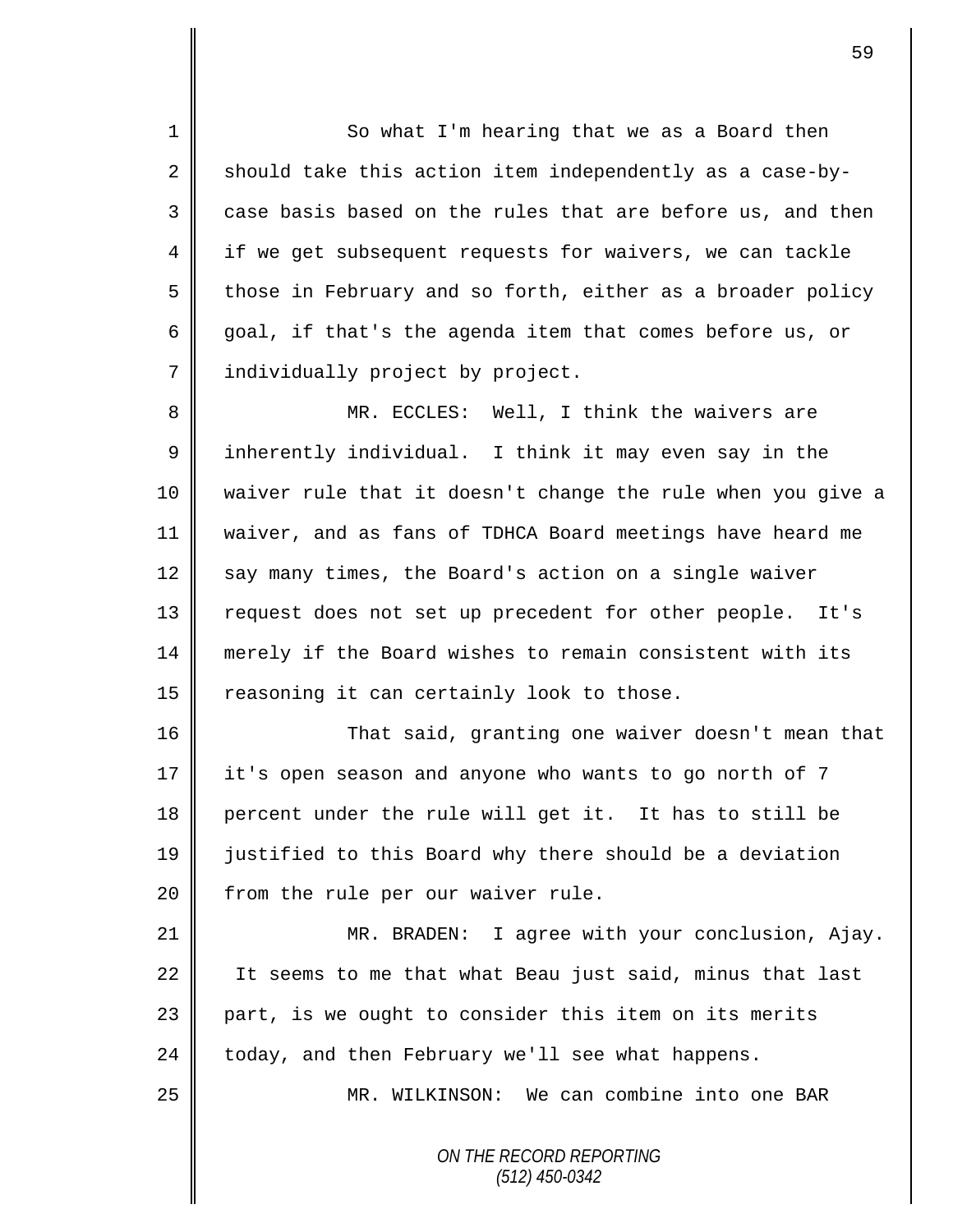1 So what I'm hearing that we as a Board then 2 should take this action item independently as a case-by- $3 \parallel$  case basis based on the rules that are before us, and then 4 || if we get subsequent requests for waivers, we can tackle  $5 \parallel$  those in February and so forth, either as a broader policy 6 goal, if that's the agenda item that comes before us, or 7 | individually project by project.

 MR. ECCLES: Well, I think the waivers are 9 || inherently individual. I think it may even say in the waiver rule that it doesn't change the rule when you give a waiver, and as fans of TDHCA Board meetings have heard me say many times, the Board's action on a single waiver 13 | request does not set up precedent for other people. It's merely if the Board wishes to remain consistent with its  $\parallel$  reasoning it can certainly look to those.

16 | That said, granting one waiver doesn't mean that it's open season and anyone who wants to go north of 7 percent under the rule will get it. It has to still be justified to this Board why there should be a deviation | from the rule per our waiver rule.

21 MR. BRADEN: I agree with your conclusion, Ajay. 22 I It seems to me that what Beau just said, minus that last 23 part, is we ought to consider this item on its merits 24 today, and then February we'll see what happens.

25 MR. WILKINSON: We can combine into one BAR

*ON THE RECORD REPORTING (512) 450-0342*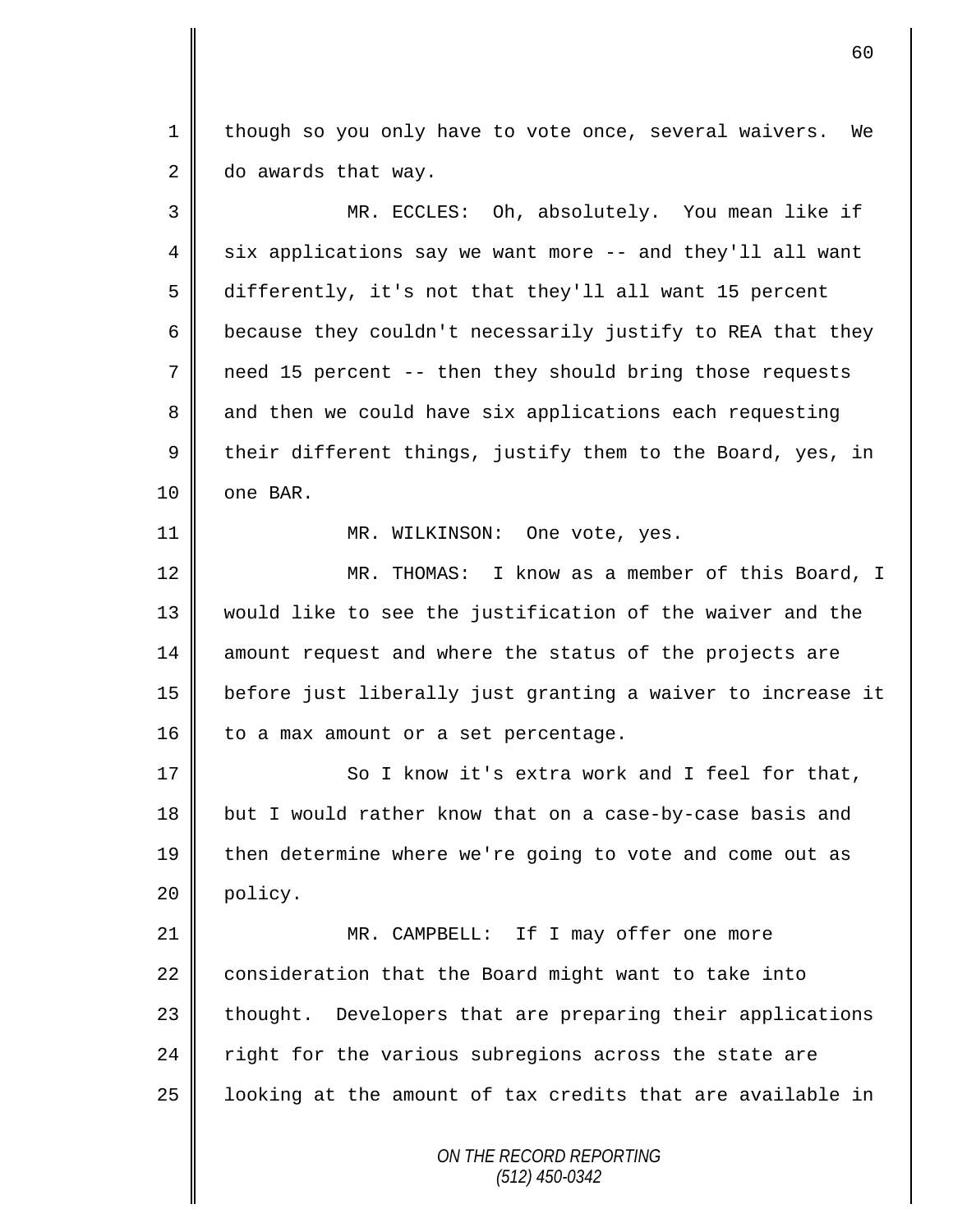1 | though so you only have to vote once, several waivers. We  $2 \parallel$  do awards that way.

3 MR. ECCLES: Oh, absolutely. You mean like if  $4 \parallel$  six applications say we want more -- and they'll all want 5 differently, it's not that they'll all want 15 percent 6  $\parallel$  because they couldn't necessarily justify to REA that they 7 need 15 percent -- then they should bring those requests 8 and then we could have six applications each requesting  $9 \parallel$  their different things, justify them to the Board, yes, in  $10$  | one BAR. 11 || MR. WILKINSON: One vote, yes. 12 MR. THOMAS: I know as a member of this Board, I 13 would like to see the justification of the waiver and the 14 amount request and where the status of the projects are 15 before just liberally just granting a waiver to increase it  $16$  to a max amount or a set percentage. 17 So I know it's extra work and I feel for that, 18 but I would rather know that on a case-by-case basis and 19 then determine where we're going to vote and come out as 20 policy. 21 || MR. CAMPBELL: If I may offer one more 22 consideration that the Board might want to take into 23 | thought. Developers that are preparing their applications 24  $\parallel$  right for the various subregions across the state are  $25$  | looking at the amount of tax credits that are available in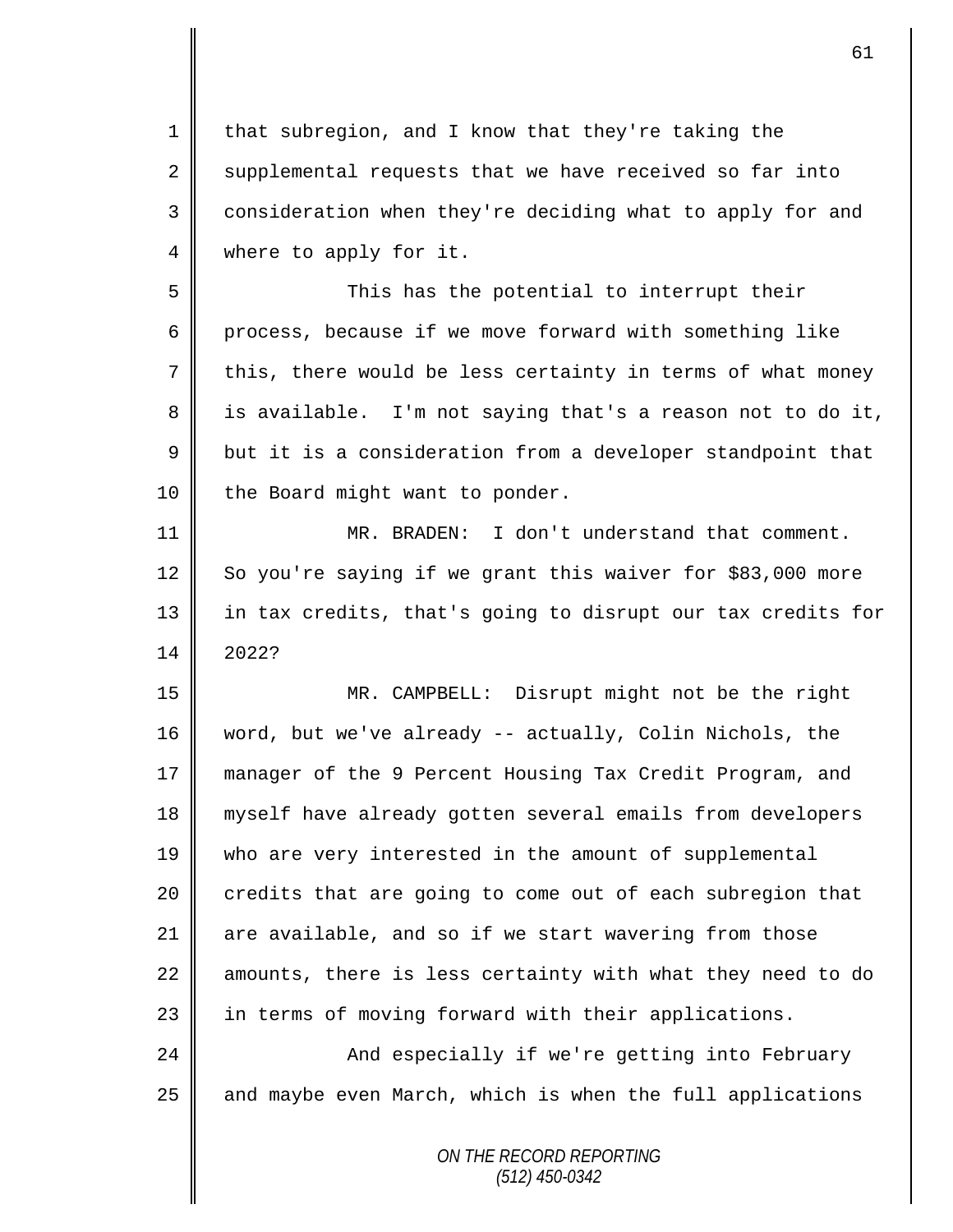$1 \parallel$  that subregion, and I know that they're taking the 2 supplemental requests that we have received so far into 3 | consideration when they're deciding what to apply for and 4 | where to apply for it.

5 This has the potential to interrupt their  $6 \parallel$  process, because if we move forward with something like 7 this, there would be less certainty in terms of what money  $8 \parallel$  is available. I'm not saying that's a reason not to do it,  $9 \parallel$  but it is a consideration from a developer standpoint that 10 | the Board might want to ponder.

11 MR. BRADEN: I don't understand that comment. 12 So you're saying if we grant this waiver for \$83,000 more 13 || in tax credits, that's going to disrupt our tax credits for 14 2022?

 MR. CAMPBELL: Disrupt might not be the right word, but we've already -- actually, Colin Nichols, the manager of the 9 Percent Housing Tax Credit Program, and 18 || myself have already gotten several emails from developers who are very interested in the amount of supplemental 20 credits that are going to come out of each subregion that  $\parallel$  are available, and so if we start wavering from those  $\parallel$  amounts, there is less certainty with what they need to do 23 || in terms of moving forward with their applications.

24 || And especially if we're getting into February 25 | and maybe even March, which is when the full applications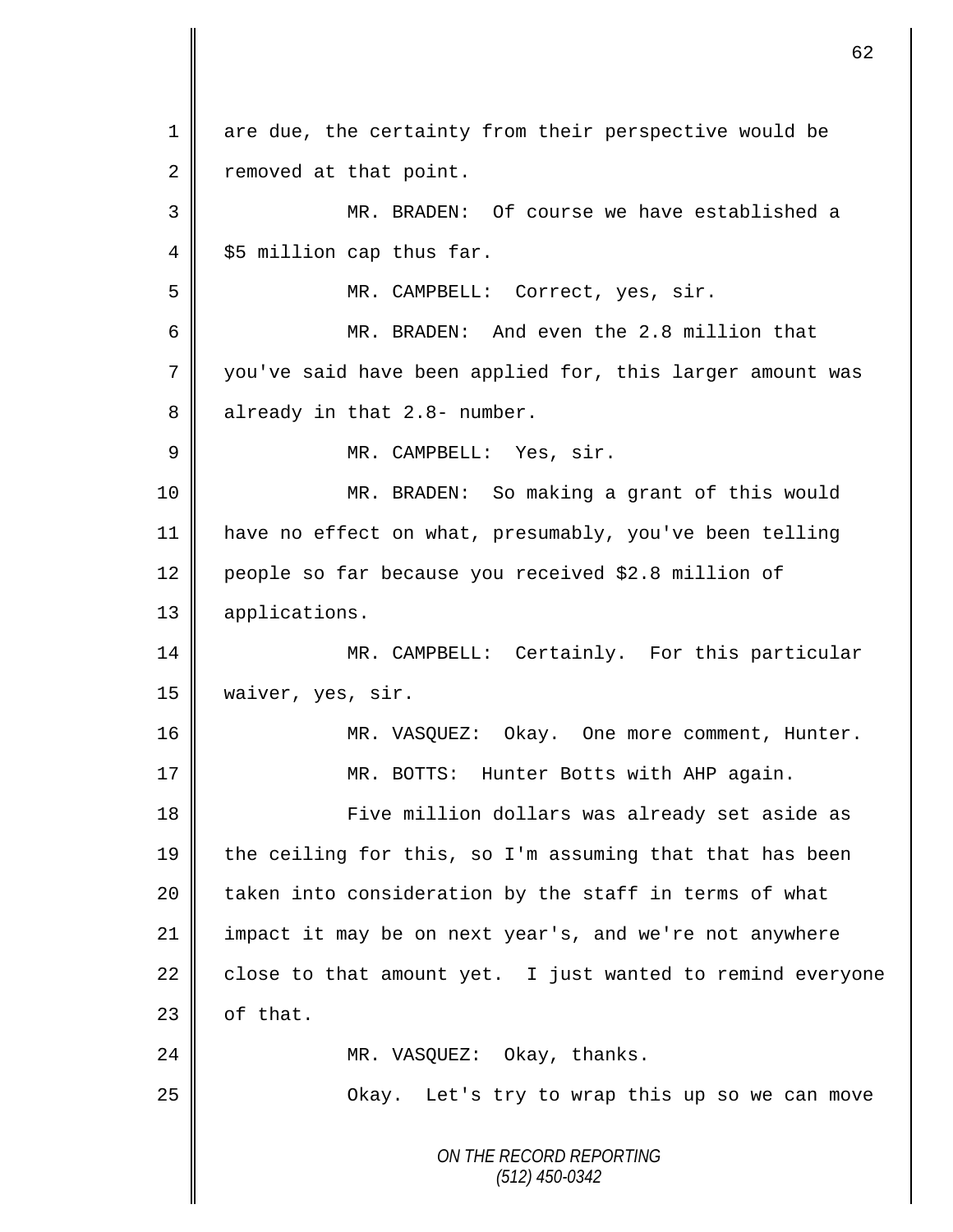*ON THE RECORD REPORTING (512) 450-0342* 1 are due, the certainty from their perspective would be 2 removed at that point. 3 || MR. BRADEN: Of course we have established a  $4 \parallel$  \$5 million cap thus far. 5 || MR. CAMPBELL: Correct, yes, sir. 6 MR. BRADEN: And even the 2.8 million that 7 you've said have been applied for, this larger amount was  $8 \parallel$  already in that 2.8- number. 9 || MR. CAMPBELL: Yes, sir. 10 MR. BRADEN: So making a grant of this would 11 have no effect on what, presumably, you've been telling 12 people so far because you received \$2.8 million of 13 applications. 14 MR. CAMPBELL: Certainly. For this particular 15 waiver, yes, sir. 16 MR. VASQUEZ: Okay. One more comment, Hunter. 17 || MR. BOTTS: Hunter Botts with AHP again. 18 || Five million dollars was already set aside as 19  $\parallel$  the ceiling for this, so I'm assuming that that has been 20 | taken into consideration by the staff in terms of what 21 | impact it may be on next year's, and we're not anywhere 22  $\parallel$  close to that amount yet. I just wanted to remind everyone  $23$  | of that. 24 || MR. VASQUEZ: Okay, thanks. 25 | Chay. Let's try to wrap this up so we can move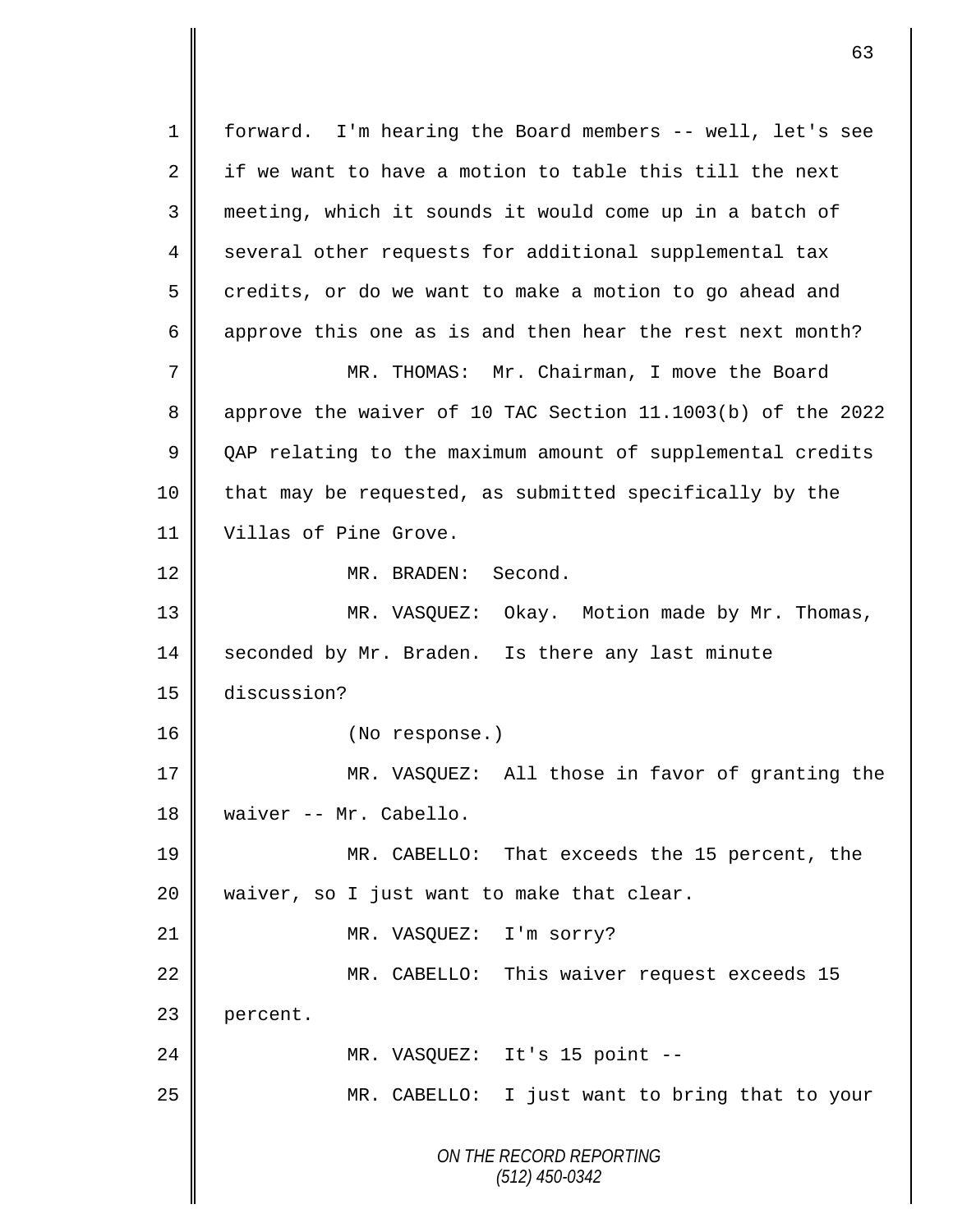*ON THE RECORD REPORTING (512) 450-0342* 1 forward. I'm hearing the Board members -- well, let's see 2  $\parallel$  if we want to have a motion to table this till the next 3 meeting, which it sounds it would come up in a batch of 4 several other requests for additional supplemental tax  $5 \parallel$  credits, or do we want to make a motion to go ahead and 6 approve this one as is and then hear the rest next month? 7 MR. THOMAS: Mr. Chairman, I move the Board 8 approve the waiver of 10 TAC Section 11.1003(b) of the 2022 9 QAP relating to the maximum amount of supplemental credits 10 | that may be requested, as submitted specifically by the 11 Villas of Pine Grove. 12 MR. BRADEN: Second. 13 MR. VASQUEZ: Okay. Motion made by Mr. Thomas, 14 seconded by Mr. Braden. Is there any last minute 15 discussion? 16 || (No response.) 17 || MR. VASQUEZ: All those in favor of granting the 18 | waiver -- Mr. Cabello. 19 MR. CABELLO: That exceeds the 15 percent, the  $20$  || waiver, so I just want to make that clear. 21 | MR. VASQUEZ: I'm sorry? 22 MR. CABELLO: This waiver request exceeds 15 23 | percent. 24 || MR. VASQUEZ: It's 15 point --25 || MR. CABELLO: I just want to bring that to your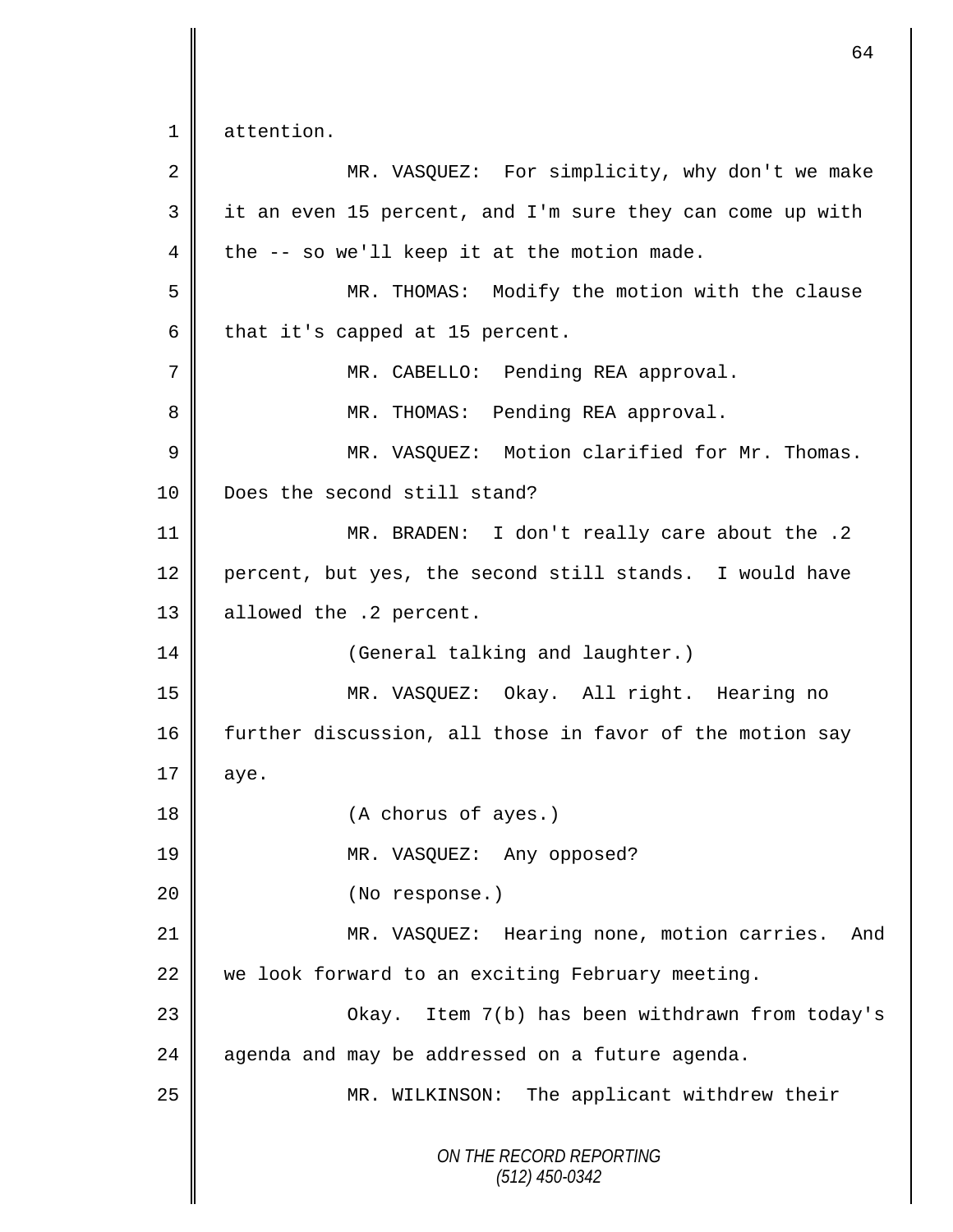*ON THE RECORD REPORTING (512) 450-0342* 1 attention. 2 || MR. VASQUEZ: For simplicity, why don't we make 3 it an even 15 percent, and I'm sure they can come up with 4 the  $-$  so we'll keep it at the motion made. 5 MR. THOMAS: Modify the motion with the clause  $6 \parallel$  that it's capped at 15 percent. 7 || MR. CABELLO: Pending REA approval. 8 MR. THOMAS: Pending REA approval. 9 MR. VASQUEZ: Motion clarified for Mr. Thomas. 10 **Does** the second still stand? 11 MR. BRADEN: I don't really care about the .2 12 percent, but yes, the second still stands. I would have 13 | allowed the .2 percent. 14 | (General talking and laughter.) 15 MR. VASQUEZ: Okay. All right. Hearing no 16 further discussion, all those in favor of the motion say  $17 \parallel$  aye. 18 (A chorus of ayes.) 19 MR. VASQUEZ: Any opposed? 20 || (No response.) 21 MR. VASQUEZ: Hearing none, motion carries. And 22  $\parallel$  we look forward to an exciting February meeting. 23 Okay. Item 7(b) has been withdrawn from today's  $24$  agenda and may be addressed on a future agenda. 25 MR. WILKINSON: The applicant withdrew their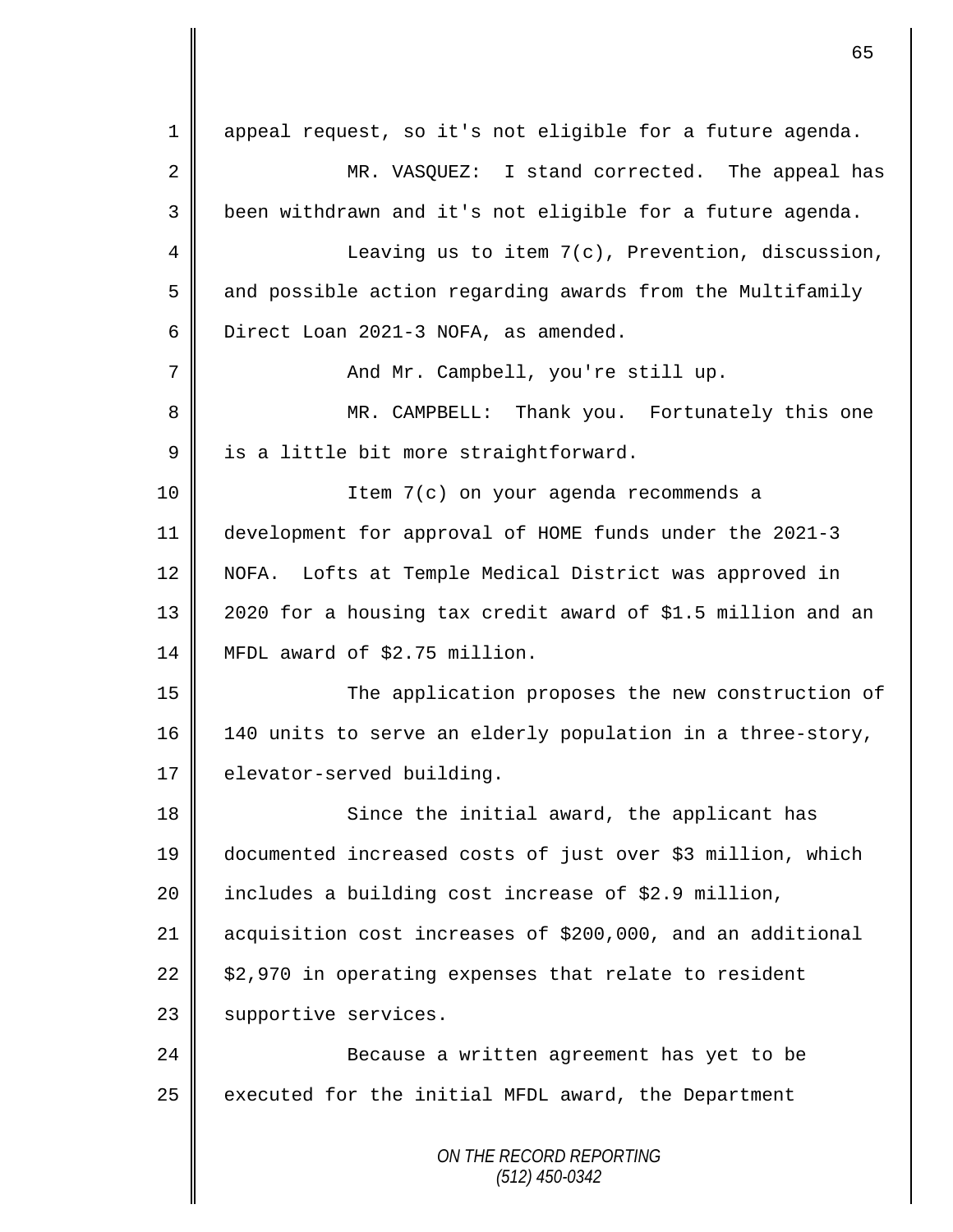*ON THE RECORD REPORTING* 1 appeal request, so it's not eligible for a future agenda. 2 MR. VASQUEZ: I stand corrected. The appeal has 3 been withdrawn and it's not eligible for a future agenda. 4 || Leaving us to item 7(c), Prevention, discussion, 5 and possible action regarding awards from the Multifamily 6 Direct Loan 2021-3 NOFA, as amended. 7 And Mr. Campbell, you're still up. 8 || MR. CAMPBELL: Thank you. Fortunately this one 9 | is a little bit more straightforward. 10 Item 7(c) on your agenda recommends a 11 development for approval of HOME funds under the 2021-3 12 NOFA. Lofts at Temple Medical District was approved in 13 2020 for a housing tax credit award of \$1.5 million and an 14 MFDL award of \$2.75 million. 15 The application proposes the new construction of 16 140 units to serve an elderly population in a three-story, 17 elevator-served building. 18 || Since the initial award, the applicant has 19 documented increased costs of just over \$3 million, which 20  $\parallel$  includes a building cost increase of \$2.9 million, 21 acquisition cost increases of \$200,000, and an additional 22  $\parallel$  \$2,970 in operating expenses that relate to resident 23 | supportive services. 24 || Because a written agreement has yet to be 25 executed for the initial MFDL award, the Department

65

*(512) 450-0342*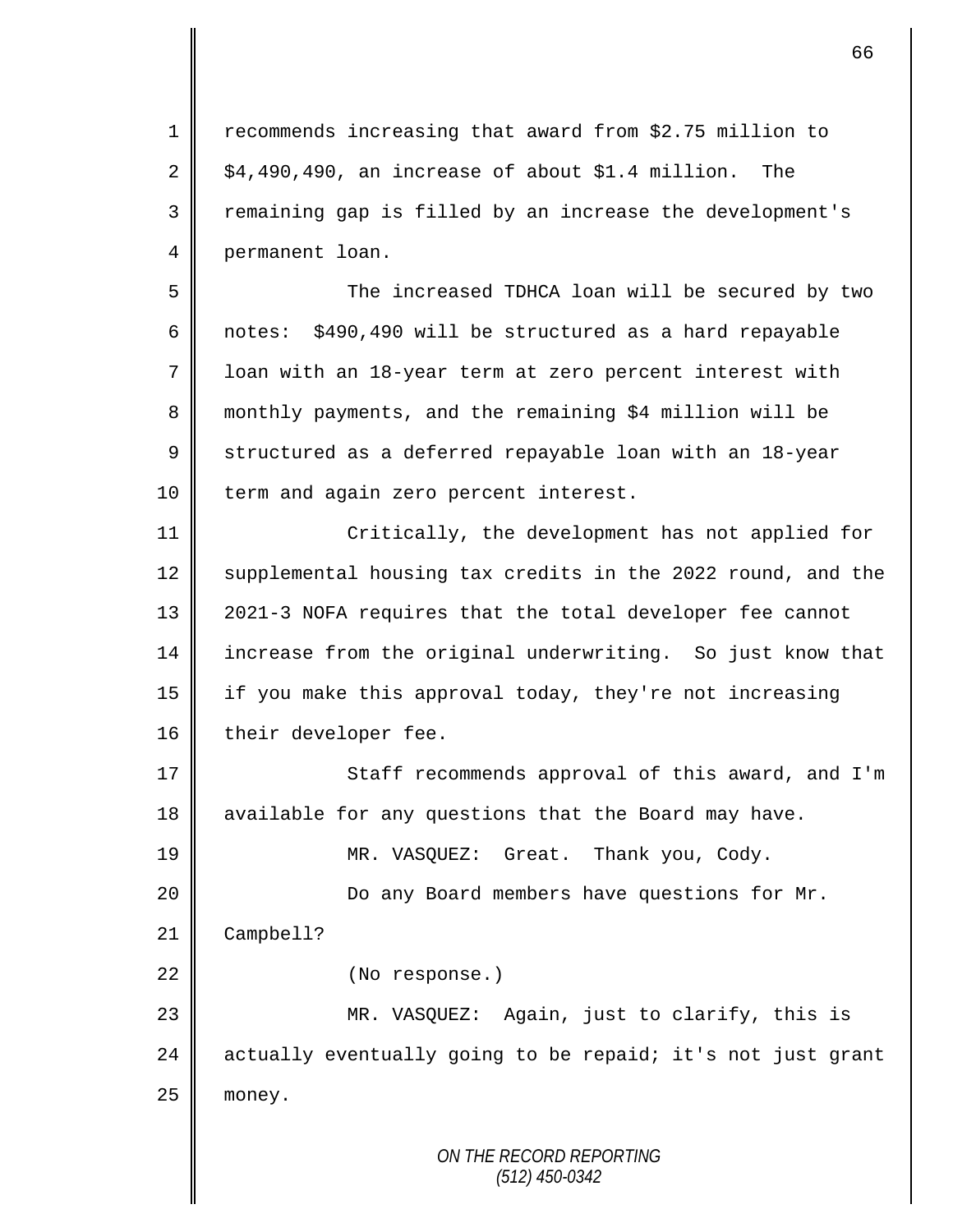1 | recommends increasing that award from \$2.75 million to  $2 \parallel$  \$4,490,490, an increase of about \$1.4 million. The 3 || remaining gap is filled by an increase the development's 4 permanent loan.

5 The increased TDHCA loan will be secured by two 6 | notes: \$490,490 will be structured as a hard repayable 7 | loan with an 18-year term at zero percent interest with 8 monthly payments, and the remaining \$4 million will be 9 Structured as a deferred repayable loan with an 18-year 10 | term and again zero percent interest.

11 | Critically, the development has not applied for 12 Supplemental housing tax credits in the 2022 round, and the 13 || 2021-3 NOFA requires that the total developer fee cannot 14 increase from the original underwriting. So just know that 15 if you make this approval today, they're not increasing 16 | their developer fee.

17 || Staff recommends approval of this award, and I'm 18 || available for any questions that the Board may have.

19 || MR. VASQUEZ: Great. Thank you, Cody.

20 || Do any Board members have questions for Mr.

21 | Campbell?

22 | (No response.)

23 MR. VASQUEZ: Again, just to clarify, this is  $24$  | actually eventually going to be repaid; it's not just grant  $25$  money.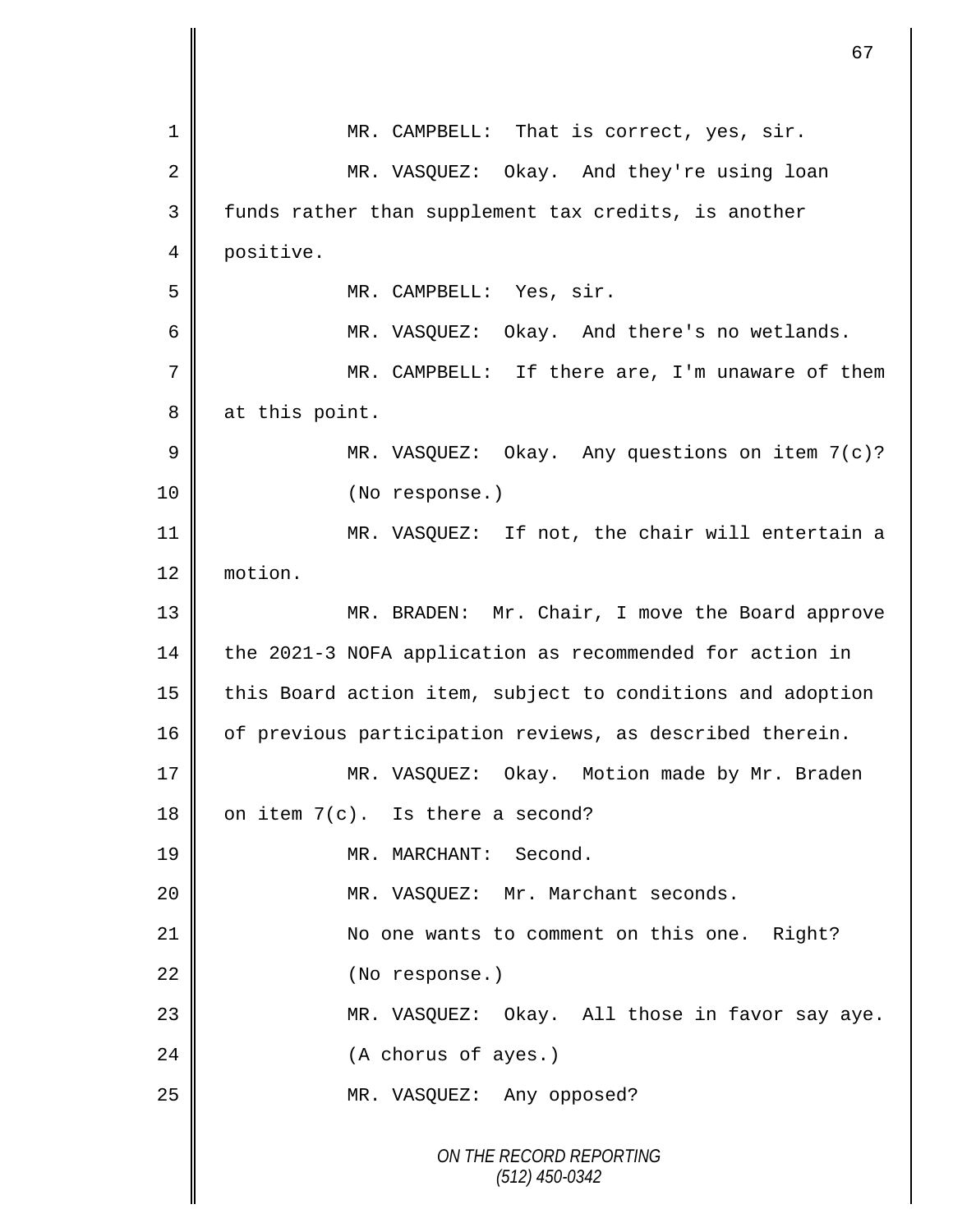|    | 67                                                         |
|----|------------------------------------------------------------|
| 1  | MR. CAMPBELL: That is correct, yes, sir.                   |
| 2  | MR. VASQUEZ: Okay. And they're using loan                  |
| 3  | funds rather than supplement tax credits, is another       |
| 4  | positive.                                                  |
| 5  | MR. CAMPBELL: Yes, sir.                                    |
| 6  | MR. VASQUEZ: Okay. And there's no wetlands.                |
| 7  | MR. CAMPBELL: If there are, I'm unaware of them            |
| 8  | at this point.                                             |
| 9  | MR. VASQUEZ: Okay. Any questions on item 7(c)?             |
| 10 | (No response.)                                             |
| 11 | MR. VASQUEZ: If not, the chair will entertain a            |
| 12 | motion.                                                    |
| 13 | MR. BRADEN: Mr. Chair, I move the Board approve            |
| 14 | the 2021-3 NOFA application as recommended for action in   |
| 15 | this Board action item, subject to conditions and adoption |
| 16 | of previous participation reviews, as described therein.   |
| 17 | MR. VASQUEZ: Okay. Motion made by Mr. Braden               |
| 18 | on item 7(c). Is there a second?                           |
| 19 | MR. MARCHANT: Second.                                      |
| 20 | MR. VASQUEZ: Mr. Marchant seconds.                         |
| 21 | No one wants to comment on this one. Right?                |
| 22 | (No response.)                                             |
| 23 | MR. VASQUEZ: Okay. All those in favor say aye.             |
| 24 | (A chorus of ayes.)                                        |
| 25 | MR. VASQUEZ: Any opposed?                                  |
|    | ON THE RECORD REPORTING<br>$(512)$ 450-0342                |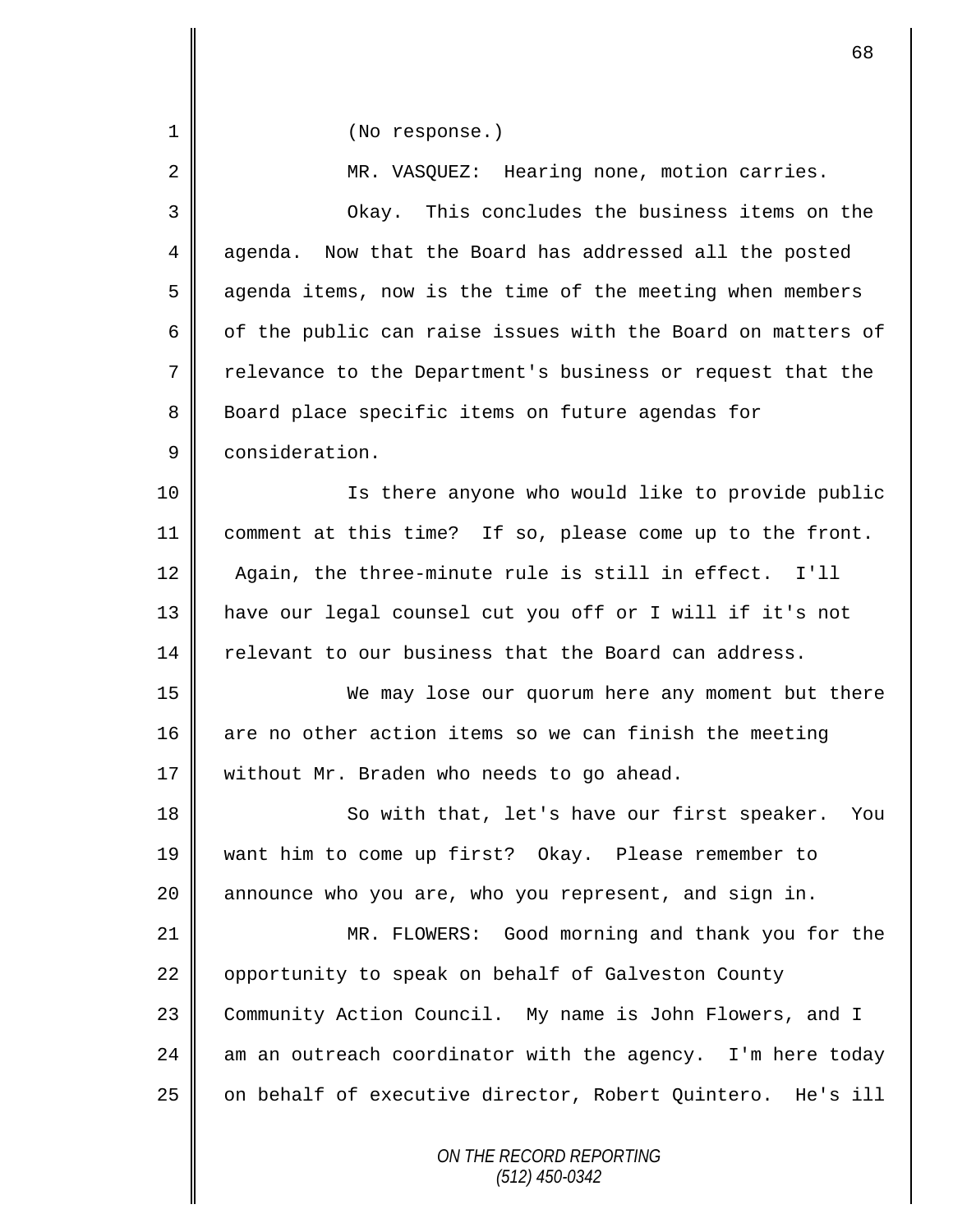| $\mathbf 1$ | (No response.)                                              |
|-------------|-------------------------------------------------------------|
| 2           | MR. VASQUEZ: Hearing none, motion carries.                  |
| 3           | Okay. This concludes the business items on the              |
| 4           | Now that the Board has addressed all the posted<br>aqenda.  |
| 5           | agenda items, now is the time of the meeting when members   |
| 6           | of the public can raise issues with the Board on matters of |
| 7           | relevance to the Department's business or request that the  |
| 8           | Board place specific items on future agendas for            |
| 9           | consideration.                                              |
| 10          | Is there anyone who would like to provide public            |
| 11          | comment at this time? If so, please come up to the front.   |
| 12          | Again, the three-minute rule is still in effect. I'll       |
| 13          | have our legal counsel cut you off or I will if it's not    |
| 14          | relevant to our business that the Board can address.        |
| 15          | We may lose our quorum here any moment but there            |
| 16          | are no other action items so we can finish the meeting      |
| 17          | without Mr. Braden who needs to go ahead.                   |
| 18          | So with that, let's have our first speaker. You             |
| 19          | want him to come up first? Okay. Please remember to         |
| 20          | announce who you are, who you represent, and sign in.       |
| 21          | MR. FLOWERS: Good morning and thank you for the             |
| 22          | opportunity to speak on behalf of Galveston County          |
| 23          | Community Action Council. My name is John Flowers, and I    |
| 24          | am an outreach coordinator with the agency. I'm here today  |
| 25          | on behalf of executive director, Robert Quintero. He's ill  |
|             | ON THE RECORD REPORTING<br>(512) 450-0342                   |

 $\mathbf{I}$ 

Ш  $\mathbf \mathsf I$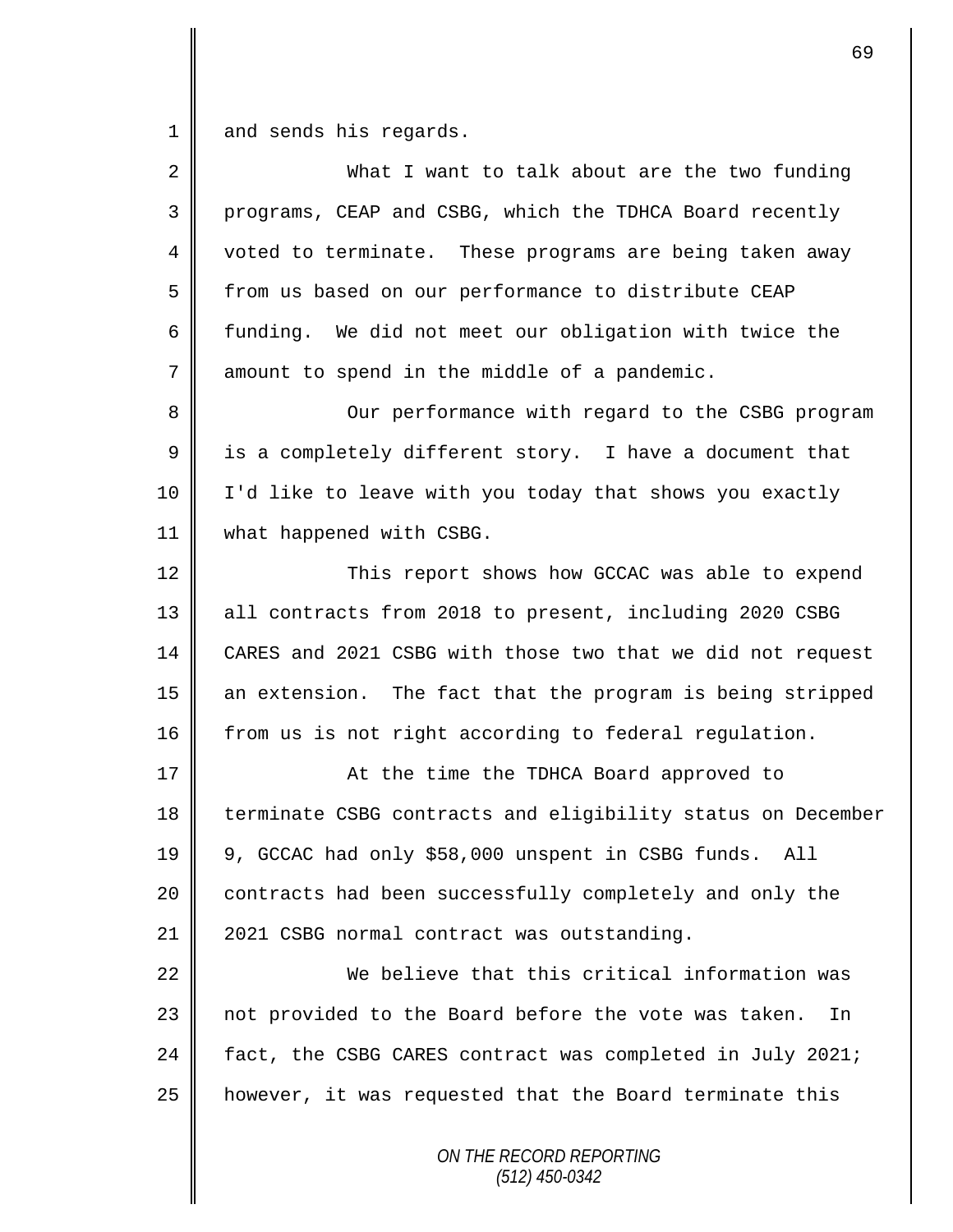1 and sends his regards.

| $\overline{2}$ | What I want to talk about are the two funding               |
|----------------|-------------------------------------------------------------|
| 3              | programs, CEAP and CSBG, which the TDHCA Board recently     |
| $\overline{4}$ | voted to terminate. These programs are being taken away     |
| 5              | from us based on our performance to distribute CEAP         |
| 6              | funding. We did not meet our obligation with twice the      |
| 7              | amount to spend in the middle of a pandemic.                |
| 8              | Our performance with regard to the CSBG program             |
| 9              | is a completely different story. I have a document that     |
| 10             | I'd like to leave with you today that shows you exactly     |
| 11             | what happened with CSBG.                                    |
| 12             | This report shows how GCCAC was able to expend              |
| 13             | all contracts from 2018 to present, including 2020 CSBG     |
| 14             | CARES and 2021 CSBG with those two that we did not request  |
| 15             | an extension. The fact that the program is being stripped   |
| 16             | from us is not right according to federal regulation.       |
| 17             | At the time the TDHCA Board approved to                     |
| 18             | terminate CSBG contracts and eligibility status on December |
| 19             | 9, GCCAC had only \$58,000 unspent in CSBG funds. All       |
| 20             | contracts had been successfully completely and only the     |
| 21             | 2021 CSBG normal contract was outstanding.                  |
| 22             | We believe that this critical information was               |
| 23             | not provided to the Board before the vote was taken.<br>In  |
| 24             | fact, the CSBG CARES contract was completed in July 2021;   |
| 25             | however, it was requested that the Board terminate this     |
|                | ON THE RECORD REPORTING                                     |

*(512) 450-0342*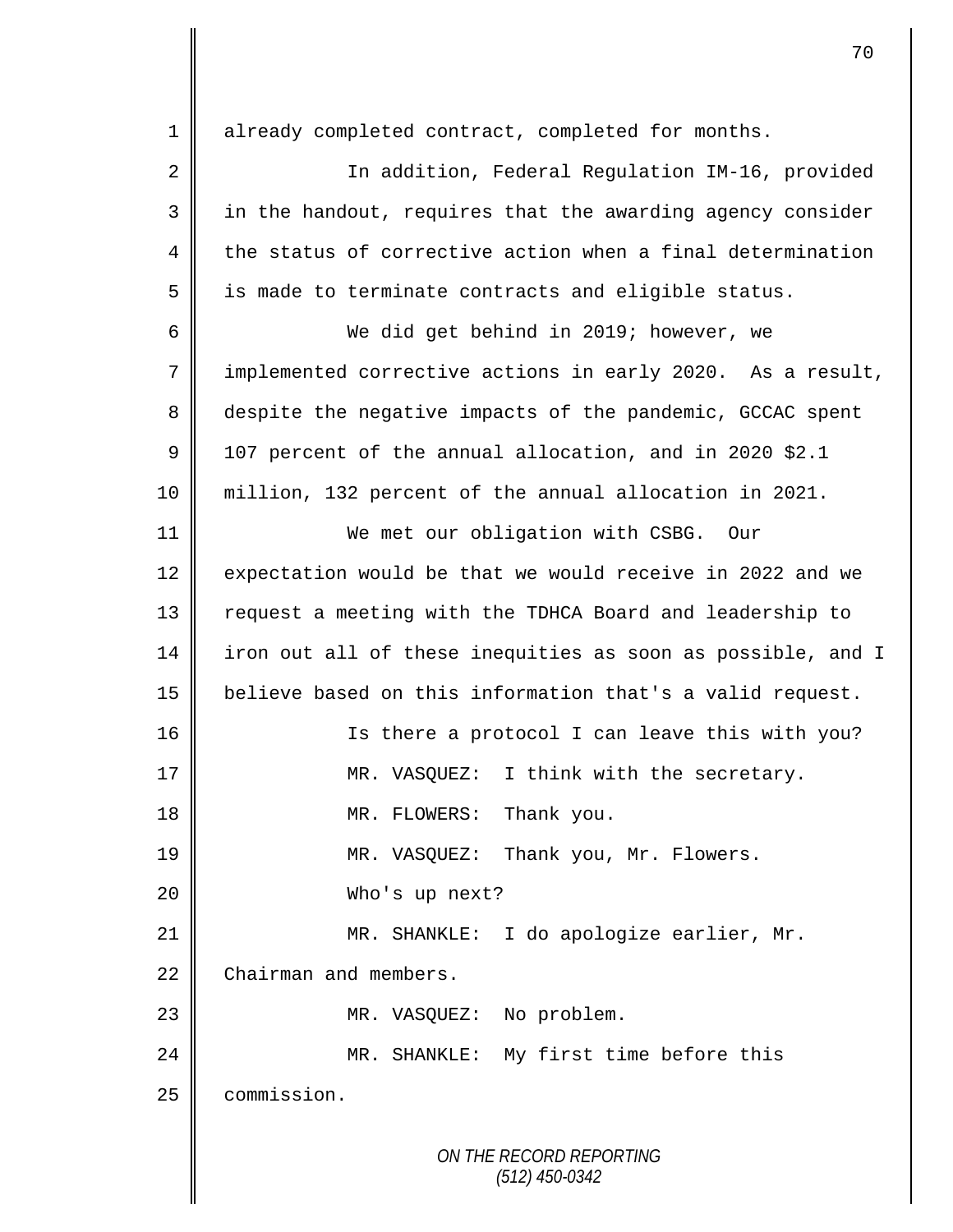*ON THE RECORD REPORTING* 1 | already completed contract, completed for months. 2 In addition, Federal Regulation IM-16, provided 3 || in the handout, requires that the awarding agency consider  $4 \parallel$  the status of corrective action when a final determination  $5 \parallel$  is made to terminate contracts and eligible status. 6 We did get behind in 2019; however, we 7 implemented corrective actions in early 2020. As a result, 8 despite the negative impacts of the pandemic, GCCAC spent 9 | 107 percent of the annual allocation, and in 2020 \$2.1 10 million, 132 percent of the annual allocation in 2021. 11 We met our obligation with CSBG. Our 12 expectation would be that we would receive in 2022 and we 13 || request a meeting with the TDHCA Board and leadership to 14 iron out all of these inequities as soon as possible, and I 15 believe based on this information that's a valid request. 16 || Is there a protocol I can leave this with you? 17 || MR. VASQUEZ: I think with the secretary. 18 || MR. FLOWERS: Thank you. 19 MR. VASQUEZ: Thank you, Mr. Flowers. 20 Who's up next? 21 MR. SHANKLE: I do apologize earlier, Mr. 22 Chairman and members. 23 || MR. VASQUEZ: No problem. 24 MR. SHANKLE: My first time before this 25 **commission**.

*(512) 450-0342*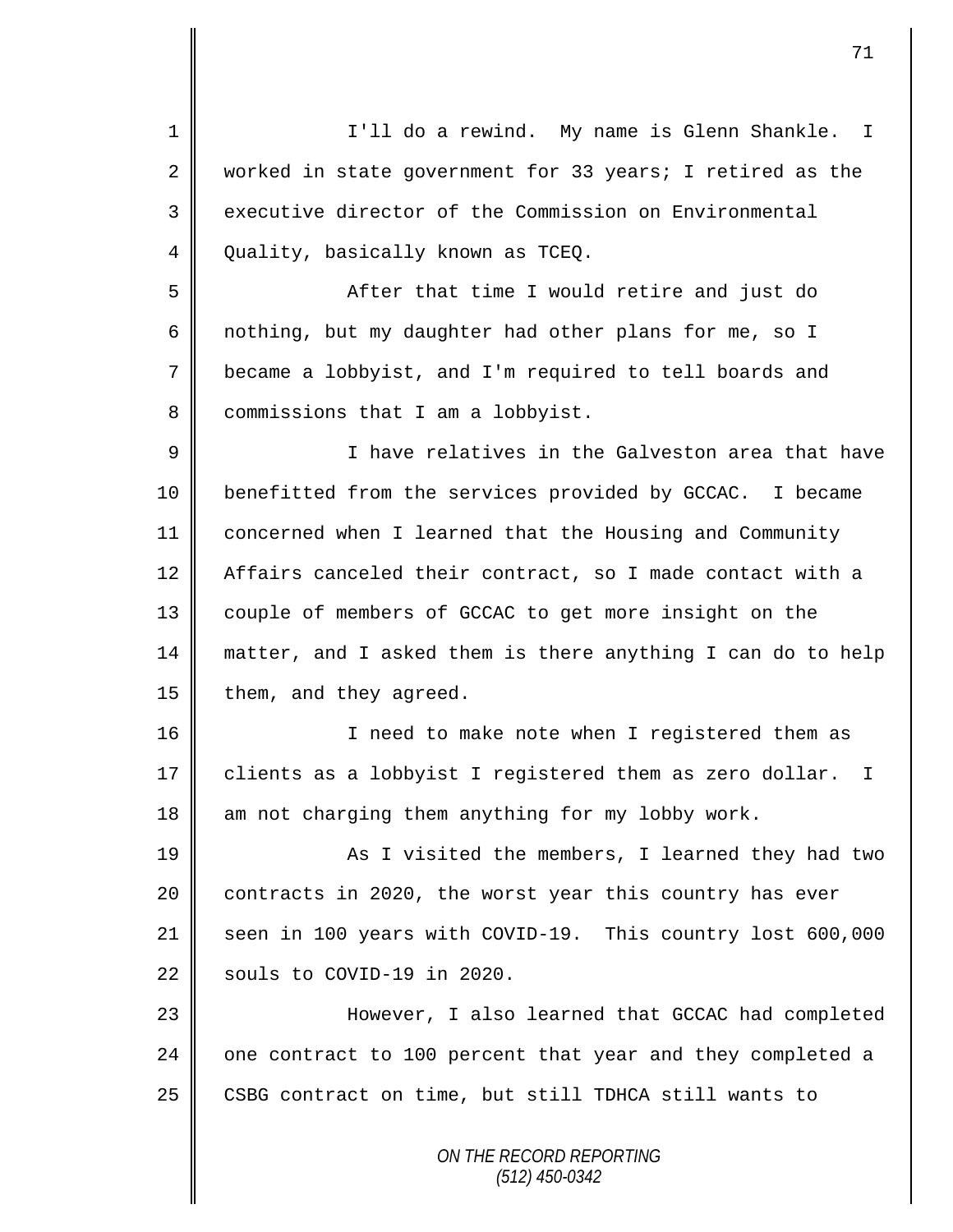*ON THE RECORD REPORTING* 1 I'll do a rewind. My name is Glenn Shankle. I 2 worked in state government for 33 years; I retired as the 3 executive director of the Commission on Environmental 4 | Quality, basically known as TCEQ. 5 || After that time I would retire and just do 6 nothing, but my daughter had other plans for me, so I 7 became a lobbyist, and I'm required to tell boards and 8 | commissions that I am a lobbyist. 9 I have relatives in the Galveston area that have 10 benefitted from the services provided by GCCAC. I became 11 concerned when I learned that the Housing and Community 12 | Affairs canceled their contract, so I made contact with a 13 couple of members of GCCAC to get more insight on the 14 matter, and I asked them is there anything I can do to help 15  $\parallel$  them, and they agreed. 16 || I need to make note when I registered them as 17 | clients as a lobbyist I registered them as zero dollar. I  $18$  am not charging them anything for my lobby work. 19 || As I visited the members, I learned they had two 20 contracts in 2020, the worst year this country has ever 21 seen in 100 years with COVID-19. This country lost 600,000 22  $\parallel$  souls to COVID-19 in 2020. 23 However, I also learned that GCCAC had completed 24  $\parallel$  one contract to 100 percent that year and they completed a 25 | CSBG contract on time, but still TDHCA still wants to

*(512) 450-0342*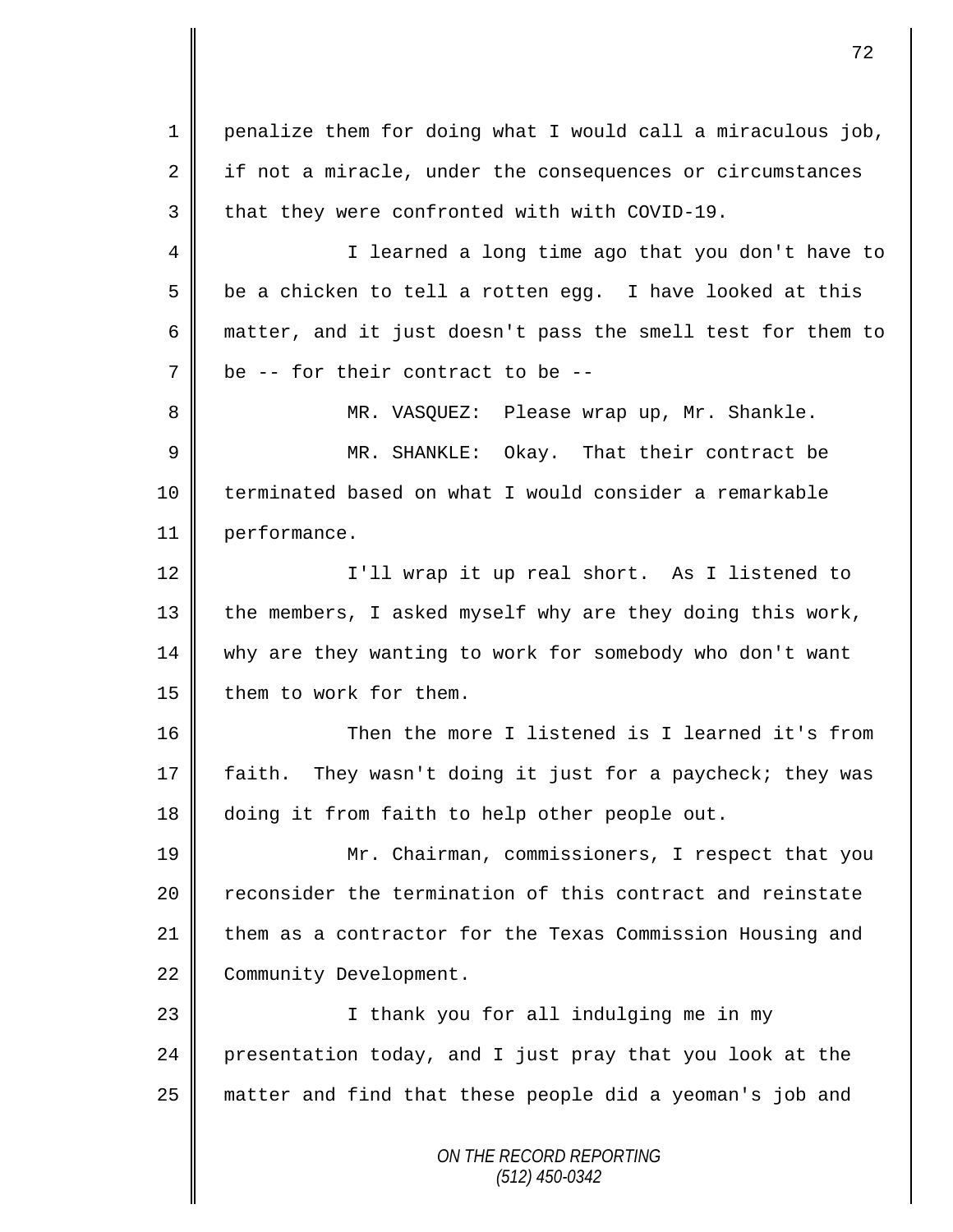*ON THE RECORD REPORTING (512) 450-0342* 1 penalize them for doing what I would call a miraculous job,  $2 \parallel$  if not a miracle, under the consequences or circumstances  $3 \parallel$  that they were confronted with with COVID-19. 4 || I learned a long time ago that you don't have to  $5 \parallel$  be a chicken to tell a rotten egg. I have looked at this 6 matter, and it just doesn't pass the smell test for them to  $7 \parallel$  be -- for their contract to be --8 MR. VASQUEZ: Please wrap up, Mr. Shankle. 9 MR. SHANKLE: Okay. That their contract be 10 terminated based on what I would consider a remarkable 11 performance. 12 || I'll wrap it up real short. As I listened to 13 the members, I asked myself why are they doing this work, 14 why are they wanting to work for somebody who don't want 15 | them to work for them. 16 Then the more I listened is I learned it's from 17 | faith. They wasn't doing it just for a paycheck; they was 18 doing it from faith to help other people out. 19 Mr. Chairman, commissioners, I respect that you 20 Teconsider the termination of this contract and reinstate 21 them as a contractor for the Texas Commission Housing and 22 Community Development. 23 || I thank you for all indulging me in my  $24$  presentation today, and I just pray that you look at the 25 matter and find that these people did a yeoman's job and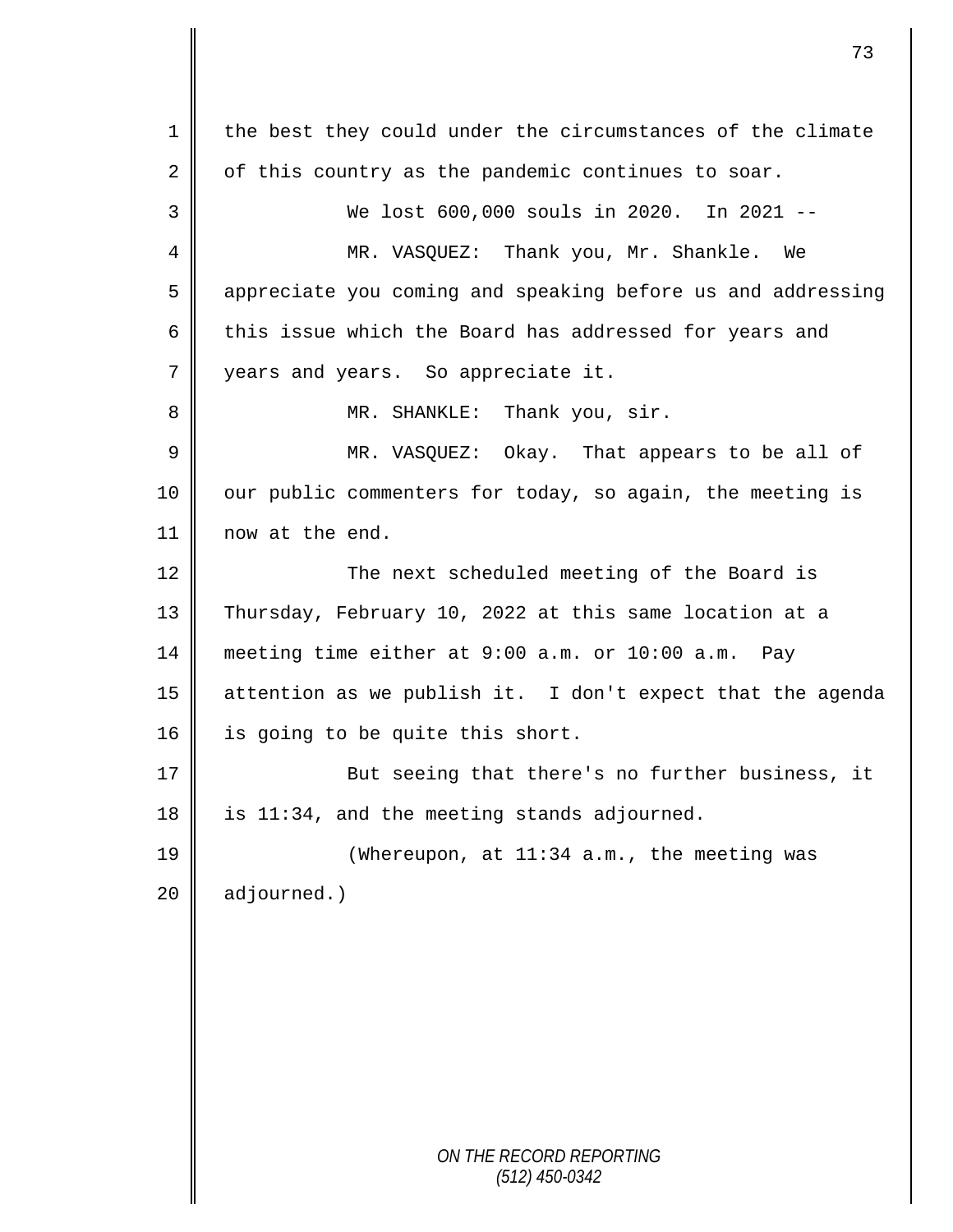*ON THE RECORD REPORTING (512) 450-0342* 1 the best they could under the circumstances of the climate 2 of this country as the pandemic continues to soar. 3 We lost 600,000 souls in 2020. In 2021 -- 4 MR. VASQUEZ: Thank you, Mr. Shankle. We 5 appreciate you coming and speaking before us and addressing 6  $\parallel$  this issue which the Board has addressed for years and 7 vears and years. So appreciate it. 8 MR. SHANKLE: Thank you, sir. 9 MR. VASQUEZ: Okay. That appears to be all of 10 | our public commenters for today, so again, the meeting is 11 now at the end. 12 || The next scheduled meeting of the Board is 13 Thursday, February 10, 2022 at this same location at a 14 meeting time either at 9:00 a.m. or 10:00 a.m. Pay 15 attention as we publish it. I don't expect that the agenda 16 | is going to be quite this short. 17 || But seeing that there's no further business, it 18 | is 11:34, and the meeting stands adjourned. 19 || (Whereupon, at 11:34 a.m., the meeting was  $20$  | adjourned.)

73